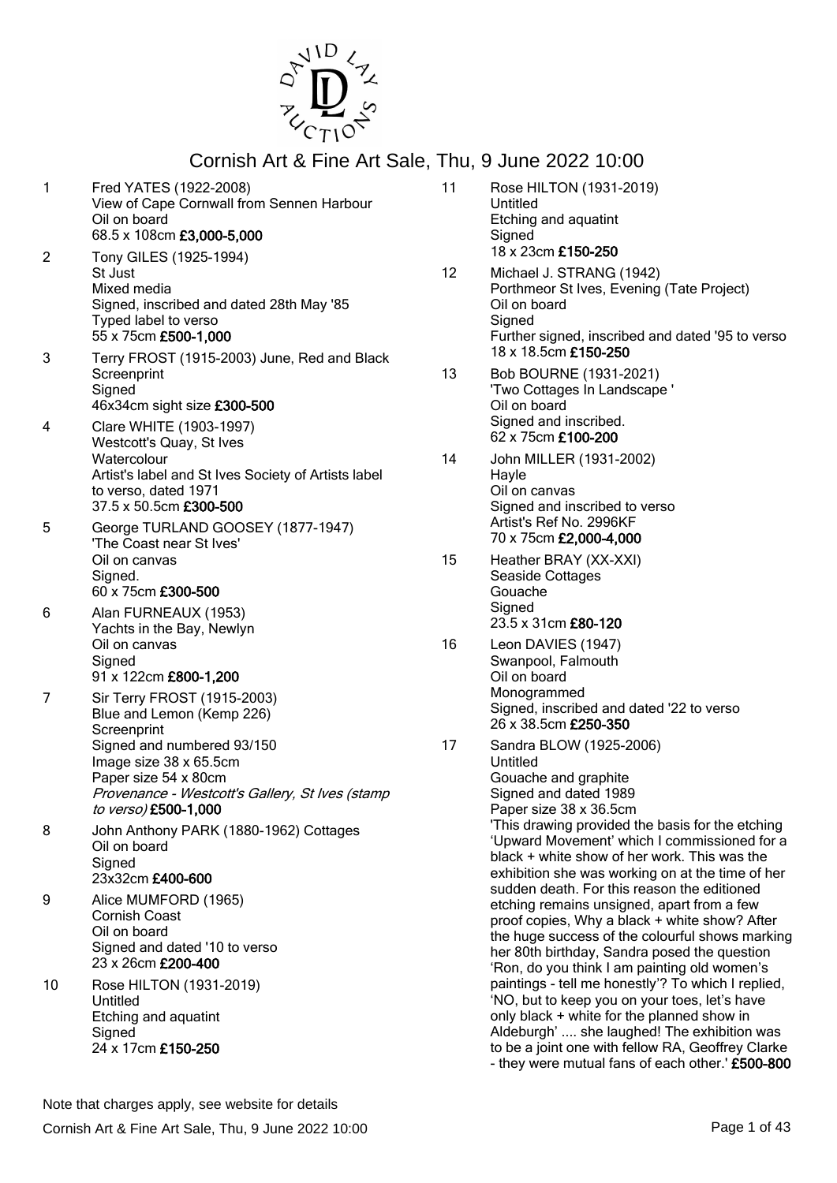

- 1 Fred YATES (1922-2008) View of Cape Cornwall from Sennen Harbour Oil on board 68.5 x 108cm £3,000-5,000 2 Tony GILES (1925-1994) St Just Mixed media Signed, inscribed and dated 28th May '85 Typed label to verso 55 x 75cm £500-1,000 3 Terry FROST (1915-2003) June, Red and Black **Screenprint Signed** 46x34cm sight size £300-500 4 Clare WHITE (1903-1997) Westcott's Quay, St Ives **Watercolour** Artist's label and St Ives Society of Artists label to verso, dated 1971 37.5 x 50.5cm £300-500 5 George TURLAND GOOSEY (1877-1947) 'The Coast near St Ives'
- Oil on canvas Signed. 60 x 75cm £300-500
- 6 Alan FURNEAUX (1953) Yachts in the Bay, Newlyn Oil on canvas **Signed** 91 x 122cm £800-1,200
- 7 Sir Terry FROST (1915-2003) Blue and Lemon (Kemp 226) **Screenprint** Signed and numbered 93/150 Image size 38 x 65.5cm Paper size 54 x 80cm Provenance - Westcott's Gallery, St Ives (stamp to verso) £500-1,000
- 8 John Anthony PARK (1880-1962) Cottages Oil on board **Signed** 23x32cm £400-600
- 9 Alice MUMFORD (1965) Cornish Coast Oil on board Signed and dated '10 to verso 23 x 26cm £200-400
- 10 Rose HILTON (1931-2019) Untitled Etching and aquatint **Signed** 24 x 17cm £150-250
- 11 Rose HILTON (1931-2019) Untitled Etching and aquatint **Signed** 18 x 23cm £150-250
- 12 Michael J. STRANG (1942) Porthmeor St Ives, Evening (Tate Project) Oil on board **Signed** Further signed, inscribed and dated '95 to verso 18 x 18.5cm £150-250
- 13 Bob BOURNE (1931-2021) 'Two Cottages In Landscape ' Oil on board Signed and inscribed. 62 x 75cm £100-200
- 14 John MILLER (1931-2002) Hayle Oil on canvas Signed and inscribed to verso Artist's Ref No. 2996KF 70 x 75cm £2,000-4,000
- 15 Heather BRAY (XX-XXI) Seaside Cottages Gouache **Signed** 23.5 x 31cm £80-120
- 16 Leon DAVIES (1947) Swanpool, Falmouth Oil on board Monogrammed Signed, inscribed and dated '22 to verso 26 x 38.5cm £250-350
- 17 Sandra BLOW (1925-2006) Untitled Gouache and graphite Signed and dated 1989 Paper size 38 x 36.5cm 'This drawing provided the basis for the etching 'Upward Movement' which I commissioned for a black + white show of her work. This was the exhibition she was working on at the time of her sudden death. For this reason the editioned etching remains unsigned, apart from a few proof copies, Why a black + white show? After the huge success of the colourful shows marking her 80th birthday, Sandra posed the question 'Ron, do you think I am painting old women's paintings - tell me honestly'? To which I replied, 'NO, but to keep you on your toes, let's have only black + white for the planned show in Aldeburgh' .... she laughed! The exhibition was to be a joint one with fellow RA, Geoffrey Clarke - they were mutual fans of each other.' £500-800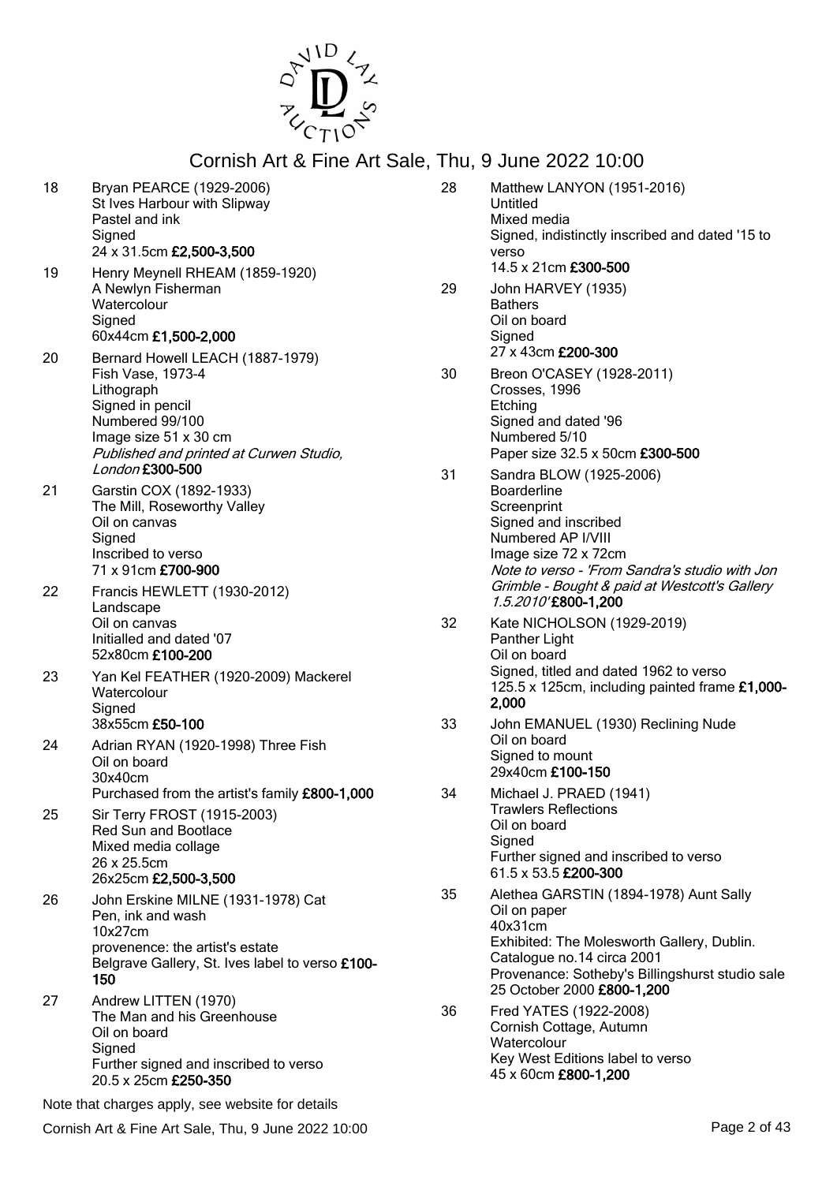

18 Bryan PEARCE (1929-2006) St Ives Harbour with Slipway Pastel and ink **Signed** 24 x 31.5cm £2,500-3,500 19 Henry Meynell RHEAM (1859-1920) A Newlyn Fisherman **Watercolour Signed** 60x44cm £1,500-2,000 20 Bernard Howell LEACH (1887-1979) Fish Vase, 1973-4 Lithograph Signed in pencil Numbered 99/100 Image size 51 x 30 cm Published and printed at Curwen Studio, London £300-500 21 Garstin COX (1892-1933) The Mill, Roseworthy Valley Oil on canvas **Signed** Inscribed to verso 71 x 91cm £700-900 22 Francis HEWLETT (1930-2012) Landscape Oil on canvas Initialled and dated '07 52x80cm £100-200 23 Yan Kel FEATHER (1920-2009) Mackerel **Watercolour Signed** 38x55cm £50-100 24 Adrian RYAN (1920-1998) Three Fish Oil on board 30x40cm Purchased from the artist's family £800-1,000 25 Sir Terry FROST (1915-2003) Red Sun and Bootlace Mixed media collage 26 x 25.5cm 26x25cm £2,500-3,500 26 John Erskine MILNE (1931-1978) Cat Pen, ink and wash 10x27cm provenence: the artist's estate Belgrave Gallery, St. Ives label to verso £100- 150 27 Andrew LITTEN (1970) The Man and his Greenhouse Oil on board **Signed** Further signed and inscribed to verso 20.5 x 25cm £250-350 28 Matthew LANYON (1951-2016) Untitled Mixed media Signed, indistinctly inscribed and dated '15 to verso 14.5 x 21cm £300-500 29 John HARVEY (1935) **Bathers** Oil on board **Signed** 27 x 43cm £200-300 30 Breon O'CASEY (1928-2011) Crosses, 1996 **Etching** Signed and dated '96 Numbered 5/10 Paper size 32.5 x 50cm £300-500 31 Sandra BLOW (1925-2006) Boarderline **Screenprint** Signed and inscribed Numbered AP I/VIII Image size 72 x 72cm Note to verso - 'From Sandra's studio with Jon Grimble - Bought & paid at Westcott's Gallery 1.5.2010' £800-1,200 32 Kate NICHOLSON (1929-2019) Panther Light Oil on board Signed, titled and dated 1962 to verso 125.5 x 125cm, including painted frame £1,000- 2,000 33 John EMANUEL (1930) Reclining Nude Oil on board Signed to mount 29x40cm £100-150 34 Michael J. PRAED (1941) Trawlers Reflections Oil on board Signed Further signed and inscribed to verso 61.5 x 53.5 £200-300 Oil on paper 40x31cm Catalogue no.14 circa 2001 36 Fred YATES (1922-2008) Cornish Cottage, Autumn **Watercolour** 45 x 60cm £800-1,200

- Cornish Art & Fine Art Sale, Thu, 9 June 2022 10:00 Page 2 of 43
- 35 Alethea GARSTIN (1894-1978) Aunt Sally Exhibited: The Molesworth Gallery, Dublin. Provenance: Sotheby's Billingshurst studio sale 25 October 2000 £800-1,200 Key West Editions label to verso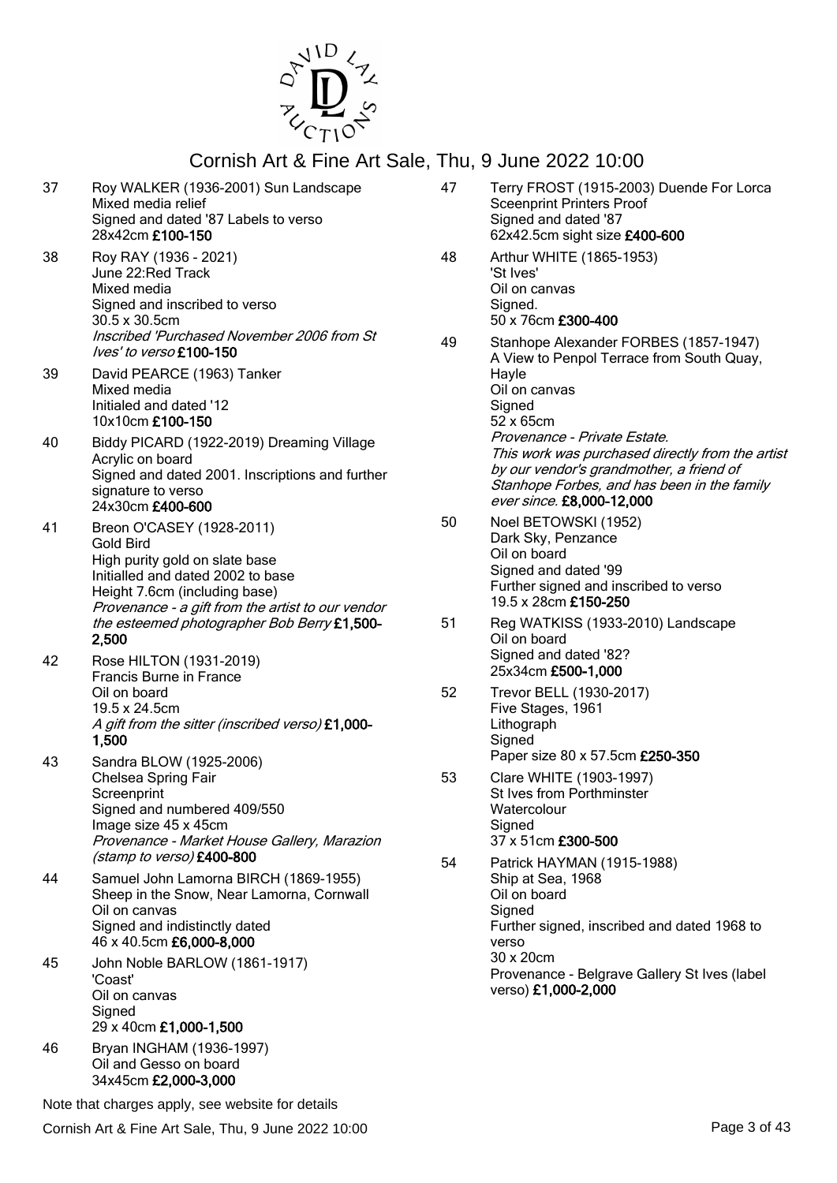

| 37 | Roy WALKER (1936-2001) Sun Landscape<br>Mixed media relief<br>Signed and dated '87 Labels to verso<br>28x42cm £100-150                                                                                     | 47       | Terry FROST (1915-2003) Duende For Lorca<br><b>Sceenprint Printers Proof</b><br>Signed and dated '87<br>62x42.5cm sight size £400-600                                                                    |
|----|------------------------------------------------------------------------------------------------------------------------------------------------------------------------------------------------------------|----------|----------------------------------------------------------------------------------------------------------------------------------------------------------------------------------------------------------|
| 38 | Roy RAY (1936 - 2021)<br>June 22: Red Track<br>Mixed media<br>Signed and inscribed to verso<br>30.5 x 30.5cm                                                                                               | 48       | Arthur WHITE (1865-1953)<br>'St Ives'<br>Oil on canvas<br>Signed.<br>50 x 76cm £300-400                                                                                                                  |
|    | Inscribed 'Purchased November 2006 from St<br>Ives' to verso £100-150                                                                                                                                      | 49       | Stanhope Alexander FORBES (1857-1947)<br>A View to Penpol Terrace from South Quay,                                                                                                                       |
| 39 | David PEARCE (1963) Tanker<br>Mixed media<br>Initialed and dated '12<br>10x10cm £100-150                                                                                                                   |          | Hayle<br>Oil on canvas<br>Signed<br>52 x 65cm                                                                                                                                                            |
| 40 | Biddy PICARD (1922-2019) Dreaming Village<br>Acrylic on board<br>Signed and dated 2001. Inscriptions and further<br>signature to verso<br>24x30cm £400-600                                                 |          | Provenance - Private Estate.<br>This work was purchased directly from the artist<br>by our vendor's grandmother, a friend of<br>Stanhope Forbes, and has been in the family<br>ever since. £8,000-12,000 |
| 41 | Breon O'CASEY (1928-2011)<br><b>Gold Bird</b><br>High purity gold on slate base<br>Initialled and dated 2002 to base<br>Height 7.6cm (including base)<br>Provenance - a gift from the artist to our vendor | 50       | Noel BETOWSKI (1952)<br>Dark Sky, Penzance<br>Oil on board<br>Signed and dated '99<br>Further signed and inscribed to verso<br>19.5 x 28cm £150-250                                                      |
| 42 | the esteemed photographer Bob Berry £1,500-<br>2,500<br>Rose HILTON (1931-2019)                                                                                                                            | 51       | Reg WATKISS (1933-2010) Landscape<br>Oil on board<br>Signed and dated '82?<br>25x34cm £500-1,000                                                                                                         |
|    | <b>Francis Burne in France</b><br>Oil on board<br>19.5 x 24.5cm<br>A gift from the sitter (inscribed verso) £1,000-<br>1,500                                                                               | 52       | Trevor BELL (1930-2017)<br>Five Stages, 1961<br>Lithograph<br>Signed                                                                                                                                     |
| 43 | Sandra BLOW (1925-2006)<br>Chelsea Spring Fair<br>Screenprint<br>Signed and numbered 409/550<br>Image size 45 x 45cm<br>Provenance - Market House Gallery, Marazion<br>(stamp to verso) £400-800           | 53<br>54 | Paper size 80 x 57.5cm £250-350<br>Clare WHITE (1903-1997)<br>St Ives from Porthminster<br>Watercolour<br>Signed<br>37 x 51cm £300-500<br>Patrick HAYMAN (1915-1988)                                     |
| 44 | Samuel John Lamorna BIRCH (1869-1955)<br>Sheep in the Snow, Near Lamorna, Cornwall<br>Oil on canvas<br>Signed and indistinctly dated<br>46 x 40.5cm £6,000-8,000                                           |          | Ship at Sea, 1968<br>Oil on board<br>Signed<br>Further signed, inscribed and dated 1968 to<br>verso                                                                                                      |
| 45 | John Noble BARLOW (1861-1917)<br>'Coast'<br>Oil on canvas<br>Signed<br>29 x 40cm £1,000-1,500                                                                                                              |          | 30 x 20cm<br>Provenance - Belgrave Gallery St Ives (label<br>verso) £1,000-2,000                                                                                                                         |
| 46 | Bryan INGHAM (1936-1997)<br>Oil and Gesso on board<br>34x45cm £2,000-3,000                                                                                                                                 |          |                                                                                                                                                                                                          |

Note that charges apply, see website for details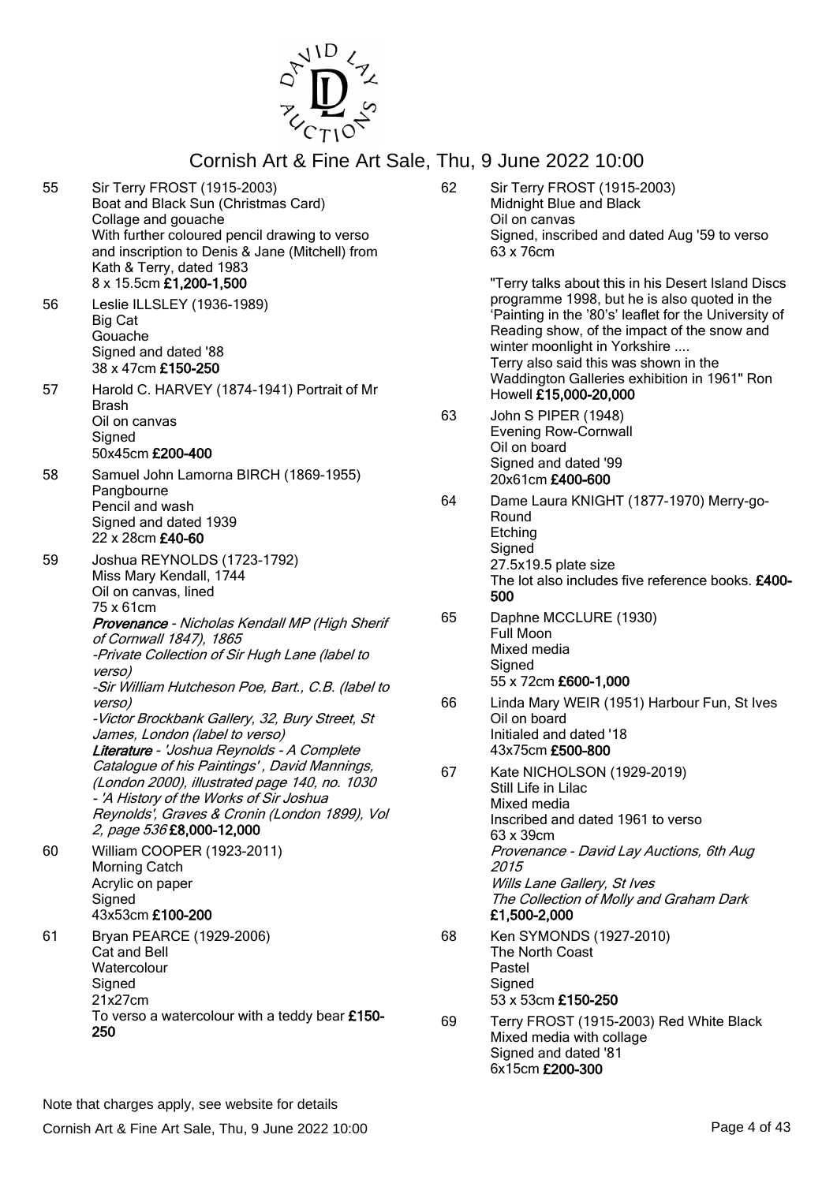

55 Sir Terry FROST (1915-2003) Boat and Black Sun (Christmas Card) Collage and gouache With further coloured pencil drawing to verso and inscription to Denis & Jane (Mitchell) from Kath & Terry, dated 1983 8 x 15.5cm £1,200-1,500 56 Leslie ILLSLEY (1936-1989) Big Cat Gouache Signed and dated '88 38 x 47cm £150-250 57 Harold C. HARVEY (1874-1941) Portrait of Mr Brash Oil on canvas **Signed** 50x45cm £200-400 58 Samuel John Lamorna BIRCH (1869-1955) Pangbourne Pencil and wash Signed and dated 1939 22 x 28cm £40-60 59 Joshua REYNOLDS (1723-1792) Miss Mary Kendall, 1744 Oil on canvas, lined 75 x 61cm Provenance - Nicholas Kendall MP (High Sherif of Cornwall 1847), 1865 -Private Collection of Sir Hugh Lane (label to verso) -Sir William Hutcheson Poe, Bart., C.B. (label to verso) -Victor Brockbank Gallery, 32, Bury Street, St James, London (label to verso) Literature - 'Joshua Reynolds - A Complete Catalogue of his Paintings' , David Mannings, (London 2000), illustrated page 140, no. 1030 - 'A History of the Works of Sir Joshua Reynolds', Graves & Cronin (London 1899), Vol 2, page 536 £8,000-12,000 60 William COOPER (1923-2011) Morning Catch Acrylic on paper **Signed** 43x53cm £100-200 61 Bryan PEARCE (1929-2006) Cat and Bell **Watercolour Signed** 21x27cm To verso a watercolour with a teddy bear £150- 250 62 Sir Terry FROST (1915-2003) Midnight Blue and Black Oil on canvas Signed, inscribed and dated Aug '59 to verso 63 x 76cm "Terry talks about this in his Desert Island Discs programme 1998, but he is also quoted in the 'Painting in the '80's' leaflet for the University of Reading show, of the impact of the snow and winter moonlight in Yorkshire .... Terry also said this was shown in the Waddington Galleries exhibition in 1961" Ron Howell £15,000-20,000 63 John S PIPER (1948) Evening Row-Cornwall Oil on board Signed and dated '99 20x61cm £400-600 64 Dame Laura KNIGHT (1877-1970) Merry-go-Round Etching Signed 27.5x19.5 plate size The lot also includes five reference books. £400-500 65 Daphne MCCLURE (1930) Full Moon Mixed media **Signed** 55 x 72cm £600-1,000 66 Linda Mary WEIR (1951) Harbour Fun, St Ives Oil on board Initialed and dated '18 43x75cm £500-800 67 Kate NICHOLSON (1929-2019) Still Life in Lilac Mixed media Inscribed and dated 1961 to verso 63 x 39cm Provenance - David Lay Auctions, 6th Aug 2015 Wills Lane Gallery, St Ives The Collection of Molly and Graham Dark £1,500-2,000 68 Ken SYMONDS (1927-2010) The North Coast Pastel **Signed** 53 x 53cm £150-250 69 Terry FROST (1915-2003) Red White Black Mixed media with collage Signed and dated '81

Note that charges apply, see website for details

6x15cm £200-300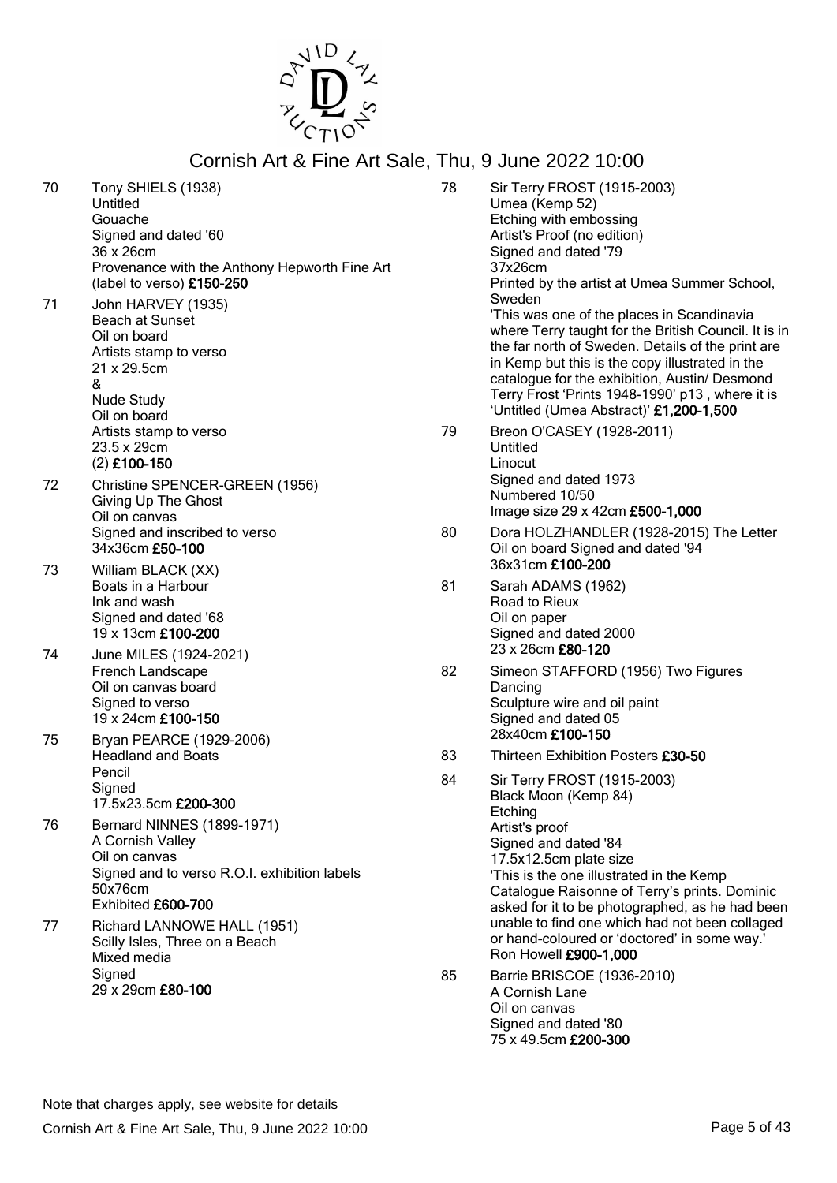

| 70 | Tony SHIELS (1938)<br>Untitled<br>Gouache<br>Signed and dated '60<br>36 x 26cm<br>Provenance with the Anthony Hepworth Fine Art<br>(label to verso) £150-250 | 78 | Sir Ter<br>Umea<br>Etchin<br>Artist's<br>Signed<br>37x26<br>Printed             |
|----|--------------------------------------------------------------------------------------------------------------------------------------------------------------|----|---------------------------------------------------------------------------------|
| 71 | John HARVEY (1935)<br><b>Beach at Sunset</b><br>Oil on board<br>Artists stamp to verso<br>21 x 29.5cm<br>&<br><b>Nude Study</b><br>Oil on board              |    | Swede<br>'This w<br>where<br>the far<br>in Kem<br>catalo<br>Terry I<br>'Untitle |
|    | Artists stamp to verso<br>23.5 x 29cm<br>(2) £100-150                                                                                                        | 79 | <b>Breon</b><br>Untitle<br>Linocu                                               |
| 72 | Christine SPENCER-GREEN (1956)<br>Giving Up The Ghost<br>Oil on canvas                                                                                       |    | Signed<br><b>Numb</b><br>Image                                                  |
|    | Signed and inscribed to verso<br>34x36cm £50-100                                                                                                             | 80 | Dora H<br>Oil on<br>36x31                                                       |
| 73 | William BLACK (XX)<br>Boats in a Harbour<br>Ink and wash<br>Signed and dated '68<br>19 x 13cm £100-200                                                       | 81 | Sarah<br>Road t<br>Oil on<br>Signed                                             |
| 74 | June MILES (1924-2021)<br>French Landscape<br>Oil on canvas board<br>Signed to verso<br>19 x 24cm £100-150                                                   | 82 | $23 \times 20$<br>Simeo<br>Dancir<br>Sculpt<br>Signed                           |
| 75 | Bryan PEARCE (1929-2006)<br><b>Headland and Boats</b>                                                                                                        | 83 | 28x40                                                                           |
|    | Pencil                                                                                                                                                       | 84 | <b>Thirtee</b><br>Sir Ter                                                       |
|    | Signed<br>17.5x23.5cm £200-300                                                                                                                               |    | Black I<br>Etchin                                                               |
| 76 | Bernard NINNES (1899-1971)<br>A Cornish Valley<br>Oil on canvas<br>Signed and to verso R.O.I. exhibition labels<br>50x76cm<br>Exhibited £600-700             |    | Artist's<br>Signed<br>17.5x1<br>'This is<br>Catalo<br>asked                     |
| 77 | Richard LANNOWE HALL (1951)<br>Scilly Isles, Three on a Beach<br>Mixed media                                                                                 |    | unable<br>or han<br>Ron H                                                       |
|    | Signed<br>29 x 29cm £80-100                                                                                                                                  | 85 | <b>Barrie</b><br>A Corr<br>Oil on                                               |

- rry FROST (1915-2003) (Kemp 52) g with embossing Froof (no edition) d and dated '79  $cm$ d by the artist at Umea Summer School, en vas one of the places in Scandinavia Terry taught for the British Council. It is in north of Sweden. Details of the print are np but this is the copy illustrated in the que for the exhibition, Austin/ Desmond Frost 'Prints 1948-1990' p13, where it is ed (Umea Abstract)' £1,200-1,500 O'CASEY (1928-2011) b. Linocut d and dated 1973 ered 10/50 size 29 x 42cm £500-1,000 HOLZHANDLER (1928-2015) The Letter board Signed and dated '94 cm £100-200 ADAMS (1962) to Rieux paper d and dated 2000 6cm **£80-120** n STAFFORD (1956) Two Figures ng ture wire and oil paint d and dated 05 cm £100-150 en Exhibition Posters £30-50 rry FROST (1915-2003) Moon (Kemp 84)  $\overline{q}$ proof d and dated '84 2.5cm plate size s the one illustrated in the Kemp gue Raisonne of Terry's prints. Dominic for it to be photographed, as he had been e to find one which had not been collaged d-coloured or 'doctored' in some way.' **owell £900-1,000**
- 85 Barrie BRISCOE (1936-2010) nish Lane canvas Signed and dated '80 75 x 49.5cm £200-300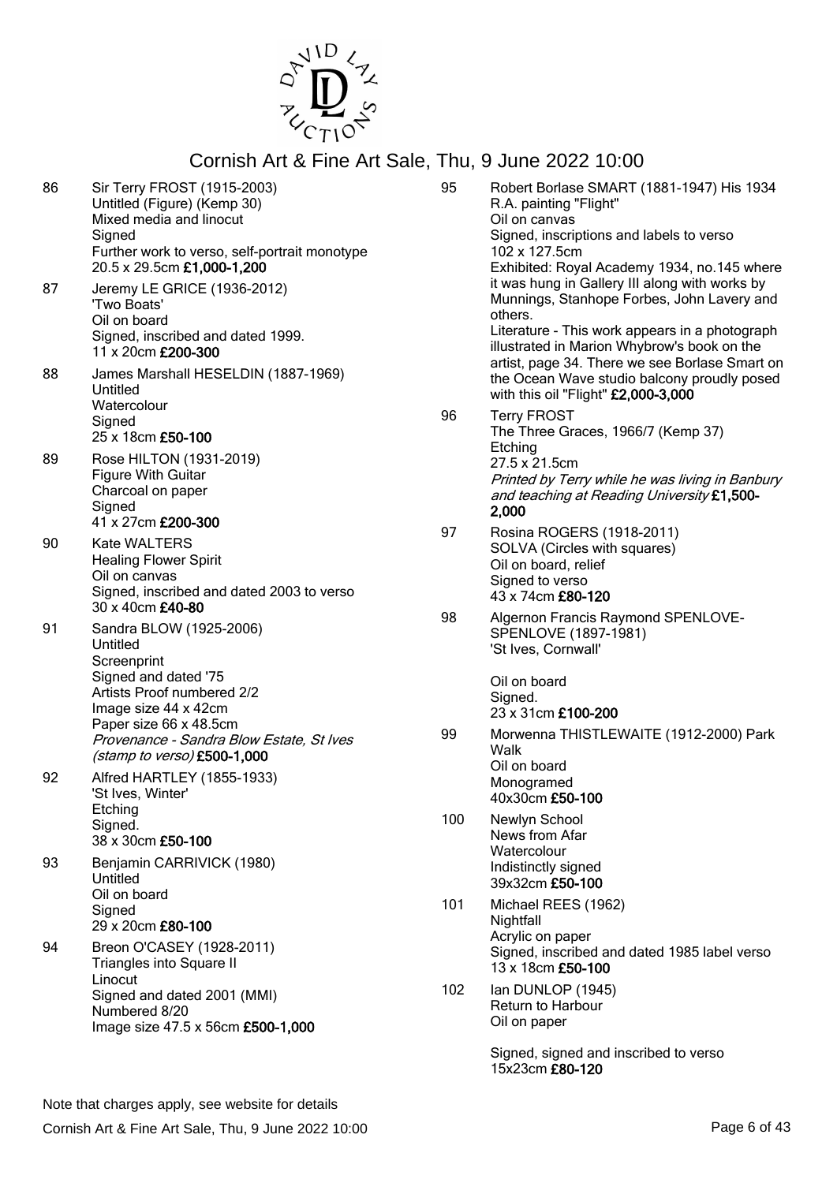

| 86 | Sir Terry FROST (1915-2003)<br>Untitled (Figure) (Kemp 30)<br>Mixed media and linocut<br>Signed<br>Further work to verso, self-portrait monotype<br>20.5 x 29.5cm £1,000-1,200 | 95  | Robert Borlase SMART (1881-1947) His 1934<br>R.A. painting "Flight"<br>Oil on canvas<br>Signed, inscriptions and labels to verso<br>102 x 127.5cm<br>Exhibited: Royal Academy 1934, no.145 where         |
|----|--------------------------------------------------------------------------------------------------------------------------------------------------------------------------------|-----|----------------------------------------------------------------------------------------------------------------------------------------------------------------------------------------------------------|
| 87 | Jeremy LE GRICE (1936-2012)<br>'Two Boats'<br>Oil on board<br>Signed, inscribed and dated 1999.<br>11 x 20cm £200-300                                                          |     | it was hung in Gallery III along with works by<br>Munnings, Stanhope Forbes, John Lavery and<br>others.<br>Literature - This work appears in a photograph<br>illustrated in Marion Whybrow's book on the |
| 88 | James Marshall HESELDIN (1887-1969)<br>Untitled<br>Watercolour                                                                                                                 | 96  | artist, page 34. There we see Borlase Smart on<br>the Ocean Wave studio balcony proudly posed<br>with this oil "Flight" £2,000-3,000<br><b>Terry FROST</b>                                               |
| 89 | Signed<br>25 x 18cm £50-100<br>Rose HILTON (1931-2019)<br>Figure With Guitar<br>Charcoal on paper<br>Signed<br>41 x 27cm £200-300                                              |     | The Three Graces, 1966/7 (Kemp 37)<br>Etching<br>27.5 x 21.5cm<br>Printed by Terry while he was living in Banbury<br>and teaching at Reading University £1,500-<br>2,000                                 |
| 90 | Kate WALTERS<br><b>Healing Flower Spirit</b><br>Oil on canvas<br>Signed, inscribed and dated 2003 to verso<br>30 x 40cm £40-80                                                 | 97  | Rosina ROGERS (1918-2011)<br>SOLVA (Circles with squares)<br>Oil on board, relief<br>Signed to verso<br>43 x 74cm £80-120                                                                                |
| 91 | Sandra BLOW (1925-2006)<br>Untitled<br>Screenprint                                                                                                                             | 98  | Algernon Francis Raymond SPENLOVE-<br>SPENLOVE (1897-1981)<br>'St Ives, Cornwall'                                                                                                                        |
|    | Signed and dated '75<br>Artists Proof numbered 2/2<br>Image size 44 x 42cm<br>Paper size 66 x 48.5cm                                                                           |     | Oil on board<br>Signed.<br>23 x 31cm £100-200                                                                                                                                                            |
| 92 | Provenance - Sandra Blow Estate, St Ives<br>(stamp to verso) £500-1,000<br>Alfred HARTLEY (1855-1933)                                                                          | 99  | Morwenna THISTLEWAITE (1912-2000) Park<br>Walk<br>Oil on board<br>Monogramed                                                                                                                             |
|    | 'St Ives, Winter'<br>Etching<br>Signed.                                                                                                                                        | 100 | 40x30cm £50-100<br>Newlyn School                                                                                                                                                                         |
| 93 | 38 x 30cm £50-100<br>Benjamin CARRIVICK (1980)<br>Untitled                                                                                                                     |     | News from Afar<br>Watercolour<br>Indistinctly signed<br>39x32cm £50-100                                                                                                                                  |
|    | Oil on board<br>Signed<br>29 x 20cm £80-100                                                                                                                                    | 101 | Michael REES (1962)<br>Nightfall<br>Acrylic on paper                                                                                                                                                     |
| 94 | Breon O'CASEY (1928-2011)<br>Triangles into Square II<br>Linocut                                                                                                               |     | Signed, inscribed and dated 1985 label verso<br>13 x 18cm £50-100                                                                                                                                        |
|    | Signed and dated 2001 (MMI)<br>Numbered 8/20<br>Image size 47.5 x 56cm £500-1,000                                                                                              | 102 | Ian DUNLOP (1945)<br><b>Return to Harbour</b><br>Oil on paper                                                                                                                                            |
|    |                                                                                                                                                                                |     | Signed, signed and inscribed to verso<br>15x23cm £80-120                                                                                                                                                 |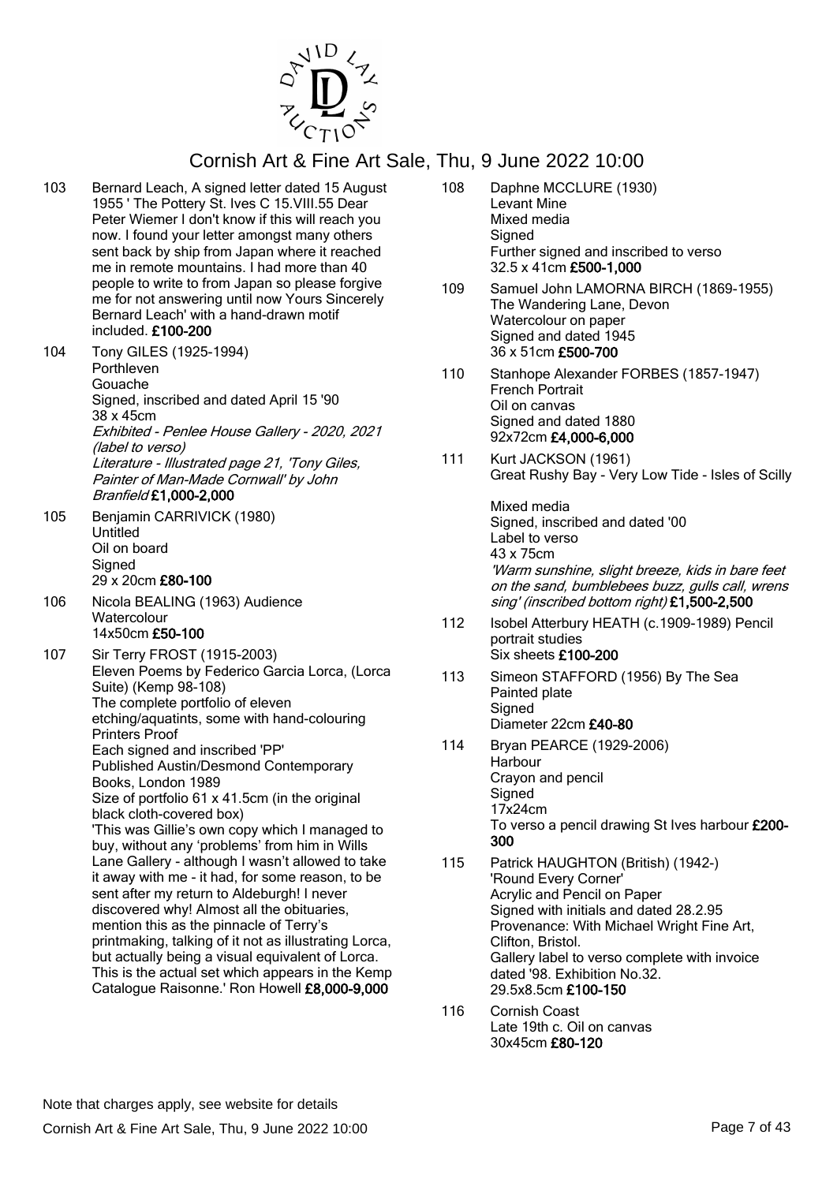

- 103 Bernard Leach, A signed letter dated 15 August 1955 ' The Pottery St. Ives C 15.VIII.55 Dear Peter Wiemer I don't know if this will reach you now. I found your letter amongst many others sent back by ship from Japan where it reached me in remote mountains. I had more than 40 people to write to from Japan so please forgive me for not answering until now Yours Sincerely Bernard Leach' with a hand-drawn motif included. £100-200
- 104 Tony GILES (1925-1994) Porthleven Gouache Signed, inscribed and dated April 15 '90 38 x 45cm Exhibited - Penlee House Gallery - 2020, 2021 (label to verso) Literature - Illustrated page 21, 'Tony Giles, Painter of Man-Made Cornwall' by John Branfield £1,000-2,000
- 105 Benjamin CARRIVICK (1980) Untitled Oil on board **Signed** 29 x 20cm £80-100
- 106 Nicola BEALING (1963) Audience **Watercolour** 14x50cm £50-100
- 107 Sir Terry FROST (1915-2003) Eleven Poems by Federico Garcia Lorca, (Lorca Suite) (Kemp 98-108) The complete portfolio of eleven etching/aquatints, some with hand-colouring Printers Proof Each signed and inscribed 'PP' Published Austin/Desmond Contemporary Books, London 1989 Size of portfolio 61 x 41.5cm (in the original black cloth-covered box) 'This was Gillie's own copy which I managed to buy, without any 'problems' from him in Wills Lane Gallery - although I wasn't allowed to take it away with me - it had, for some reason, to be sent after my return to Aldeburgh! I never discovered why! Almost all the obituaries, mention this as the pinnacle of Terry's printmaking, talking of it not as illustrating Lorca, but actually being a visual equivalent of Lorca. This is the actual set which appears in the Kemp
	- Catalogue Raisonne.' Ron Howell £8,000-9,000
- 108 Daphne MCCLURE (1930) Levant Mine Mixed media **Signed** Further signed and inscribed to verso 32.5 x 41cm £500-1,000
- 109 Samuel John LAMORNA BIRCH (1869-1955) The Wandering Lane, Devon Watercolour on paper Signed and dated 1945 36 x 51cm £500-700
- 110 Stanhope Alexander FORBES (1857-1947) French Portrait Oil on canvas Signed and dated 1880 92x72cm £4,000-6,000
- 111 Kurt JACKSON (1961) Great Rushy Bay - Very Low Tide - Isles of Scilly

Mixed media Signed, inscribed and dated '00 Label to verso 43 x 75cm 'Warm sunshine, slight breeze, kids in bare feet on the sand, bumblebees buzz, gulls call, wrens sing' (inscribed bottom right) £1,500-2,500

- 112 Isobel Atterbury HEATH (c.1909-1989) Pencil portrait studies Six sheets £100-200
- 113 Simeon STAFFORD (1956) By The Sea Painted plate **Signed** Diameter 22cm £40-80
- 114 Bryan PEARCE (1929-2006) Harbour Crayon and pencil **Signed** 17x24cm To verso a pencil drawing St Ives harbour £200- 300
- 115 Patrick HAUGHTON (British) (1942-) 'Round Every Corner' Acrylic and Pencil on Paper Signed with initials and dated 28.2.95 Provenance: With Michael Wright Fine Art, Clifton, Bristol. Gallery label to verso complete with invoice dated '98. Exhibition No.32. 29.5x8.5cm £100-150
- 116 Cornish Coast Late 19th c. Oil on canvas 30x45cm £80-120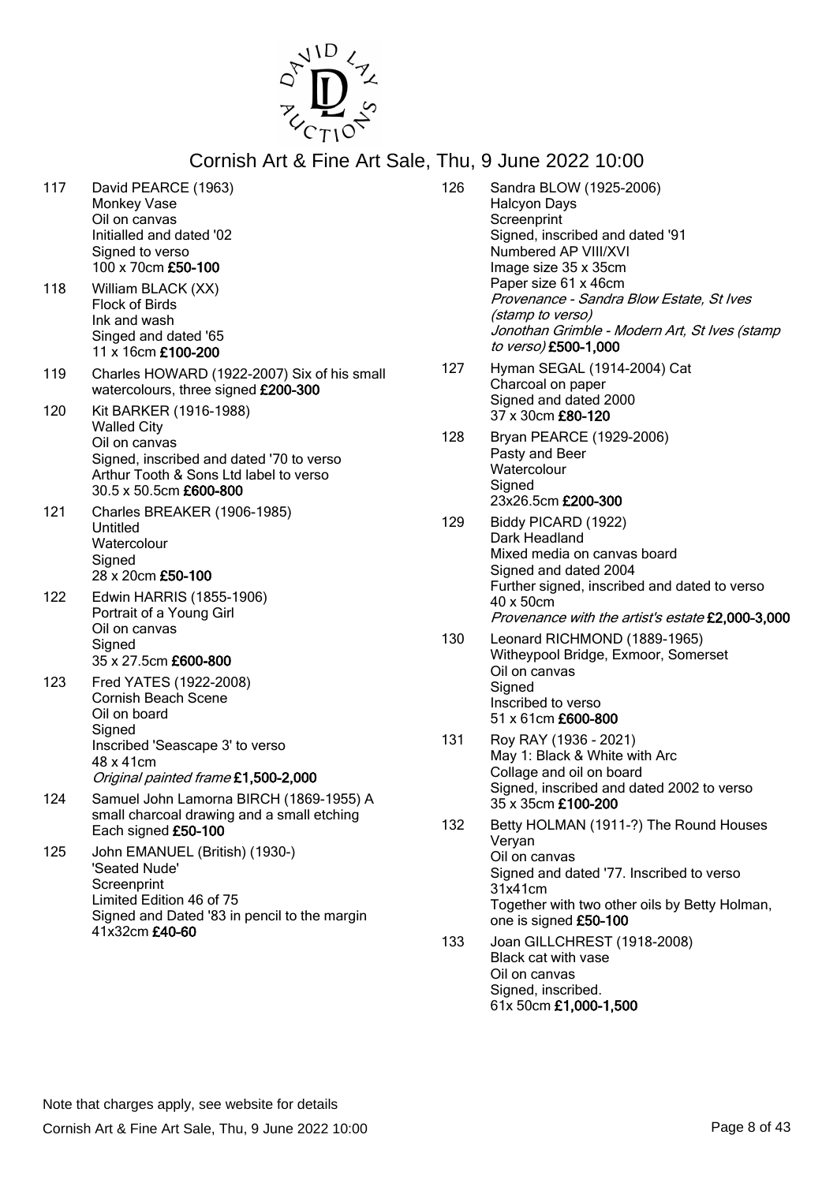

- 117 David PEARCE (1963) Monkey Vase Oil on canvas Initialled and dated '02 Signed to verso 100 x 70cm £50-100
- 118 William BLACK (XX) Flock of Birds Ink and wash Singed and dated '65 11 x 16cm £100-200
- 119 Charles HOWARD (1922-2007) Six of his small watercolours, three signed £200-300
- 120 Kit BARKER (1916-1988) Walled City Oil on canvas Signed, inscribed and dated '70 to verso Arthur Tooth & Sons Ltd label to verso 30.5 x 50.5cm £600-800
- 121 Charles BREAKER (1906-1985) Untitled **Watercolour Signed** 28 x 20cm £50-100
- 122 Edwin HARRIS (1855-1906) Portrait of a Young Girl Oil on canvas **Signed** 35 x 27.5cm £600-800
- 123 Fred YATES (1922-2008) Cornish Beach Scene Oil on board **Signed** Inscribed 'Seascape 3' to verso 48 x 41cm Original painted frame £1,500-2,000
- 124 Samuel John Lamorna BIRCH (1869-1955) A small charcoal drawing and a small etching Each signed £50-100
- 125 John EMANUEL (British) (1930-) 'Seated Nude' **Screenprint** Limited Edition 46 of 75 Signed and Dated '83 in pencil to the margin 41x32cm £40-60

| 126 | Sandra BLOW (1925-2006)<br><b>Halcyon Days</b><br>Screenprint<br>Signed, inscribed and dated '91<br>Numbered AP VIII/XVI<br>Image size 35 x 35cm<br>Paper size 61 x 46cm<br>Provenance - Sandra Blow Estate, St Ives<br>(stamp to verso)<br>Jonothan Grimble - Modern Art, St Ives (stamp<br>to verso) £500-1,000 |
|-----|-------------------------------------------------------------------------------------------------------------------------------------------------------------------------------------------------------------------------------------------------------------------------------------------------------------------|
| 127 | Hyman SEGAL (1914-2004) Cat<br>Charcoal on paper<br>Signed and dated 2000<br>37 x 30cm £80-120                                                                                                                                                                                                                    |
| 128 | Bryan PEARCE (1929-2006)<br>Pasty and Beer<br>Watercolour<br>Signed<br>23x26.5cm £200-300                                                                                                                                                                                                                         |
| 129 | Biddy PICARD (1922)<br>Dark Headland<br>Mixed media on canvas board<br>Signed and dated 2004<br>Further signed, inscribed and dated to verso<br>40 x 50cm<br>Provenance with the artist's estate £2,000-3,000                                                                                                     |
| 130 | Leonard RICHMOND (1889-1965)<br>Witheypool Bridge, Exmoor, Somerset<br>Oil on canvas<br>Signed<br>Inscribed to verso<br>51 x 61cm £600-800                                                                                                                                                                        |
| 131 | Roy RAY (1936 - 2021)<br>May 1: Black & White with Arc<br>Collage and oil on board<br>Signed, inscribed and dated 2002 to verso<br>35 x 35cm <b>£100-200</b>                                                                                                                                                      |
| 132 | Betty HOLMAN (1911-?) The Round Houses<br>Veryan<br>Oil on canvas<br>Signed and dated '77. Inscribed to verso<br>31x41cm<br>Together with two other oils by Betty Holman,<br>one is signed £50-100                                                                                                                |
| 133 | Joan GILLCHREST (1918-2008)<br>Black cat with vase<br>Oil on canvas<br>Signed, inscribed.                                                                                                                                                                                                                         |

61x 50cm £1,000-1,500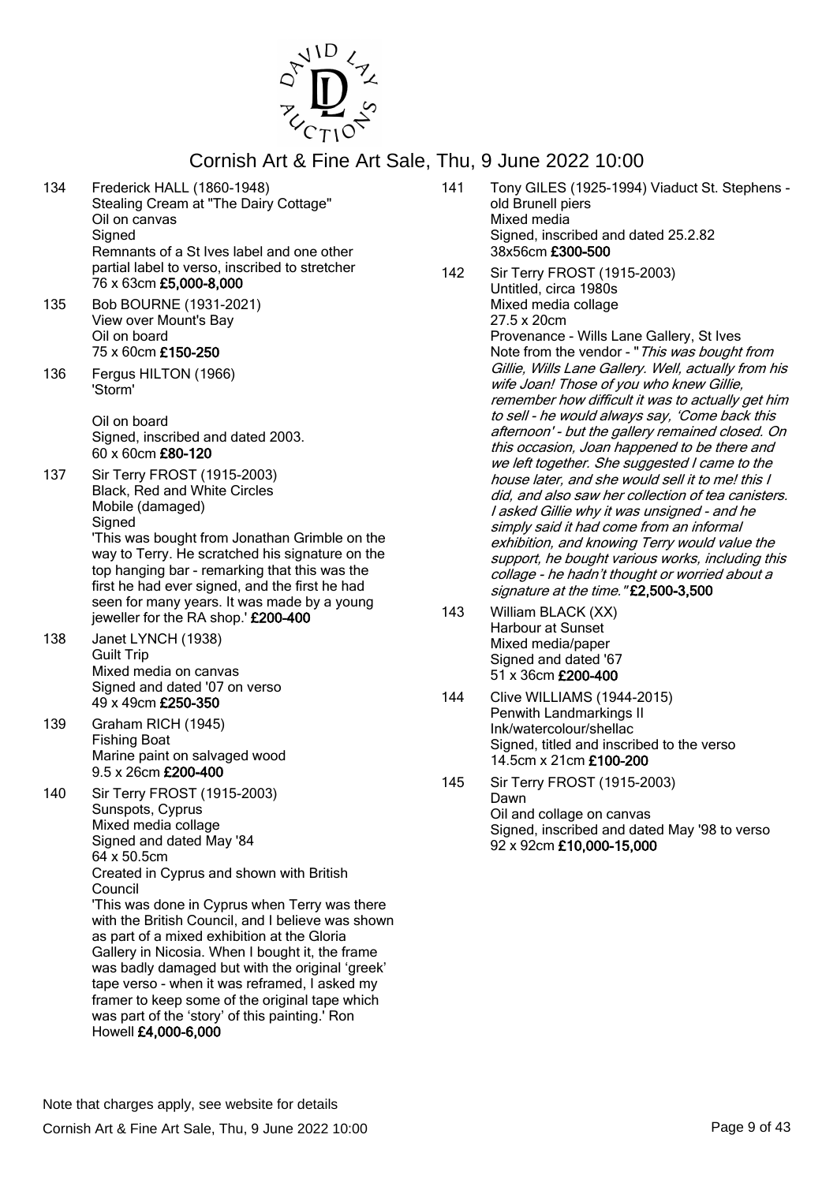

- 134 Frederick HALL (1860-1948) Stealing Cream at "The Dairy Cottage" Oil on canvas **Signed** Remnants of a St Ives label and one other partial label to verso, inscribed to stretcher 76 x 63cm £5,000-8,000
- 135 Bob BOURNE (1931-2021) View over Mount's Bay Oil on board 75 x 60cm £150-250
- 136 Fergus HILTON (1966) 'Storm'

Oil on board Signed, inscribed and dated 2003. 60 x 60cm £80-120

137 Sir Terry FROST (1915-2003) Black, Red and White Circles Mobile (damaged) Signed 'This was bought from Jonathan Grimble on the way to Terry. He scratched his signature on the top hanging bar - remarking that this was the first he had ever signed, and the first he had seen for many years. It was made by a young

jeweller for the RA shop.' £200-400

- 138 Janet LYNCH (1938) Guilt Trip Mixed media on canvas Signed and dated '07 on verso 49 x 49cm £250-350
- 139 Graham RICH (1945) Fishing Boat Marine paint on salvaged wood 9.5 x 26cm £200-400
- 140 Sir Terry FROST (1915-2003) Sunspots, Cyprus Mixed media collage Signed and dated May '84 64 x 50.5cm Created in Cyprus and shown with British Council

'This was done in Cyprus when Terry was there with the British Council, and I believe was shown as part of a mixed exhibition at the Gloria Gallery in Nicosia. When I bought it, the frame was badly damaged but with the original 'greek' tape verso - when it was reframed, I asked my framer to keep some of the original tape which was part of the 'story' of this painting.' Ron Howell £4,000-6,000

- 141 Tony GILES (1925-1994) Viaduct St. Stephens old Brunell piers Mixed media Signed, inscribed and dated 25.2.82 38x56cm £300-500
- 142 Sir Terry FROST (1915-2003) Untitled, circa 1980s Mixed media collage 27.5 x 20cm Provenance - Wills Lane Gallery, St Ives Note from the vendor - "This was bought from Gillie, Wills Lane Gallery. Well, actually from his wife Joan! Those of you who knew Gillie, remember how difficult it was to actually get him to sell - he would always say, 'Come back this

afternoon' - but the gallery remained closed. On this occasion, Joan happened to be there and we left together. She suggested I came to the house later, and she would sell it to me! this I did, and also saw her collection of tea canisters. I asked Gillie why it was unsigned - and he simply said it had come from an informal exhibition, and knowing Terry would value the support, he bought various works, including this collage - he hadn't thought or worried about a signature at the time."£2,500-3,500

- 143 William BLACK (XX) Harbour at Sunset Mixed media/paper Signed and dated '67 51 x 36cm £200-400
- 144 Clive WILLIAMS (1944-2015) Penwith Landmarkings II Ink/watercolour/shellac Signed, titled and inscribed to the verso 14.5cm x 21cm £100-200
- 145 Sir Terry FROST (1915-2003) Dawn Oil and collage on canvas Signed, inscribed and dated May '98 to verso 92 x 92cm £10,000-15,000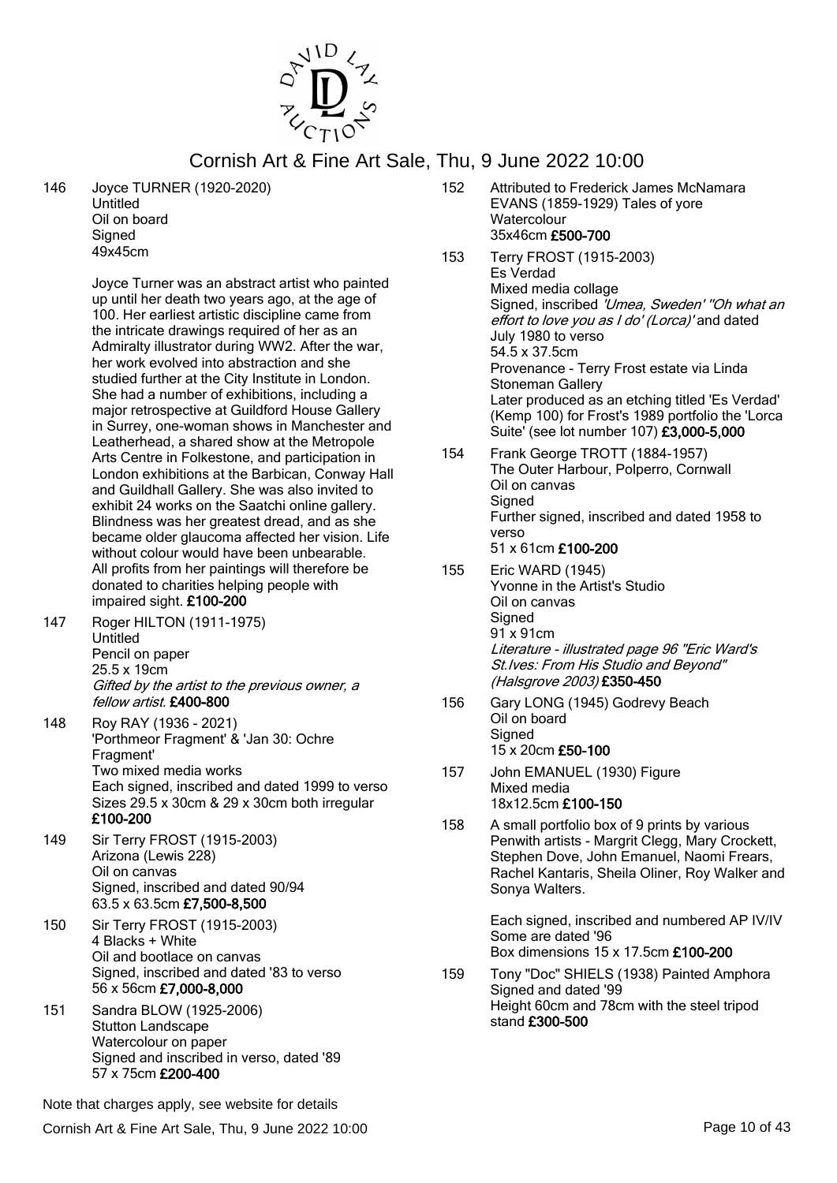

146 Joyce TURNER (1920-2020) Untitled

Oil on board **Signed** 49x45cm

Joyce Turner was an abstract artist who painted up until her death two years ago, at the age of 100. Her earliest artistic discipline came from the intricate drawings required of her as an Admiralty illustrator during WW2. After the war, her work evolved into abstraction and she studied further at the City Institute in London. She had a number of exhibitions, including a major retrospective at Guildford House Gallery in Surrey, one-woman shows in Manchester and Leatherhead, a shared show at the Metropole Arts Centre in Folkestone, and participation in London exhibitions at the Barbican, Conway Hall and Guildhall Gallery. She was also invited to exhibit 24 works on the Saatchi online gallery. Blindness was her greatest dread, and as she became older glaucoma affected her vision. Life without colour would have been unbearable. All profits from her paintings will therefore be donated to charities helping people with impaired sight. £100-200

- 147 Roger HILTON (1911-1975) Untitled Pencil on paper 25.5 x 19cm Gifted by the artist to the previous owner, a fellow artist. £400-800
- 148 Roy RAY (1936 2021) 'Porthmeor Fragment' & 'Jan 30: Ochre Fragment' Two mixed media works Each signed, inscribed and dated 1999 to verso Sizes 29.5 x 30cm & 29 x 30cm both irregular £100-200
- 149 Sir Terry FROST (1915-2003) Arizona (Lewis 228) Oil on canvas Signed, inscribed and dated 90/94 63.5 x 63.5cm £7,500-8,500
- 150 Sir Terry FROST (1915-2003) 4 Blacks + White Oil and bootlace on canvas Signed, inscribed and dated '83 to verso 56 x 56cm £7,000-8,000
- 151 Sandra BLOW (1925-2006) Stutton Landscape Watercolour on paper Signed and inscribed in verso, dated '89 57 x 75cm £200-400

152 Attributed to Frederick James McNamara EVANS (1859-1929) Tales of yore **Watercolour** 35x46cm £500-700

- 153 Terry FROST (1915-2003) Es Verdad Mixed media collage Signed, inscribed 'Umea, Sweden' "Oh what an effort to love you as I do' (Lorca)' and dated July 1980 to verso 54.5 x 37.5cm Provenance - Terry Frost estate via Linda Stoneman Gallery Later produced as an etching titled 'Es Verdad' (Kemp 100) for Frost's 1989 portfolio the 'Lorca Suite' (see lot number 107) £3,000-5,000
- 154 Frank George TROTT (1884-1957) The Outer Harbour, Polperro, Cornwall Oil on canvas **Signed** Further signed, inscribed and dated 1958 to verso 51 x 61cm £100-200
- 155 Eric WARD (1945) Yvonne in the Artist's Studio Oil on canvas **Signed** 91 x 91cm Literature - illustrated page 96 "Eric Ward's St.Ives: From His Studio and Beyond" (Halsgrove 2003) £350-450
- 156 Gary LONG (1945) Godrevy Beach Oil on board **Signed** 15 x 20cm £50-100
- 157 John EMANUEL (1930) Figure Mixed media 18x12.5cm £100-150
- 158 A small portfolio box of 9 prints by various Penwith artists - Margrit Clegg, Mary Crockett, Stephen Dove, John Emanuel, Naomi Frears, Rachel Kantaris, Sheila Oliner, Roy Walker and Sonya Walters.

Each signed, inscribed and numbered AP IV/IV Some are dated '96 Box dimensions 15 x 17.5cm £100-200

159 Tony "Doc" SHIELS (1938) Painted Amphora Signed and dated '99 Height 60cm and 78cm with the steel tripod stand £300-500

Note that charges apply, see website for details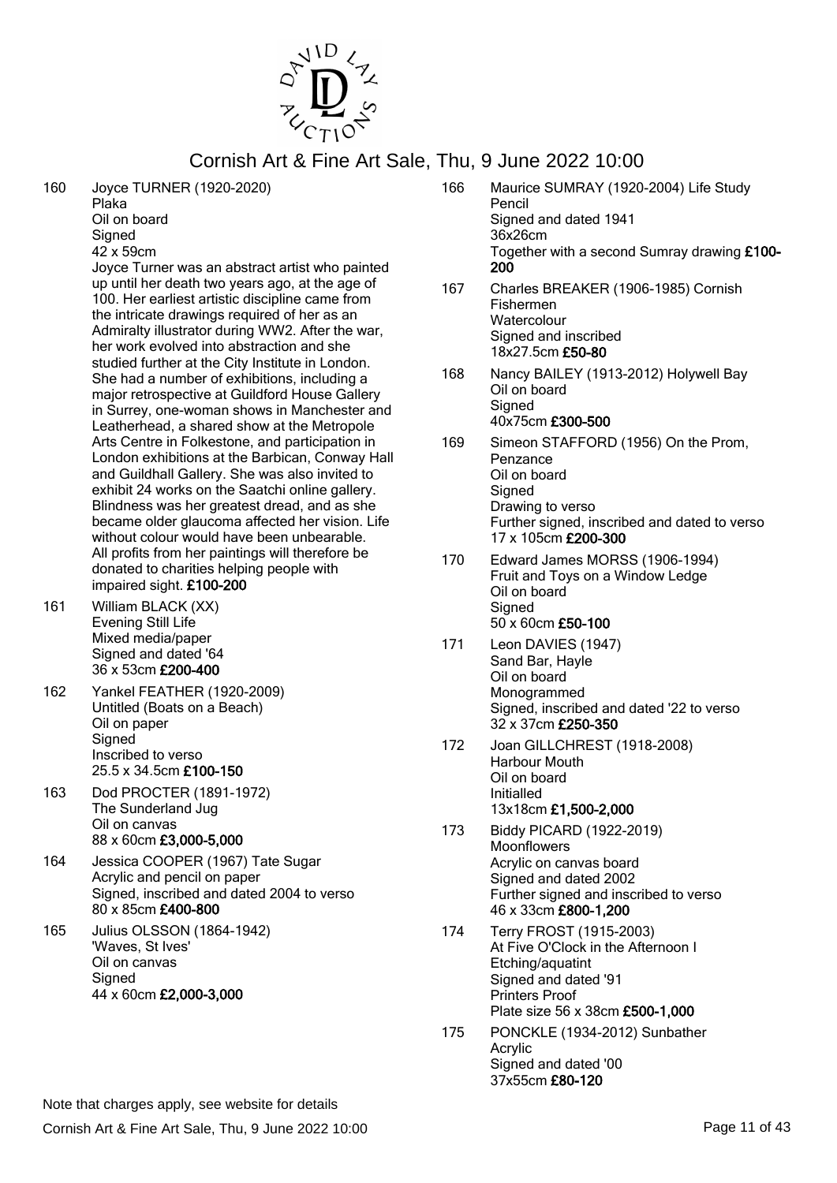

160 Joyce TURNER (1920-2020)

Plaka Oil on board **Signed** 42 x 59cm

Joyce Turner was an abstract artist who painted up until her death two years ago, at the age of 100. Her earliest artistic discipline came from the intricate drawings required of her as an Admiralty illustrator during WW2. After the war, her work evolved into abstraction and she studied further at the City Institute in London. She had a number of exhibitions, including a major retrospective at Guildford House Gallery in Surrey, one-woman shows in Manchester and Leatherhead, a shared show at the Metropole Arts Centre in Folkestone, and participation in London exhibitions at the Barbican, Conway Hall and Guildhall Gallery. She was also invited to exhibit 24 works on the Saatchi online gallery. Blindness was her greatest dread, and as she became older glaucoma affected her vision. Life without colour would have been unbearable. All profits from her paintings will therefore be donated to charities helping people with impaired sight. £100-200

- 161 William BLACK (XX) Evening Still Life Mixed media/paper Signed and dated '64 36 x 53cm £200-400
- 162 Yankel FEATHER (1920-2009) Untitled (Boats on a Beach) Oil on paper **Signed** Inscribed to verso 25.5 x 34.5cm £100-150
- 163 Dod PROCTER (1891-1972) The Sunderland Jug Oil on canvas 88 x 60cm £3,000-5,000
- 164 Jessica COOPER (1967) Tate Sugar Acrylic and pencil on paper Signed, inscribed and dated 2004 to verso 80 x 85cm £400-800
- 165 Julius OLSSON (1864-1942) 'Waves, St Ives' Oil on canvas **Signed** 44 x 60cm £2,000-3,000
- 166 Maurice SUMRAY (1920-2004) Life Study Pencil Signed and dated 1941 36x26cm Together with a second Sumray drawing £100- 200
- 167 Charles BREAKER (1906-1985) Cornish Fishermen **Watercolour** Signed and inscribed 18x27.5cm £50-80
- 168 Nancy BAILEY (1913-2012) Holywell Bay Oil on board **Signed** 40x75cm £300-500
- 169 Simeon STAFFORD (1956) On the Prom, Penzance Oil on board **Signed** Drawing to verso Further signed, inscribed and dated to verso 17 x 105cm £200-300
- 170 Edward James MORSS (1906-1994) Fruit and Toys on a Window Ledge Oil on board **Signed** 50 x 60cm £50-100
- 171 Leon DAVIES (1947) Sand Bar, Hayle Oil on board Monogrammed Signed, inscribed and dated '22 to verso 32 x 37cm £250-350
- 172 Joan GILLCHREST (1918-2008) Harbour Mouth Oil on board Initialled 13x18cm £1,500-2,000
- 173 Biddy PICARD (1922-2019) **Moonflowers** Acrylic on canvas board Signed and dated 2002 Further signed and inscribed to verso 46 x 33cm £800-1,200
- 174 Terry FROST (1915-2003) At Five O'Clock in the Afternoon I Etching/aquatint Signed and dated '91 Printers Proof Plate size 56 x 38cm £500-1,000
- 175 PONCKLE (1934-2012) Sunbather Acrylic Signed and dated '00 37x55cm £80-120

Cornish Art & Fine Art Sale, Thu, 9 June 2022 10:00 Page 11 of 43 Note that charges apply, see website for details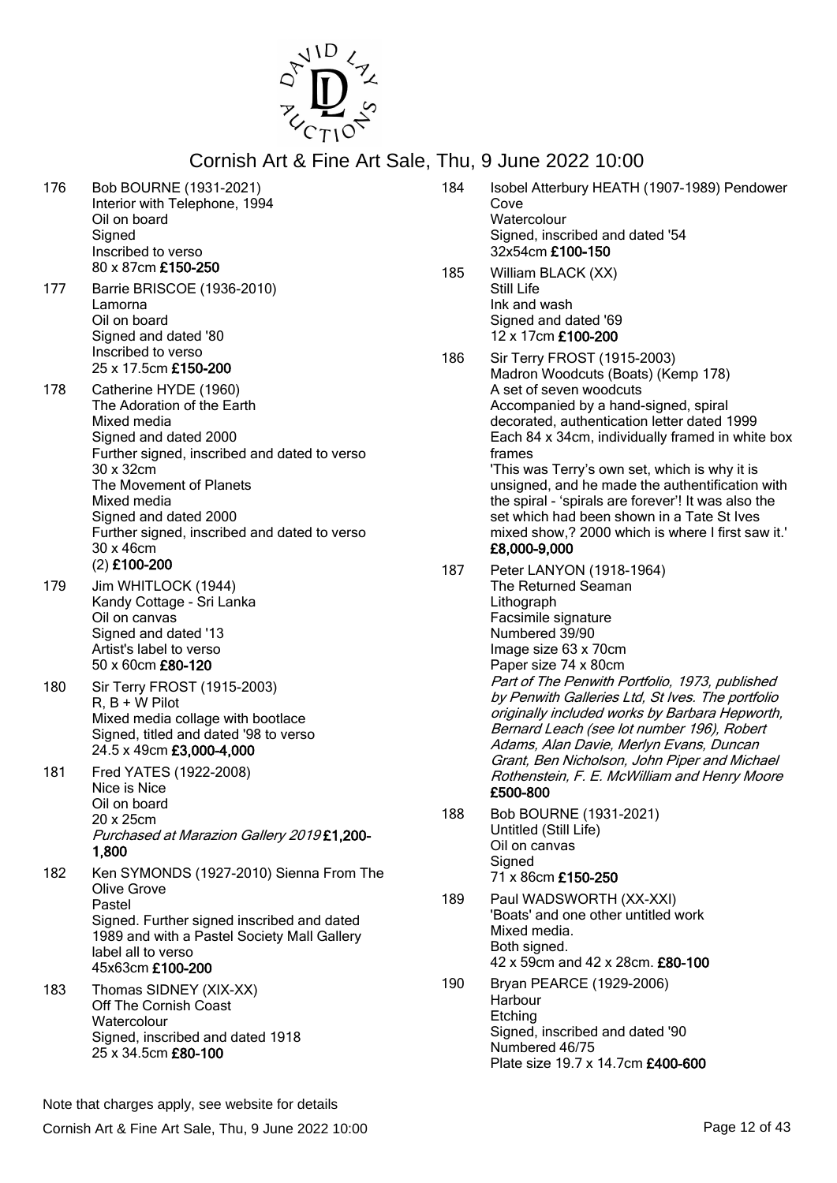

- 176 Bob BOURNE (1931-2021) Interior with Telephone, 1994 Oil on board **Signed** Inscribed to verso 80 x 87cm £150-250
- 177 Barrie BRISCOE (1936-2010) Lamorna Oil on board Signed and dated '80 Inscribed to verso 25 x 17.5cm £150-200
- 178 Catherine HYDE (1960) The Adoration of the Earth Mixed media Signed and dated 2000 Further signed, inscribed and dated to verso 30 x 32cm The Movement of Planets Mixed media Signed and dated 2000 Further signed, inscribed and dated to verso 30 x 46cm (2) £100-200
- 179 Jim WHITLOCK (1944) Kandy Cottage - Sri Lanka Oil on canvas Signed and dated '13 Artist's label to verso 50 x 60cm £80-120
- 180 Sir Terry FROST (1915-2003)  $R, B + W$  Pilot Mixed media collage with bootlace Signed, titled and dated '98 to verso 24.5 x 49cm £3,000-4,000
- 181 Fred YATES (1922-2008) Nice is Nice Oil on board 20 x 25cm Purchased at Marazion Gallery 2019 £1,200- 1,800
- 182 Ken SYMONDS (1927-2010) Sienna From The Olive Grove Pastel Signed. Further signed inscribed and dated 1989 and with a Pastel Society Mall Gallery label all to verso 45x63cm £100-200
- 183 Thomas SIDNEY (XIX-XX) Off The Cornish Coast **Watercolour** Signed, inscribed and dated 1918 25 x 34.5cm £80-100

| vaiv, |     | $1110, 00010$ $2022$ $10.00$                                                                                                                                                                                                                                                                                                                                                                                                                                                                                                    |
|-------|-----|---------------------------------------------------------------------------------------------------------------------------------------------------------------------------------------------------------------------------------------------------------------------------------------------------------------------------------------------------------------------------------------------------------------------------------------------------------------------------------------------------------------------------------|
|       | 184 | Isobel Atterbury HEATH (1907-1989) Pendower<br>Cove<br>Watercolour<br>Signed, inscribed and dated '54<br>32x54cm £100-150                                                                                                                                                                                                                                                                                                                                                                                                       |
|       | 185 | William BLACK (XX)<br>Still Life<br>Ink and wash<br>Signed and dated '69<br>12 x 17cm £100-200                                                                                                                                                                                                                                                                                                                                                                                                                                  |
|       | 186 | Sir Terry FROST (1915-2003)<br>Madron Woodcuts (Boats) (Kemp 178)<br>A set of seven woodcuts<br>Accompanied by a hand-signed, spiral<br>decorated, authentication letter dated 1999<br>Each 84 x 34cm, individually framed in white box<br>frames<br>'This was Terry's own set, which is why it is<br>unsigned, and he made the authentification with<br>the spiral - 'spirals are forever'! It was also the<br>set which had been shown in a Tate St Ives<br>mixed show,? 2000 which is where I first saw it.'<br>£8,000-9,000 |
|       | 187 | Peter LANYON (1918-1964)<br>The Returned Seaman<br>Lithograph<br>Facsimile signature<br>Numbered 39/90<br>Image size 63 x 70cm<br>Paper size 74 x 80cm<br>Part of The Penwith Portfolio, 1973, published<br>by Penwith Galleries Ltd, St Ives. The portfolio<br>originally included works by Barbara Hepworth,<br>Bernard Leach (see lot number 196), Robert<br>Adams, Alan Davie, Merlyn Evans, Duncan<br>Grant, Ben Nicholson, John Piper and Michael<br>Rothenstein, F. E. McWilliam and Henry Moore<br>£500-800             |
|       | 188 | Bob BOURNE (1931-2021)<br>Untitled (Still Life)<br>Oil on canvas<br>Signed<br>71 x 86cm £150-250                                                                                                                                                                                                                                                                                                                                                                                                                                |
|       | 189 | Paul WADSWORTH (XX-XXI)<br>'Boats' and one other untitled work<br>Mixed media.<br>Both signed.<br>42 x 59cm and 42 x 28cm. £80-100                                                                                                                                                                                                                                                                                                                                                                                              |
|       | 190 | Bryan PEARCE (1929-2006)<br>Harbour<br>Etching<br>Signed, inscribed and dated '90<br>Numbered 46/75                                                                                                                                                                                                                                                                                                                                                                                                                             |

Plate size 19.7 x 14.7cm £400-600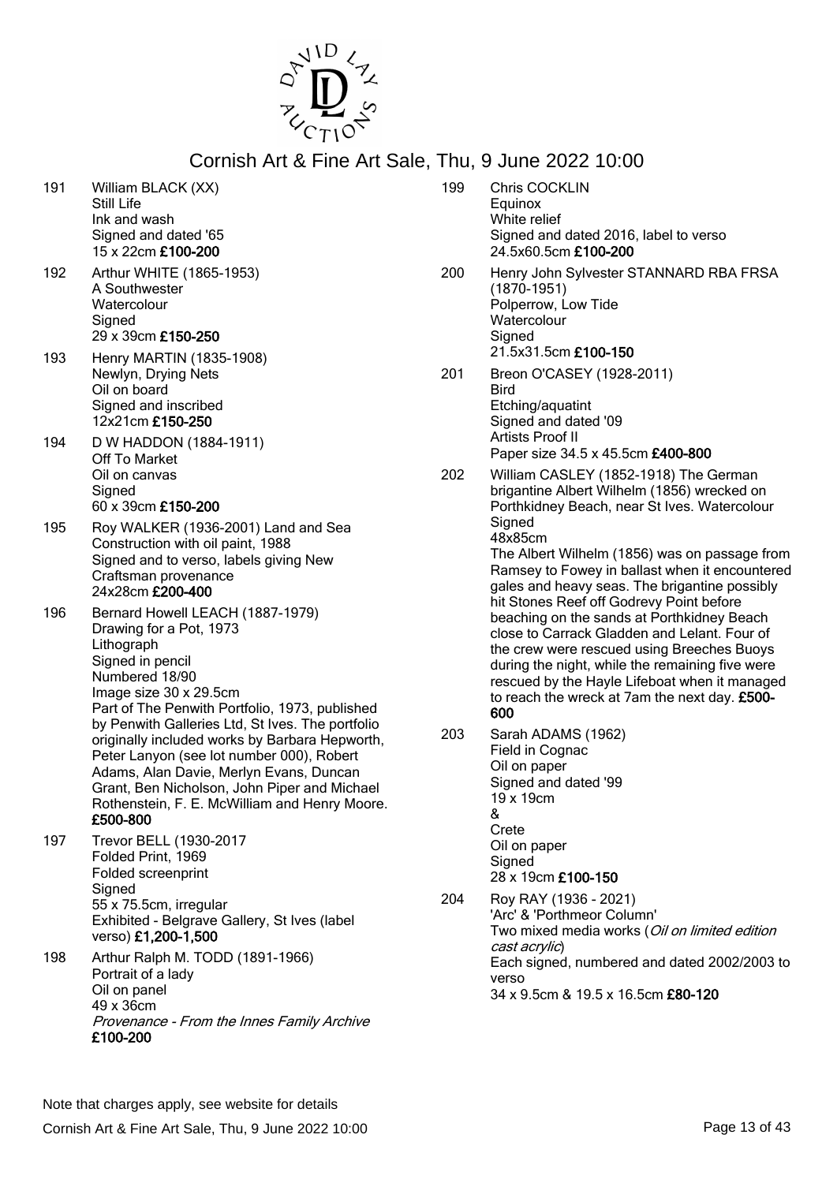

199 Chris COCKLIN

- 191 William BLACK (XX) Still Life Ink and wash Signed and dated '65 15 x 22cm £100-200 192 Arthur WHITE (1865-1953) A Southwester **Watercolour Signed** 29 x 39cm £150-250 193 Henry MARTIN (1835-1908) Newlyn, Drying Nets Oil on board Signed and inscribed 12x21cm £150-250 194 D W HADDON (1884-1911) Off To Market Oil on canvas **Signed** 60 x 39cm £150-200 195 Roy WALKER (1936-2001) Land and Sea Construction with oil paint, 1988 Signed and to verso, labels giving New Craftsman provenance 24x28cm £200-400 196 Bernard Howell LEACH (1887-1979) Drawing for a Pot, 1973 Lithograph Signed in pencil Numbered 18/90 Image size 30 x 29.5cm Part of The Penwith Portfolio, 1973, published by Penwith Galleries Ltd, St Ives. The portfolio originally included works by Barbara Hepworth, Peter Lanyon (see lot number 000), Robert Adams, Alan Davie, Merlyn Evans, Duncan Grant, Ben Nicholson, John Piper and Michael Rothenstein, F. E. McWilliam and Henry Moore. £500-800 197 Trevor BELL (1930-2017 Folded Print, 1969 Folded screenprint **Signed** 55 x 75.5cm, irregular Exhibited - Belgrave Gallery, St Ives (label verso) £1,200-1,500 198 Arthur Ralph M. TODD (1891-1966) Portrait of a lady Oil on panel
	- 49 x 36cm Provenance - From the Innes Family Archive £100-200
- Equinox White relief Signed and dated 2016, label to verso 24.5x60.5cm £100-200 200 Henry John Sylvester STANNARD RBA FRSA (1870-1951) Polperrow, Low Tide **Watercolour** Signed 21.5x31.5cm £100-150 201 Breon O'CASEY (1928-2011) Bird Etching/aquatint Signed and dated '09 Artists Proof II Paper size 34.5 x 45.5cm £400-800
- 202 William CASLEY (1852-1918) The German brigantine Albert Wilhelm (1856) wrecked on Porthkidney Beach, near St Ives. Watercolour **Signed** 48x85cm The Albert Wilhelm (1856) was on passage from Ramsey to Fowey in ballast when it encountered gales and heavy seas. The brigantine possibly hit Stones Reef off Godrevy Point before

beaching on the sands at Porthkidney Beach close to Carrack Gladden and Lelant. Four of the crew were rescued using Breeches Buoys during the night, while the remaining five were rescued by the Hayle Lifeboat when it managed to reach the wreck at 7am the next day. £500- 600

- 203 Sarah ADAMS (1962) Field in Cognac Oil on paper Signed and dated '99 19 x 19cm & Crete Oil on paper Signed 28 x 19cm £100-150
- 204 Roy RAY (1936 2021) 'Arc' & 'Porthmeor Column' Two mixed media works (Oil on limited edition cast acrylic) Each signed, numbered and dated 2002/2003 to verso 34 x 9.5cm & 19.5 x 16.5cm £80-120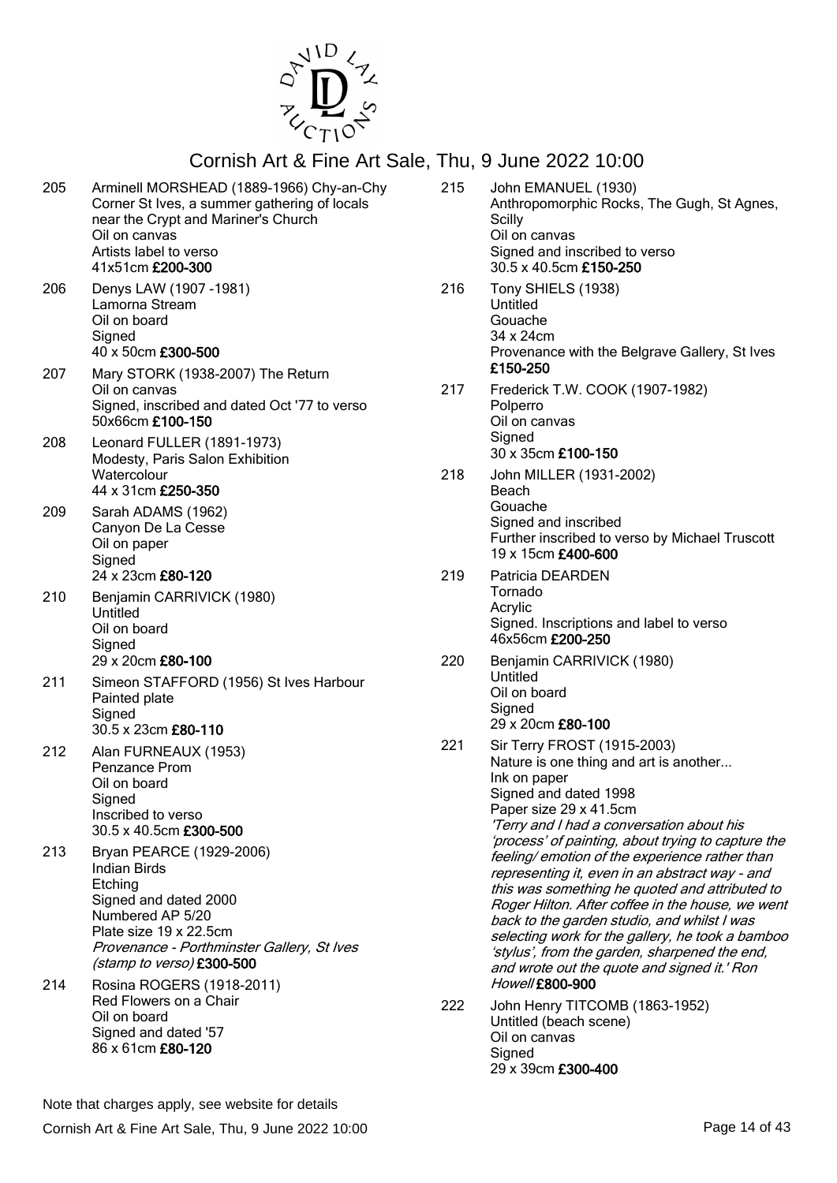

| 205        | Arminell MORSHEAD (1889-1966) Chy-an-Chy<br>Corner St Ives, a summer gathering of locals<br>near the Crypt and Mariner's Church<br>Oil on canvas<br>Artists label to verso<br>41x51cm £200-300                                            | 215 | John EMANUEL (193<br>Anthropomorphic Ro<br>Scilly<br>Oil on canvas<br>Signed and inscribed<br>30.5 x 40.5cm £150-3                                                                                                       |
|------------|-------------------------------------------------------------------------------------------------------------------------------------------------------------------------------------------------------------------------------------------|-----|--------------------------------------------------------------------------------------------------------------------------------------------------------------------------------------------------------------------------|
| 206        | Denys LAW (1907 - 1981)<br>Lamorna Stream<br>Oil on board<br>Signed<br>40 x 50cm £300-500                                                                                                                                                 | 216 | Tony SHIELS (1938)<br>Untitled<br>Gouache<br>34 x 24cm<br>Provenance with the<br>£150-250                                                                                                                                |
| 207        | Mary STORK (1938-2007) The Return<br>Oil on canvas<br>Signed, inscribed and dated Oct '77 to verso<br>50x66cm £100-150                                                                                                                    | 217 | Frederick T.W. COO<br>Polperro<br>Oil on canvas                                                                                                                                                                          |
| 208        | Leonard FULLER (1891-1973)<br>Modesty, Paris Salon Exhibition<br>Watercolour<br>44 x 31cm £250-350                                                                                                                                        | 218 | Signed<br>30 x 35cm £100-150<br>John MILLER (1931-<br>Beach                                                                                                                                                              |
| 209        | Sarah ADAMS (1962)<br>Canyon De La Cesse<br>Oil on paper<br>Signed                                                                                                                                                                        |     | Gouache<br>Signed and inscribed<br>Further inscribed to y<br>19 x 15cm £400-600                                                                                                                                          |
| 210        | 24 x 23cm £80-120<br>Benjamin CARRIVICK (1980)<br>Untitled<br>Oil on board<br>Signed                                                                                                                                                      | 219 | Patricia DEARDEN<br>Tornado<br>Acrylic<br>Signed. Inscriptions a<br>46x56cm £200-250                                                                                                                                     |
| 211        | 29 x 20cm £80-100<br>Simeon STAFFORD (1956) St Ives Harbour<br>Painted plate<br>Signed<br>30.5 x 23cm £80-110                                                                                                                             | 220 | Benjamin CARRIVIC<br>Untitled<br>Oil on board<br>Signed<br>29 x 20cm £80-100                                                                                                                                             |
| 212        | Alan FURNEAUX (1953)<br>Penzance Prom<br>Oil on board<br>Signed<br>Inscribed to verso<br>30.5 x 40.5cm £300-500                                                                                                                           | 221 | Sir Terry FROST (19<br>Nature is one thing a<br>Ink on paper<br>Signed and dated 19<br>Paper size 29 x 41.5<br>'Terry and I had a co<br>'process' of painting,                                                           |
| 213<br>214 | Bryan PEARCE (1929-2006)<br><b>Indian Birds</b><br>Etching<br>Signed and dated 2000<br>Numbered AP 5/20<br>Plate size 19 x 22.5cm<br>Provenance - Porthminster Gallery, St Ives<br>(stamp to verso) £300-500<br>Rosina ROGERS (1918-2011) |     | feeling/emotion of th<br>representing it, even<br>this was something h<br>Roger Hilton. After c<br>back to the garden si<br>selecting work for the<br>'stylus', from the gard<br>and wrote out the qu<br>Howell £800-900 |
|            | Red Flowers on a Chair<br>Oil on board<br>Signed and dated '57<br>86 x 61cm £80-120                                                                                                                                                       | 222 | John Henry TITCOM<br>Untitled (beach scen<br>Oil on canvas<br>Signed<br>29 x 39cm £300-400                                                                                                                               |

1n EMANUEL (1930) thropomorphic Rocks, The Gugh, St Agnes, illy on canvas Ined and inscribed to verso  $5 \times 40.5$ cm £150-250 ny SHIELS (1938) Untitled uache 34 x 24cm ovenance with the Belgrave Gallery, St Ives £150-250 ederick T.W. COOK (1907-1982) Iperro on canvas Ined x 35cm £100-150 hn MILLER (1931-2002) ach **uache** Signed and inscribed rther inscribed to verso by Michael Truscott 19 x 15cm £400-600 tricia DEARDEN mado rylic ined. Inscriptions and label to verso x56cm **£200-250** njamin CARRIVICK (1980) titled on board Ined 29 x 20cm £80-100 Terry FROST (1915-2003) ture is one thing and art is another... on paper Signed and dated 1998  $\overline{p}$ per size 29 x 41.5cm .<br>erry and I had a conversation about his ocess' of painting, about trying to capture the eling/ emotion of the experience rather than presenting it, even in an abstract way - and is was something he quoted and attributed to nger Hilton. After coffee in the house, we went ck to the garden studio, and whilst I was lecting work for the gallery, he took a bamboo vlus', from the garden, sharpened the end, d wrote out the quote and signed it.' Ron well £800-900 hn Henry TITCOMB (1863-1952) titled (beach scene) on canvas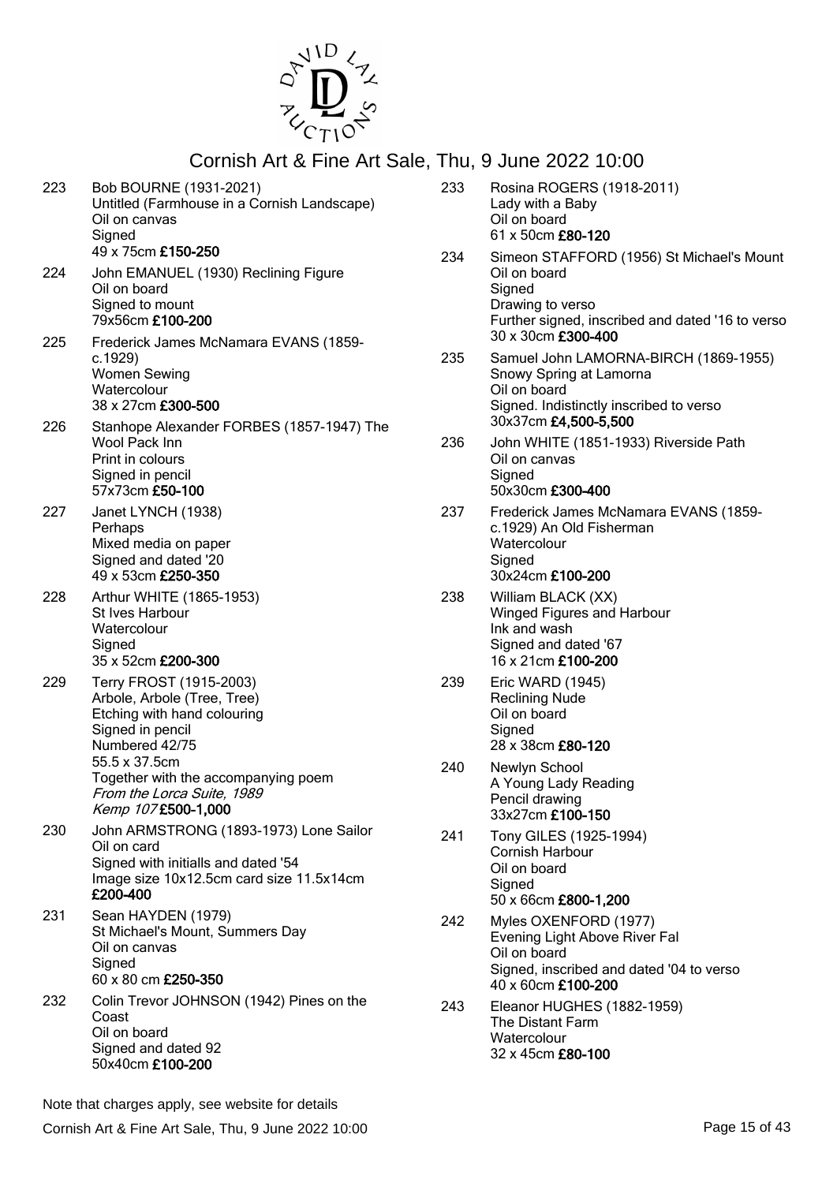

| 223 | Bob BOURNE (1931-2021)<br>Untitled (Farmhouse in a Cornish Landscape)<br>Oil on canvas<br>Signed<br>49 x 75cm £150-250                                                                                                                  |
|-----|-----------------------------------------------------------------------------------------------------------------------------------------------------------------------------------------------------------------------------------------|
| 224 | John EMANUEL (1930) Reclining Figure<br>Oil on board<br>Signed to mount<br>79x56cm £100-200                                                                                                                                             |
| 225 | Frederick James McNamara EVANS (1859-<br>c.1929)<br><b>Women Sewing</b><br>Watercolour<br>38 x 27cm £300-500                                                                                                                            |
| 226 | Stanhope Alexander FORBES (1857-1947) The<br>Wool Pack Inn<br>Print in colours<br>Signed in pencil<br>57x73cm £50-100                                                                                                                   |
| 227 | Janet LYNCH (1938)<br>Perhaps<br>Mixed media on paper<br>Signed and dated '20<br>49 x 53cm £250-350                                                                                                                                     |
| 228 | Arthur WHITE (1865-1953)<br>St Ives Harbour<br>Watercolour<br>Signed<br>35 x 52cm £200-300                                                                                                                                              |
| 229 | Terry FROST (1915-2003)<br>Arbole, Arbole (Tree, Tree)<br>Etching with hand colouring<br>Signed in pencil<br>Numbered 42/75<br>55.5 x 37.5cm<br>Together with the accompanying poem<br>From the Lorca Suite, 1989<br>Kemp 107£500-1,000 |
| 230 | John ARMSTRONG (1893-1973) Lone Sailor<br>Oil on card<br>Signed with initialls and dated '54<br>Image size 10x12.5cm card size 11.5x14cm<br>£200-400                                                                                    |
| 231 | Sean HAYDEN (1979)<br>St Michael's Mount, Summers Day<br>Oil on canvas<br>Signed<br>60 x 80 cm £250-350                                                                                                                                 |
| 232 | Colin Trevor JOHNSON (1942) Pines on the<br>Coast<br>Oil on board<br>Signed and dated 92<br>50x40cm £100-200                                                                                                                            |

| 233 | Rosina ROGERS (1918-2011)<br>Lady with a Baby<br>Oil on board<br>61 x 50cm £80-120                                                                                |
|-----|-------------------------------------------------------------------------------------------------------------------------------------------------------------------|
| 234 | Simeon STAFFORD (1956) St Michael's Mount<br>Oil on board<br>Signed<br>Drawing to verso<br>Further signed, inscribed and dated '16 to verso<br>30 x 30cm £300-400 |
| 235 | Samuel John LAMORNA-BIRCH (1869-1955)<br>Snowy Spring at Lamorna<br>Oil on board<br>Signed. Indistinctly inscribed to verso<br>30x37cm £4,500-5,500               |
| 236 | John WHITE (1851-1933) Riverside Path<br>Oil on canvas<br>Signed<br>50x30cm £300-400                                                                              |
| 237 | Frederick James McNamara EVANS (1859-<br>c.1929) An Old Fisherman<br>Watercolour<br>Signed<br>30x24cm £100-200                                                    |
| 238 | William BLACK (XX)<br>Winged Figures and Harbour<br>Ink and wash<br>Signed and dated '67<br>16 x 21cm £100-200                                                    |
| 239 | Eric WARD (1945)<br><b>Reclining Nude</b><br>Oil on board<br>Signed<br>28 x 38cm £80-120                                                                          |
| 240 | Newlyn School<br>A Young Lady Reading<br>Pencil drawing<br>33x27cm £100-150                                                                                       |
| 241 | Tony GILES (1925-1994)<br><b>Cornish Harbour</b><br>Oil on board<br>Signed<br>50 x 66cm £800-1,200                                                                |
| 242 | Myles OXENFORD (1977)<br>Evening Light Above River Fal<br>Oil on board<br>Signed, inscribed and dated '04 to verso<br>40 x 60cm £100-200                          |
| 243 | Eleanor HUGHES (1882-1959)<br>The Distant Farm<br>Watercolour<br>32 x 45cm £80-100                                                                                |

Note that charges apply, see website for details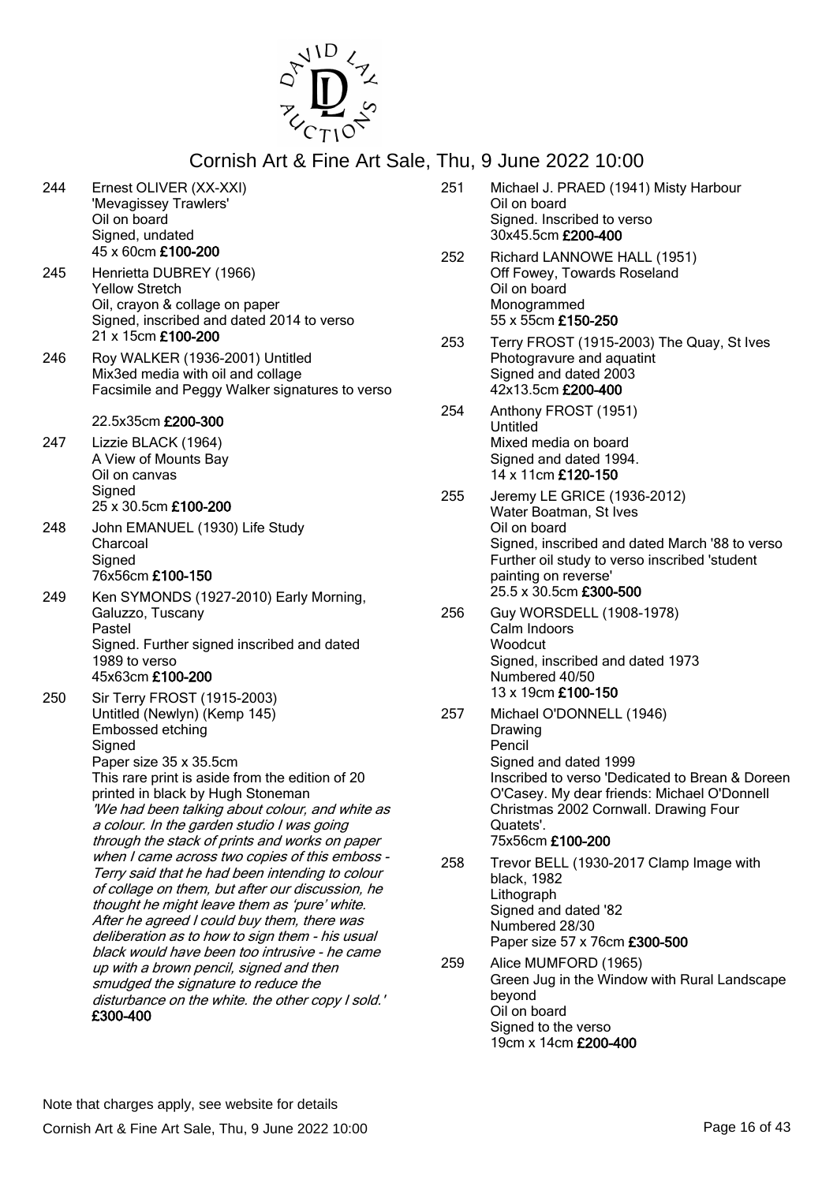

| 244 | Ernest OLIVER (XX-XXI)<br>'Mevagissey Trawlers'<br>Oil on board<br>Signed, undated<br>45 x 60cm £100-200                                              |
|-----|-------------------------------------------------------------------------------------------------------------------------------------------------------|
| 245 | Henrietta DUBREY (1966)<br><b>Yellow Stretch</b><br>Oil, crayon & collage on paper<br>Signed, inscribed and dated 2014 to verso<br>21 x 15cm £100-200 |
| 246 | Roy WALKER (1936-2001) Untitled<br>Mix3ed media with oil and collage<br>Facsimile and Peggy Walker signatures to verso                                |
|     | 22.5x35cm £200-300                                                                                                                                    |
| 247 | Lizzie BLACK (1964)<br>A View of Mounts Bay<br>Oil on canvas<br>Signed<br>25 x 30.5cm £100-200                                                        |
| 248 |                                                                                                                                                       |
|     | John EMANUEL (1930) Life Study<br>Charcoal<br>Signed<br>76x56cm £100-150                                                                              |
| 249 | Ken SYMONDS (1927-2010) Early Morning,<br>Galuzzo, Tuscany<br>Pastel<br>Signed. Further signed inscribed and dated                                    |
|     | 1989 to verso<br>45x63cm £100-200                                                                                                                     |
| 250 | Sir Terry FROST (1915-2003)<br>Untitled (Newlyn) (Kemp 145)<br>Embossed etching<br>Signed                                                             |
|     | Paper size 35 x 35.5cm                                                                                                                                |
|     | This rare print is aside from the edition of 20<br>printed in black by Hugh Stoneman                                                                  |
|     | 'We had been talking about colour, and white as                                                                                                       |
|     | a colour. In the garden studio I was going                                                                                                            |
|     | through the stack of prints and works on paper<br>when I came across two copies of this emboss -                                                      |
|     | Terry said that he had been intending to colour                                                                                                       |
|     | of collage on them, but after our discussion, he<br>thought he might leave them as 'pure' white.                                                      |
|     | After he agreed I could buy them, there was                                                                                                           |
|     | deliberation as to how to sign them - his usual                                                                                                       |
|     | black would have been too intrusive - he came<br>up with a brown pencil, signed and then                                                              |
|     | smudged the signature to reduce the                                                                                                                   |
|     | disturbance on the white. the other copy I sold.'<br>£300-400                                                                                         |

| 251 | Michael J. PRAED (1941) Misty Harbour<br>Oil on board<br>Signed. Inscribed to verso<br>30x45.5cm £200-400                                                                                                                                          |
|-----|----------------------------------------------------------------------------------------------------------------------------------------------------------------------------------------------------------------------------------------------------|
| 252 | Richard LANNOWE HALL (1951)<br>Off Fowey, Towards Roseland<br>Oil on board<br>Monogrammed<br>55 x 55cm £150-250                                                                                                                                    |
| 253 | Terry FROST (1915-2003) The Quay, St Ives<br>Photogravure and aquatint<br>Signed and dated 2003<br>42x13.5cm £200-400                                                                                                                              |
| 254 | Anthony FROST (1951)<br>Untitled<br>Mixed media on board<br>Signed and dated 1994.<br>14 x 11cm £120-150                                                                                                                                           |
| 255 | Jeremy LE GRICE (1936-2012)<br>Water Boatman, St Ives<br>Oil on board<br>Signed, inscribed and dated March '88 to verso<br>Further oil study to verso inscribed 'student<br>painting on reverse'<br>25.5 x 30.5cm £300-500                         |
| 256 | Guy WORSDELL (1908-1978)<br>Calm Indoors<br>Woodcut<br>Signed, inscribed and dated 1973<br>Numbered 40/50<br>13 x 19cm £100-150                                                                                                                    |
| 257 | Michael O'DONNELL (1946)<br>Drawing<br>Pencil<br>Signed and dated 1999<br>Inscribed to verso 'Dedicated to Brean & Doreen<br>O'Casey. My dear friends: Michael O'Donnell<br>Christmas 2002 Cornwall. Drawing Four<br>Quatets'.<br>75x56cm £100-200 |
| 258 | Trevor BELL (1930-2017 Clamp Image with<br>black, 1982<br>Lithograph<br>Signed and dated '82                                                                                                                                                       |

Paper size 57 x 76cm £300-500 259 Alice MUMFORD (1965) Green Jug in the Window with Rural Landscape beyond Oil on board Signed to the verso 19cm x 14cm £200-400

Numbered 28/30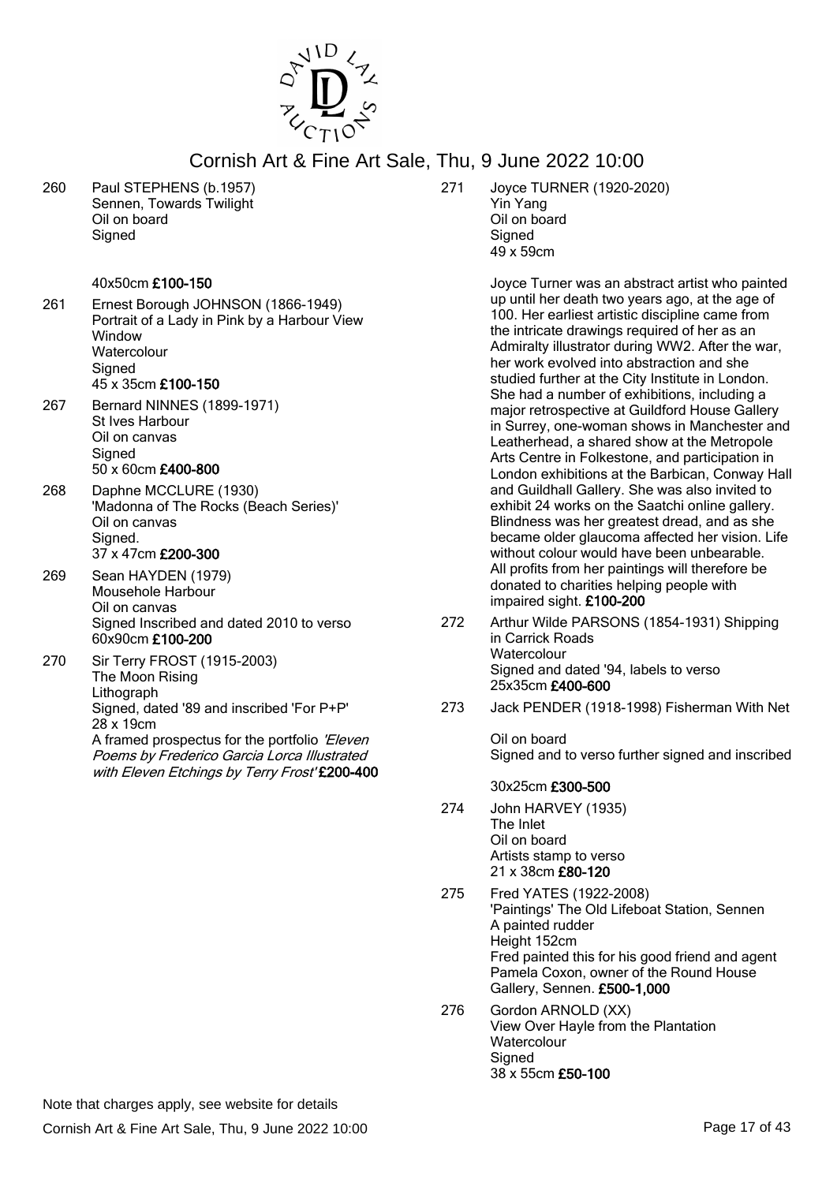

260 Paul STEPHENS (b.1957) Sennen, Towards Twilight Oil on board **Signed** 

### 40x50cm £100-150

- 261 Ernest Borough JOHNSON (1866-1949) Portrait of a Lady in Pink by a Harbour View **Window Watercolour Signed** 45 x 35cm £100-150
- 267 Bernard NINNES (1899-1971) St Ives Harbour Oil on canvas **Signed** 50 x 60cm £400-800
- 268 Daphne MCCLURE (1930) 'Madonna of The Rocks (Beach Series)' Oil on canvas Signed. 37 x 47cm £200-300
- 269 Sean HAYDEN (1979) Mousehole Harbour Oil on canvas Signed Inscribed and dated 2010 to verso 60x90cm £100-200
- 270 Sir Terry FROST (1915-2003) The Moon Rising Lithograph Signed, dated '89 and inscribed 'For P+P' 28 x 19cm A framed prospectus for the portfolio 'Eleven' Poems by Frederico Garcia Lorca Illustrated with Eleven Etchings by Terry Frost' £200-400

271 Joyce TURNER (1920-2020) Yin Yang Oil on board **Signed** 49 x 59cm

> Joyce Turner was an abstract artist who painted up until her death two years ago, at the age of 100. Her earliest artistic discipline came from the intricate drawings required of her as an Admiralty illustrator during WW2. After the war, her work evolved into abstraction and she studied further at the City Institute in London. She had a number of exhibitions, including a major retrospective at Guildford House Gallery in Surrey, one-woman shows in Manchester and Leatherhead, a shared show at the Metropole Arts Centre in Folkestone, and participation in London exhibitions at the Barbican, Conway Hall and Guildhall Gallery. She was also invited to exhibit 24 works on the Saatchi online gallery. Blindness was her greatest dread, and as she became older glaucoma affected her vision. Life without colour would have been unbearable. All profits from her paintings will therefore be donated to charities helping people with impaired sight. £100-200

- 272 Arthur Wilde PARSONS (1854-1931) Shipping in Carrick Roads **Watercolour** Signed and dated '94, labels to verso 25x35cm £400-600
- 273 Jack PENDER (1918-1998) Fisherman With Net

Oil on board Signed and to verso further signed and inscribed

### 30x25cm £300-500

- 274 John HARVEY (1935) The Inlet Oil on board Artists stamp to verso 21 x 38cm £80-120
- 275 Fred YATES (1922-2008) 'Paintings' The Old Lifeboat Station, Sennen A painted rudder Height 152cm Fred painted this for his good friend and agent Pamela Coxon, owner of the Round House Gallery, Sennen. £500-1,000
- 276 Gordon ARNOLD (XX) View Over Hayle from the Plantation **Watercolour** Signed 38 x 55cm £50-100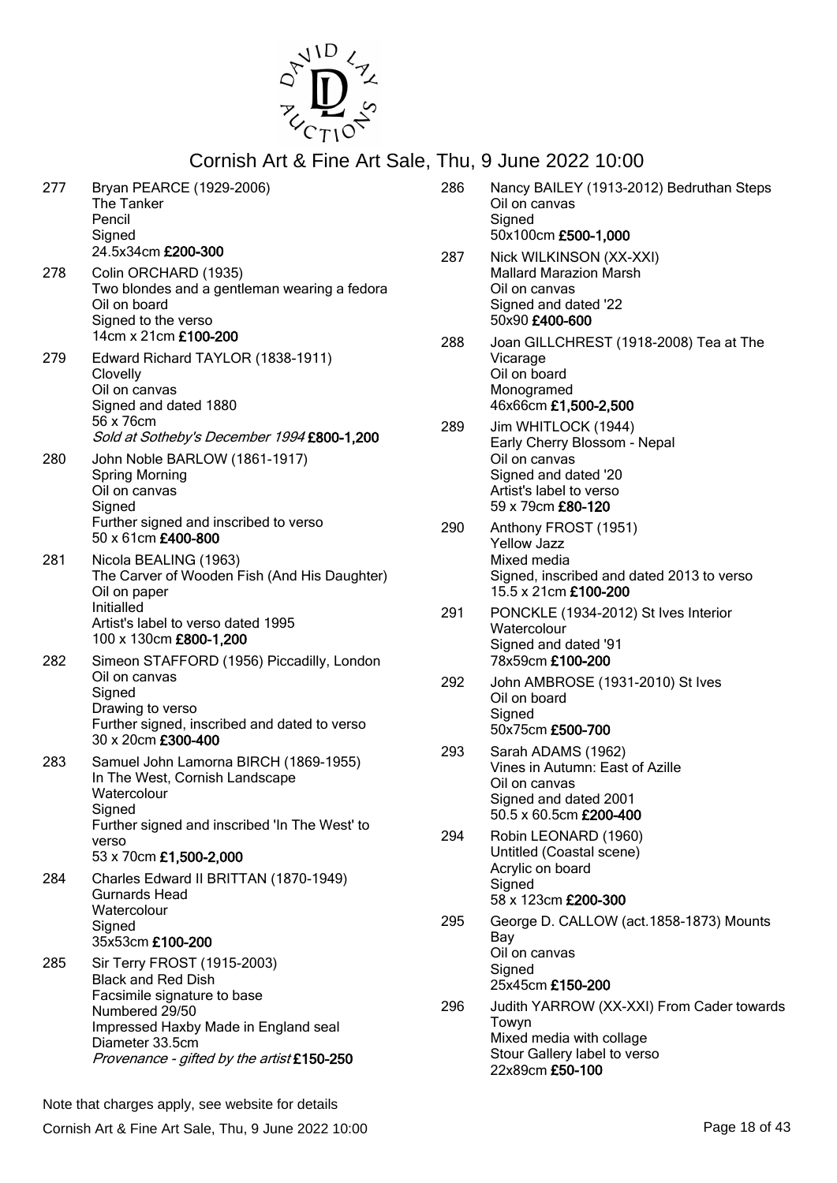

| 277 | Bryan PEARCE (1929-2006)<br>The Tanker<br>Pencil<br>Signed<br>24.5x34cm £200-300                                                                                                                                   |
|-----|--------------------------------------------------------------------------------------------------------------------------------------------------------------------------------------------------------------------|
| 278 | Colin ORCHARD (1935)<br>Two blondes and a gentleman wearing a fedora<br>Oil on board<br>Signed to the verso<br>14cm x 21cm £100-200                                                                                |
| 279 | Edward Richard TAYLOR (1838-1911)<br>Clovelly<br>Oil on canvas<br>Signed and dated 1880<br>56 x 76cm<br>Sold at Sotheby's December 1994 £800-1,200                                                                 |
| 280 | John Noble BARLOW (1861-1917)<br><b>Spring Morning</b><br>Oil on canvas<br>Signed<br>Further signed and inscribed to verso<br>50 x 61cm £400-800                                                                   |
| 281 | Nicola BEALING (1963)<br>The Carver of Wooden Fish (And His Daughter)<br>Oil on paper<br>Initialled<br>Artist's label to verso dated 1995<br>100 x 130cm £800-1,200                                                |
| 282 | Simeon STAFFORD (1956) Piccadilly, London<br>Oil on canvas<br>Signed<br>Drawing to verso<br>Further signed, inscribed and dated to verso<br>30 x 20cm £300-400                                                     |
| 283 | Samuel John Lamorna BIRCH (1869-1955)<br>In The West, Cornish Landscape<br>Watercolour<br>Signed<br>Further signed and inscribed 'In The West' to<br>verso<br>53 x 70cm £1,500-2,000                               |
| 284 | Charles Edward II BRITTAN (1870-1949)<br>Gurnards Head<br>Watercolour<br>Signed<br>35x53cm £100-200                                                                                                                |
| 285 | Sir Terry FROST (1915-2003)<br><b>Black and Red Dish</b><br>Facsimile signature to base<br>Numbered 29/50<br>Impressed Haxby Made in England seal<br>Diameter 33.5cm<br>Provenance - gifted by the artist £150-250 |

50x100cm £500-1,000 287 Nick WILKINSON (XX-XXI) Mallard Marazion Marsh Oil on canvas Signed and dated '22 50x90 £400-600 288 Joan GILLCHREST (1918-2008) Tea at The Vicarage Oil on board Monogramed 46x66cm £1,500-2,500 289 Jim WHITLOCK (1944) Early Cherry Blossom - Nepal Oil on canvas Signed and dated '20 Artist's label to verso 59 x 79cm £80-120 290 Anthony FROST (1951) Yellow Jazz Mixed media Signed, inscribed and dated 2013 to verso 15.5 x 21cm £100-200 291 PONCKLE (1934-2012) St Ives Interior **Watercolour** Signed and dated '91 78x59cm £100-200 292 John AMBROSE (1931-2010) St Ives Oil on board **Signed** 50x75cm £500-700 293 Sarah ADAMS (1962) Vines in Autumn: East of Azille Oil on canvas Signed and dated 2001 50.5 x 60.5cm £200-400 294 Robin LEONARD (1960) Untitled (Coastal scene) Acrylic on board **Signed** 58 x 123cm £200-300 295 George D. CALLOW (act.1858-1873) Mounts Bay Oil on canvas Signed 25x45cm £150-200 296 Judith YARROW (XX-XXI) From Cader towards Towyn Mixed media with collage Stour Gallery label to verso 22x89cm £50-100

286 Nancy BAILEY (1913-2012) Bedruthan Steps

Oil on canvas **Signed**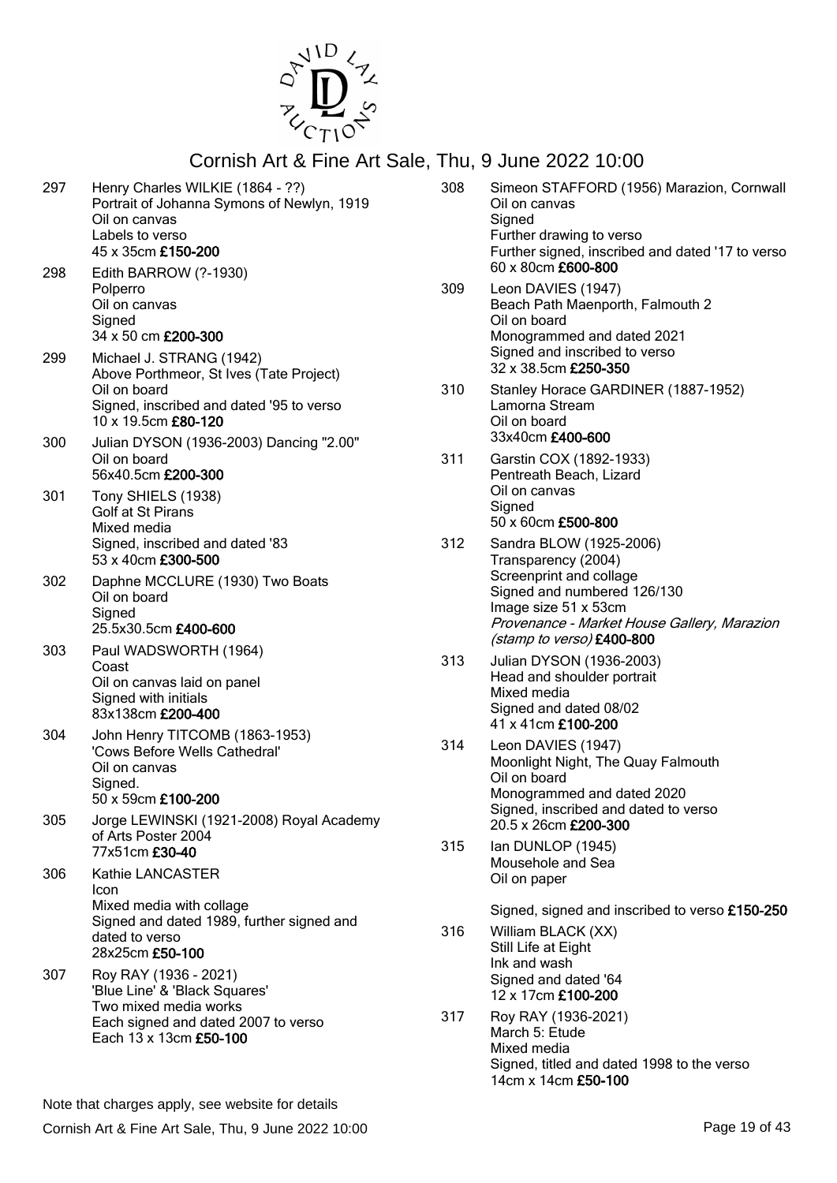

| 297 | Henry Charles WILKIE (1864 - ??)<br>Portrait of Johanna Symons of Newlyn, 1919<br>Oil on canvas<br>Labels to verso<br>45 x 35cm £150-200<br>Edith BARROW (?-1930) | 308 | Simeon STAFFORD (1956) Marazion, Cornwall<br>Oil on canvas<br>Signed<br>Further drawing to verso<br>Further signed, inscribed and dated '17 to verso<br>60 x 80cm £600-800 |
|-----|-------------------------------------------------------------------------------------------------------------------------------------------------------------------|-----|----------------------------------------------------------------------------------------------------------------------------------------------------------------------------|
| 298 | Polperro<br>Oil on canvas<br>Signed<br>34 x 50 cm £200-300                                                                                                        | 309 | Leon DAVIES (1947)<br>Beach Path Maenporth, Falmouth 2<br>Oil on board<br>Monogrammed and dated 2021                                                                       |
| 299 | Michael J. STRANG (1942)<br>Above Porthmeor, St Ives (Tate Project)<br>Oil on board<br>Signed, inscribed and dated '95 to verso                                   | 310 | Signed and inscribed to verso<br>32 x 38.5cm £250-350<br>Stanley Horace GARDINER (1887-1952)<br>Lamorna Stream                                                             |
| 300 | 10 x 19.5cm £80-120<br>Julian DYSON (1936-2003) Dancing "2.00"<br>Oil on board                                                                                    | 311 | Oil on board<br>33x40cm £400-600<br>Garstin COX (1892-1933)                                                                                                                |
| 301 | 56x40.5cm £200-300<br>Tony SHIELS (1938)<br>Golf at St Pirans<br>Mixed media                                                                                      |     | Pentreath Beach, Lizard<br>Oil on canvas<br>Signed<br>50 x 60cm £500-800                                                                                                   |
| 302 | Signed, inscribed and dated '83<br>53 x 40cm £300-500<br>Daphne MCCLURE (1930) Two Boats<br>Oil on board                                                          | 312 | Sandra BLOW (1925-2006)<br>Transparency (2004)<br>Screenprint and collage<br>Signed and numbered 126/130                                                                   |
| 303 | Signed<br>25.5x30.5cm £400-600<br>Paul WADSWORTH (1964)                                                                                                           |     | Image size 51 x 53cm<br>Provenance - Market House Gallery, Marazion<br>(stamp to verso) £400-800                                                                           |
|     | Coast<br>Oil on canvas laid on panel<br>Signed with initials<br>83x138cm £200-400                                                                                 | 313 | Julian DYSON (1936-2003)<br>Head and shoulder portrait<br>Mixed media<br>Signed and dated 08/02<br>41 x 41cm £100-200                                                      |
| 304 | John Henry TITCOMB (1863-1953)<br>'Cows Before Wells Cathedral'<br>Oil on canvas<br>Signed.<br>50 x 59cm £100-200                                                 | 314 | Leon DAVIES (1947)<br>Moonlight Night, The Quay Falmouth<br>Oil on board<br>Monogrammed and dated 2020                                                                     |
| 305 | Jorge LEWINSKI (1921-2008) Royal Academy<br>of Arts Poster 2004<br>77x51cm £30-40                                                                                 | 315 | Signed, inscribed and dated to verso<br>20.5 x 26cm £200-300<br>Ian DUNLOP (1945)                                                                                          |
| 306 | Kathie LANCASTER<br>Icon                                                                                                                                          |     | Mousehole and Sea<br>Oil on paper                                                                                                                                          |
|     | Mixed media with collage<br>Signed and dated 1989, further signed and<br>dated to verso<br>28x25cm £50-100                                                        | 316 | Signed, signed and inscribed to verso £150-250<br>William BLACK (XX)<br>Still Life at Eight<br>Ink and wash                                                                |
| 307 | Roy RAY (1936 - 2021)<br>'Blue Line' & 'Black Squares'<br>Two mixed media works                                                                                   |     | Signed and dated '64<br>12 x 17cm £100-200                                                                                                                                 |
|     | Each signed and dated 2007 to verso<br>Each 13 x 13cm £50-100                                                                                                     | 317 | Roy RAY (1936-2021)<br>March 5: Etude<br>Mixed media<br>Signed, titled and dated 1998 to the verso<br>14cm x 14cm £50-100                                                  |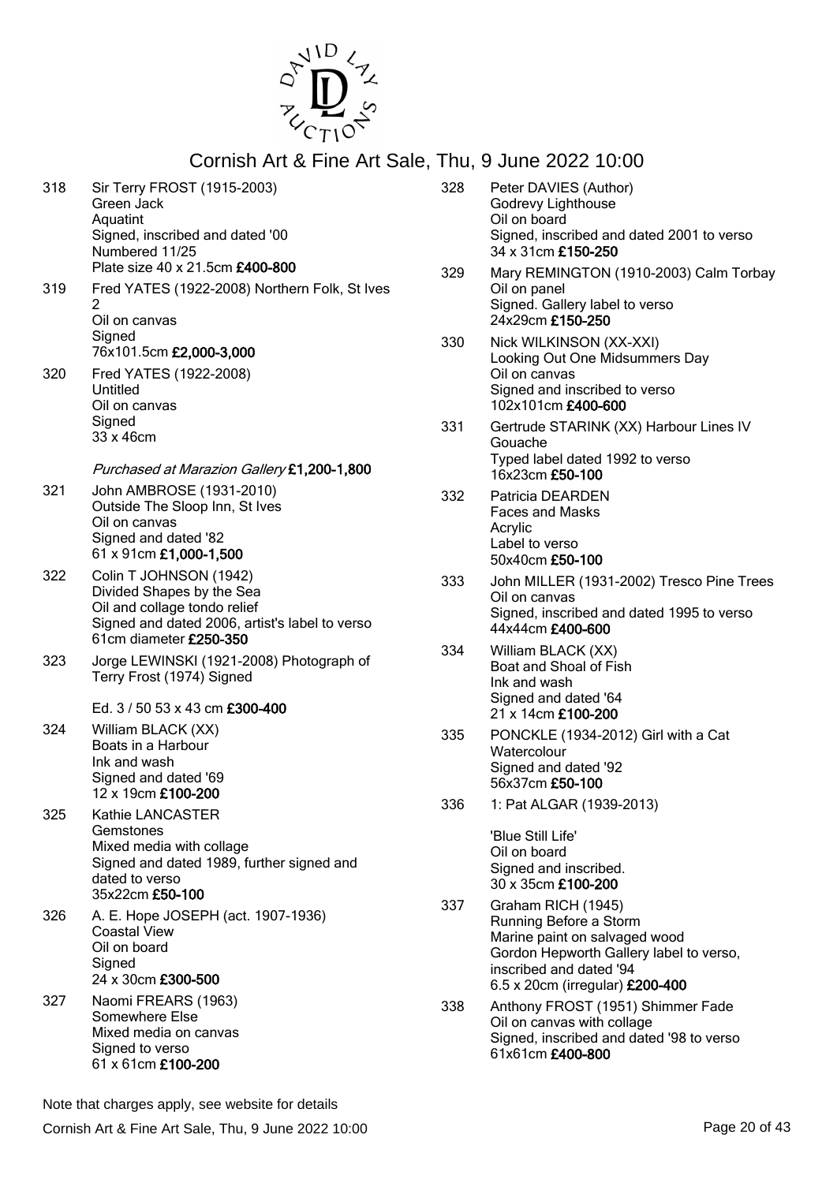

| 318 | Sir Terry FROST (1915-2003)<br>Green Jack<br>Aquatint<br>Signed, inscribed and dated '00<br>Numbered 11/25<br>Plate size 40 x 21.5cm £400-800                               |
|-----|-----------------------------------------------------------------------------------------------------------------------------------------------------------------------------|
| 319 | Fred YATES (1922-2008) Northern Folk, St Ives<br>2<br>Oil on canvas<br>Signed<br>76x101.5cm £2,000-3,000                                                                    |
| 320 | Fred YATES (1922-2008)<br>Untitled<br>Oil on canvas<br>Signed<br>33 x 46cm                                                                                                  |
| 321 | Purchased at Marazion Gallery £1,200-1,800<br>John AMBROSE (1931-2010)<br>Outside The Sloop Inn, St Ives<br>Oil on canvas<br>Signed and dated '82<br>61 x 91cm £1,000-1,500 |
| 322 | Colin T JOHNSON (1942)<br>Divided Shapes by the Sea<br>Oil and collage tondo relief<br>Signed and dated 2006, artist's label to verso<br>61cm diameter £250-350             |
| 323 | Jorge LEWINSKI (1921-2008) Photograph of<br>Terry Frost (1974) Signed<br>Ed. 3 / 50 53 x 43 cm £300-400                                                                     |
| 324 | William BLACK (XX)<br>Boats in a Harbour<br>Ink and wash<br>Signed and dated '69<br>12 x 19cm £100-200                                                                      |
| 325 | Kathie LANCASTER<br>Gemstones<br>Mixed media with collage<br>Signed and dated 1989, further signed and<br>dated to verso<br>35x22cm £50-100                                 |
| 326 | A. E. Hope JOSEPH (act. 1907-1936)<br><b>Coastal View</b><br>Oil on board<br>Signed<br>24 x 30cm £300-500                                                                   |
| 327 | Naomi FREARS (1963)<br>Somewhere Else<br>Mixed media on canvas<br>Signed to verso<br>61 x 61cm £100-200                                                                     |

328 Peter DAVIES (Author) Godrevy Lighthouse Oil on board Signed, inscribed and dated 2001 to verso 34 x 31cm £150-250 329 Mary REMINGTON (1910-2003) Calm Torbay Oil on panel Signed. Gallery label to verso 24x29cm £150-250 330 Nick WILKINSON (XX-XXI) Looking Out One Midsummers Day Oil on canvas Signed and inscribed to verso 102x101cm £400-600 331 Gertrude STARINK (XX) Harbour Lines IV Gouache Typed label dated 1992 to verso 16x23cm £50-100 332 Patricia DEARDEN Faces and Masks Acrylic Label to verso 50x40cm £50-100 333 John MILLER (1931-2002) Tresco Pine Trees Oil on canvas Signed, inscribed and dated 1995 to verso 44x44cm £400-600 334 William BLACK (XX) Boat and Shoal of Fish Ink and wash Signed and dated '64 21 x 14cm £100-200 335 PONCKLE (1934-2012) Girl with a Cat **Watercolour** Signed and dated '92 56x37cm £50-100 336 1: Pat ALGAR (1939-2013) 'Blue Still Life' Oil on board Signed and inscribed. 30 x 35cm £100-200 337 Graham RICH (1945) Running Before a Storm Marine paint on salvaged wood Gordon Hepworth Gallery label to verso, inscribed and dated '94

338 Anthony FROST (1951) Shimmer Fade Oil on canvas with collage Signed, inscribed and dated '98 to verso 61x61cm £400-800

6.5 x 20cm (irregular) £200-400

Note that charges apply, see website for details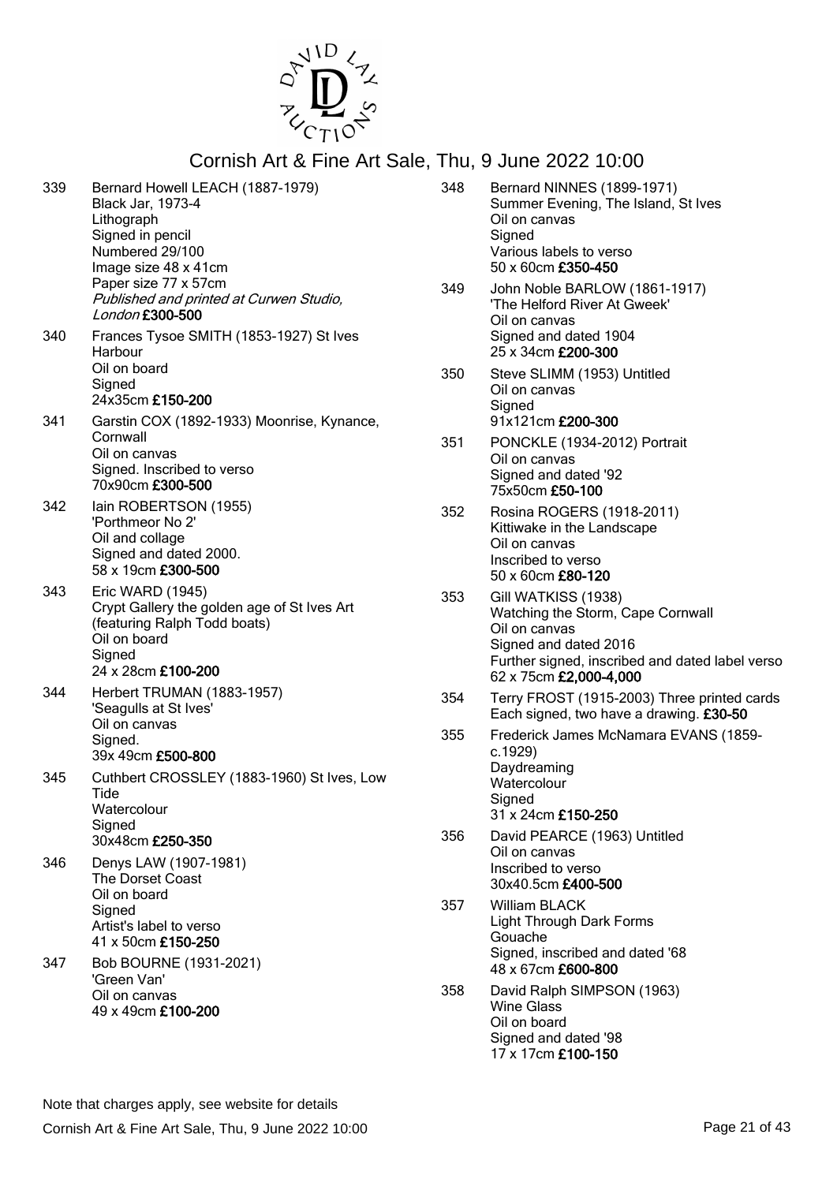

| 339 | Bernard Howell LEACH (1887-1979)<br>Black Jar, 1973-4<br>Lithograph<br>Signed in pencil<br>Numbered 29/100<br>Image size 48 x 41cm<br>Paper size 77 x 57cm<br>Published and printed at Curwen Studio,<br>London £300-500 |
|-----|--------------------------------------------------------------------------------------------------------------------------------------------------------------------------------------------------------------------------|
| 340 | Frances Tysoe SMITH (1853-1927) St Ives<br>Harbour<br>Oil on board<br>Signed<br>24x35cm £150-200                                                                                                                         |
| 341 | Garstin COX (1892-1933) Moonrise, Kynance,<br>Cornwall<br>Oil on canvas<br>Signed. Inscribed to verso<br>70x90cm £300-500                                                                                                |
| 342 | lain ROBERTSON (1955)<br>'Porthmeor No 2'<br>Oil and collage<br>Signed and dated 2000.<br>58 x 19cm £300-500                                                                                                             |
| 343 | Eric WARD (1945)<br>Crypt Gallery the golden age of St Ives Art<br>(featuring Ralph Todd boats)<br>Oil on board<br>Signed<br>24 x 28cm £100-200                                                                          |
| 344 | Herbert TRUMAN (1883-1957)<br>'Seagulls at St Ives'<br>Oil on canvas<br>Signed.<br>39x 49cm £500-800                                                                                                                     |
| 345 | Cuthbert CROSSLEY (1883-1960) St Ives, Low<br>Tide<br>Watercolour<br>Signed<br>30x48cm £250-350                                                                                                                          |
| 346 | Denys LAW (1907-1981)<br>The Dorset Coast<br>Oil on board<br>Signed<br>Artist's label to verso<br>41 x 50cm £150-250                                                                                                     |
| 347 | Bob BOURNE (1931-2021)<br>'Green Van'<br>Oil on canvas<br>49 x 49cm £100-200                                                                                                                                             |

|     | THU, 9 JUNE ZUZZ TU.UU                                                                                                                                                          |
|-----|---------------------------------------------------------------------------------------------------------------------------------------------------------------------------------|
| 348 | <b>Bernard NINNES (1899-1971)</b><br>Summer Evening, The Island, St Ives<br>Oil on canvas<br>Signed<br>Various labels to verso<br>50 x 60cm £350-450                            |
| 349 | John Noble BARLOW (1861-1917)<br>'The Helford River At Gweek'<br>Oil on canvas<br>Signed and dated 1904<br>25 x 34cm £200-300                                                   |
| 350 | Steve SLIMM (1953) Untitled<br>Oil on canvas<br>Signed<br>91x121cm £200-300                                                                                                     |
| 351 | PONCKLE (1934-2012) Portrait<br>Oil on canvas<br>Signed and dated '92<br>75x50cm £50-100                                                                                        |
| 352 | Rosina ROGERS (1918-2011)<br>Kittiwake in the Landscape<br>Oil on canvas<br>Inscribed to verso<br>50 x 60cm £80-120                                                             |
| 353 | Gill WATKISS (1938)<br>Watching the Storm, Cape Cornwall<br>Oil on canvas<br>Signed and dated 2016<br>Further signed, inscribed and dated label verso<br>62 x 75cm £2,000-4,000 |
| 354 | Terry FROST (1915-2003) Three printed cards<br>Each signed, two have a drawing. £30-50                                                                                          |
| 355 | Frederick James McNamara EVANS (1859-<br>c.1929)<br>Daydreaming<br>Watercolour<br>Signed<br>31 x 24cm £150-250                                                                  |
| 356 | David PEARCE (1963) Untitled<br>Oil on canvas<br>Inscribed to verso<br>30x40.5cm £400-500                                                                                       |
| 357 | William BLACK<br><b>Light Through Dark Forms</b><br>Gouache<br>Signed, inscribed and dated '68<br>48 x 67cm £600-800                                                            |
| 358 | David Ralph SIMPSON (1963)<br>Wine Glass<br>Oil on board<br>Signed and dated '98<br>17 x 17cm £100-150                                                                          |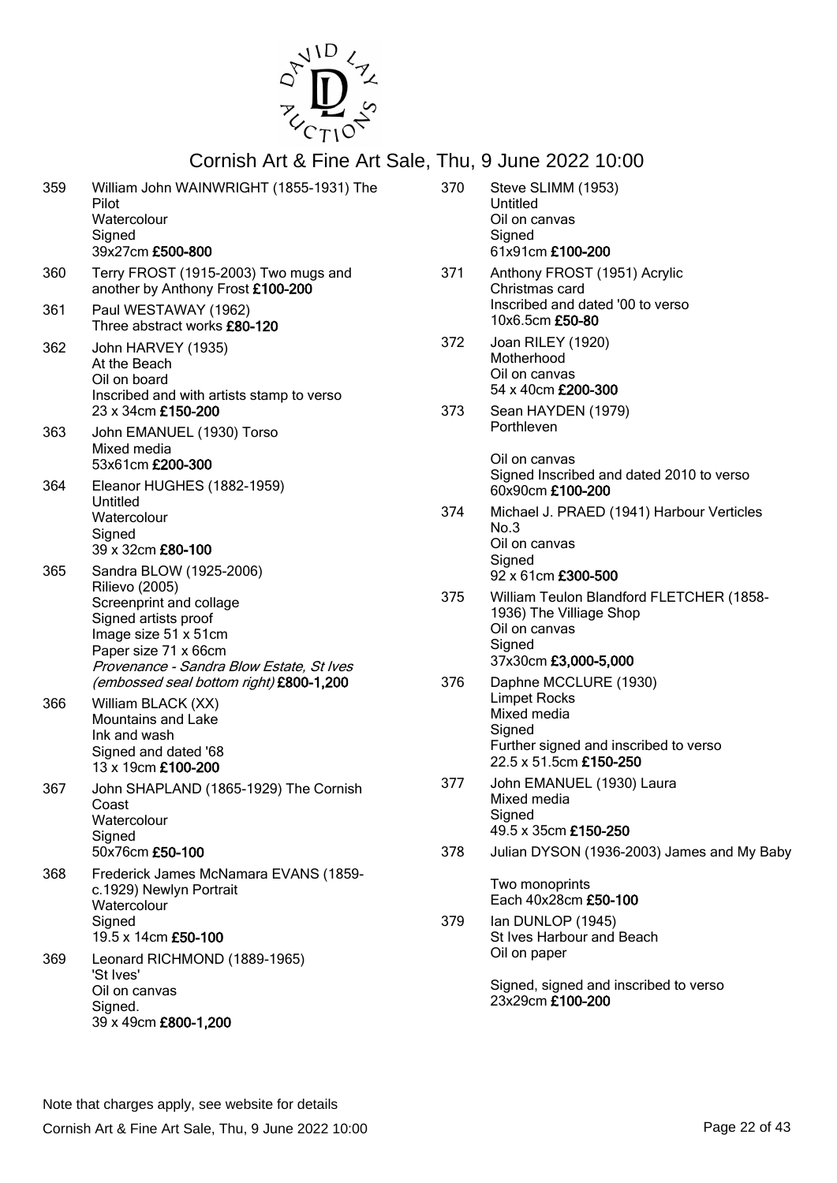

| 359        | William John WAINWRIGHT (1855-1931) The<br>Pilot<br>Watercolour<br>Signed<br>39x27cm £500-800                                                            | 370 | Steve SLIMM (1953)<br>Untitled<br>Oil on canvas<br>Signed<br>61x91cm £100-200                                                            |
|------------|----------------------------------------------------------------------------------------------------------------------------------------------------------|-----|------------------------------------------------------------------------------------------------------------------------------------------|
| 360<br>361 | Terry FROST (1915-2003) Two mugs and<br>another by Anthony Frost £100-200<br>Paul WESTAWAY (1962)                                                        | 371 | Anthony FROST (1951) Acrylic<br>Christmas card<br>Inscribed and dated '00 to verso<br>10x6.5cm £50-80                                    |
| 362        | Three abstract works £80-120<br>John HARVEY (1935)<br>At the Beach<br>Oil on board<br>Inscribed and with artists stamp to verso                          | 372 | Joan RILEY (1920)<br>Motherhood<br>Oil on canvas<br>54 x 40cm £200-300                                                                   |
| 363        | 23 x 34cm £150-200<br>John EMANUEL (1930) Torso<br>Mixed media                                                                                           | 373 | Sean HAYDEN (1979)<br>Porthleven                                                                                                         |
| 364        | 53x61cm £200-300<br>Eleanor HUGHES (1882-1959)                                                                                                           |     | Oil on canvas<br>Signed Inscribed and dated 2010 to verso<br>60x90cm £100-200                                                            |
|            | Untitled<br>Watercolour<br>Signed<br>39 x 32cm £80-100                                                                                                   | 374 | Michael J. PRAED (1941) Harbour Verticles<br>No.3<br>Oil on canvas<br>Signed                                                             |
| 365        | Sandra BLOW (1925-2006)<br><b>Rilievo (2005)</b>                                                                                                         |     | 92 x 61cm £300-500                                                                                                                       |
|            | Screenprint and collage<br>Signed artists proof<br>Image size 51 x 51cm<br>Paper size 71 x 66cm<br>Provenance - Sandra Blow Estate, St Ives              | 375 | William Teulon Blandford FLETCHER (1858-<br>1936) The Villiage Shop<br>Oil on canvas<br>Signed<br>37x30cm £3,000-5,000                   |
| 366        | (embossed seal bottom right) £800-1,200<br>William BLACK (XX)<br><b>Mountains and Lake</b><br>Ink and wash<br>Signed and dated '68<br>13 x 19cm £100-200 | 376 | Daphne MCCLURE (1930)<br><b>Limpet Rocks</b><br>Mixed media<br>Signed<br>Further signed and inscribed to verso<br>22.5 x 51.5cm £150-250 |
| 367        | John SHAPLAND (1865-1929) The Cornish<br>Coast<br>Watercolour<br>Signed                                                                                  | 377 | John EMANUEL (1930) Laura<br>Mixed media<br>Signed<br>49.5 x 35cm £150-250                                                               |
| 368        | 50x76cm £50-100<br>Frederick James McNamara EVANS (1859-                                                                                                 | 378 | Julian DYSON (1936-2003) James and My Baby                                                                                               |
|            | c.1929) Newlyn Portrait<br>Watercolour                                                                                                                   |     | Two monoprints<br>Each 40x28cm £50-100                                                                                                   |
|            | Signed<br>19.5 x 14cm £50-100                                                                                                                            | 379 | Ian DUNLOP (1945)<br>St Ives Harbour and Beach                                                                                           |
| 369        | Leonard RICHMOND (1889-1965)<br>'St Ives'<br>Oil on canvas                                                                                               |     | Oil on paper<br>Signed, signed and inscribed to verso                                                                                    |
|            | Signed.<br>39 x 49cm £800-1,200                                                                                                                          |     | 23x29cm £100-200                                                                                                                         |
|            |                                                                                                                                                          |     |                                                                                                                                          |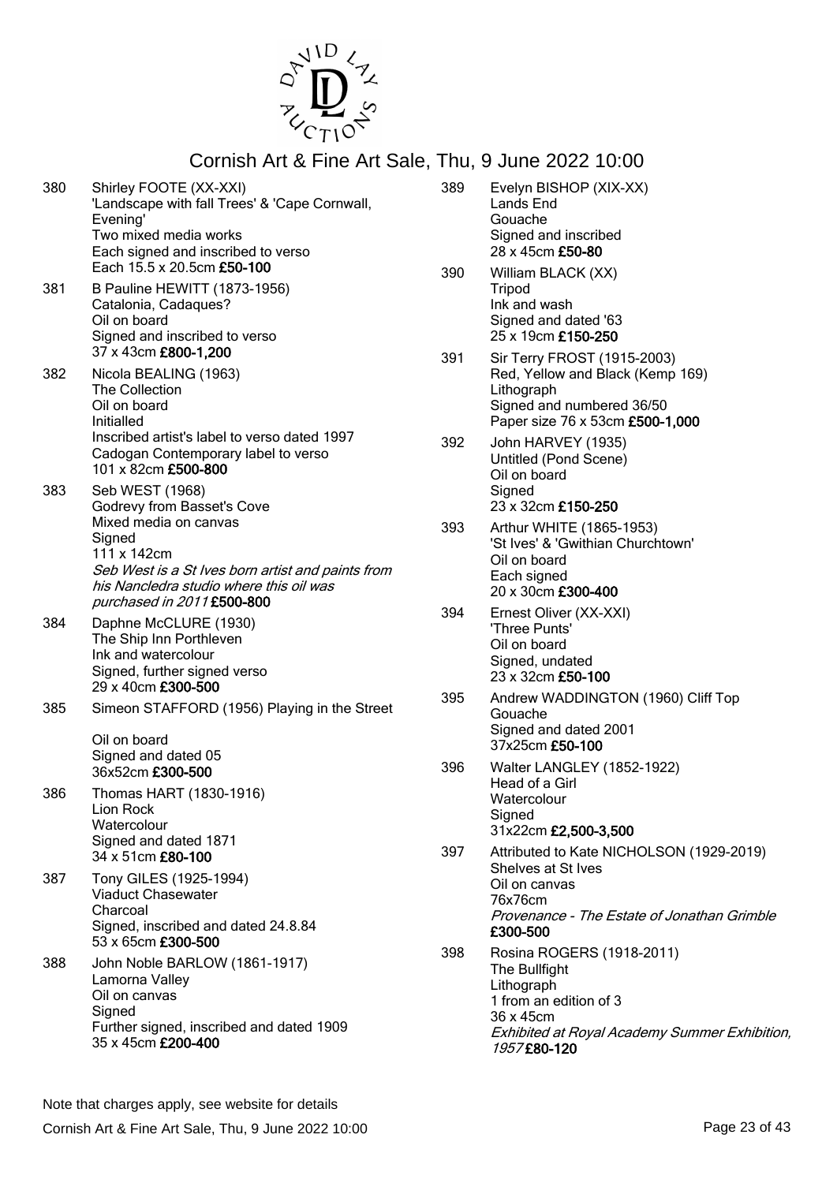

- 380 Shirley FOOTE (XX-XXI) 'Landscape with fall Trees' & 'Cape Cornwall, Evening' Two mixed media works Each signed and inscribed to verso Each 15.5 x 20.5cm £50-100 381 B Pauline HEWITT (1873-1956)
- Catalonia, Cadaques? Oil on board Signed and inscribed to verso 37 x 43cm £800-1,200
- 382 Nicola BEALING (1963) The Collection Oil on board Initialled Inscribed artist's label to verso dated 1997 Cadogan Contemporary label to verso 101 x 82cm £500-800
- 383 Seb WEST (1968) Godrevy from Basset's Cove Mixed media on canvas **Signed** 111 x 142cm Seb West is a St Ives born artist and paints from his Nancledra studio where this oil was purchased in 2011 £500-800
- 384 Daphne McCLURE (1930) The Ship Inn Porthleven Ink and watercolour Signed, further signed verso 29 x 40cm £300-500
- 385 Simeon STAFFORD (1956) Playing in the Street

Oil on board Signed and dated 05 36x52cm £300-500

- 386 Thomas HART (1830-1916) Lion Rock **Watercolour** Signed and dated 1871 34 x 51cm £80-100
- 387 Tony GILES (1925-1994) Viaduct Chasewater Charcoal Signed, inscribed and dated 24.8.84 53 x 65cm £300-500
- 388 John Noble BARLOW (1861-1917) Lamorna Valley Oil on canvas **Signed** Further signed, inscribed and dated 1909 35 x 45cm £200-400
- 389 Evelyn BISHOP (XIX-XX) Lands End Gouache Signed and inscribed 28 x 45cm £50-80 390 William BLACK (XX) Tripod Ink and wash Signed and dated '63 25 x 19cm £150-250 391 Sir Terry FROST (1915-2003) Red, Yellow and Black (Kemp 169) Lithograph Signed and numbered 36/50 Paper size 76 x 53cm £500-1,000 392 John HARVEY (1935) Untitled (Pond Scene) Oil on board Signed 23 x 32cm £150-250 393 Arthur WHITE (1865-1953) 'St Ives' & 'Gwithian Churchtown' Oil on board Each signed 20 x 30cm £300-400 394 Ernest Oliver (XX-XXI) 'Three Punts' Oil on board Signed, undated 23 x 32cm £50-100 395 Andrew WADDINGTON (1960) Cliff Top Gouache Signed and dated 2001 37x25cm £50-100 396 Walter LANGLEY (1852-1922) Head of a Girl **Watercolour Signed** 31x22cm £2,500-3,500 397 Attributed to Kate NICHOLSON (1929-2019) Shelves at St Ives Oil on canvas 76x76cm Provenance - The Estate of Jonathan Grimble £300-500 398 Rosina ROGERS (1918-2011) The Bullfight
- **Lithograph** 1 from an edition of 3 36 x 45cm Exhibited at Royal Academy Summer Exhibition, 1957 £80-120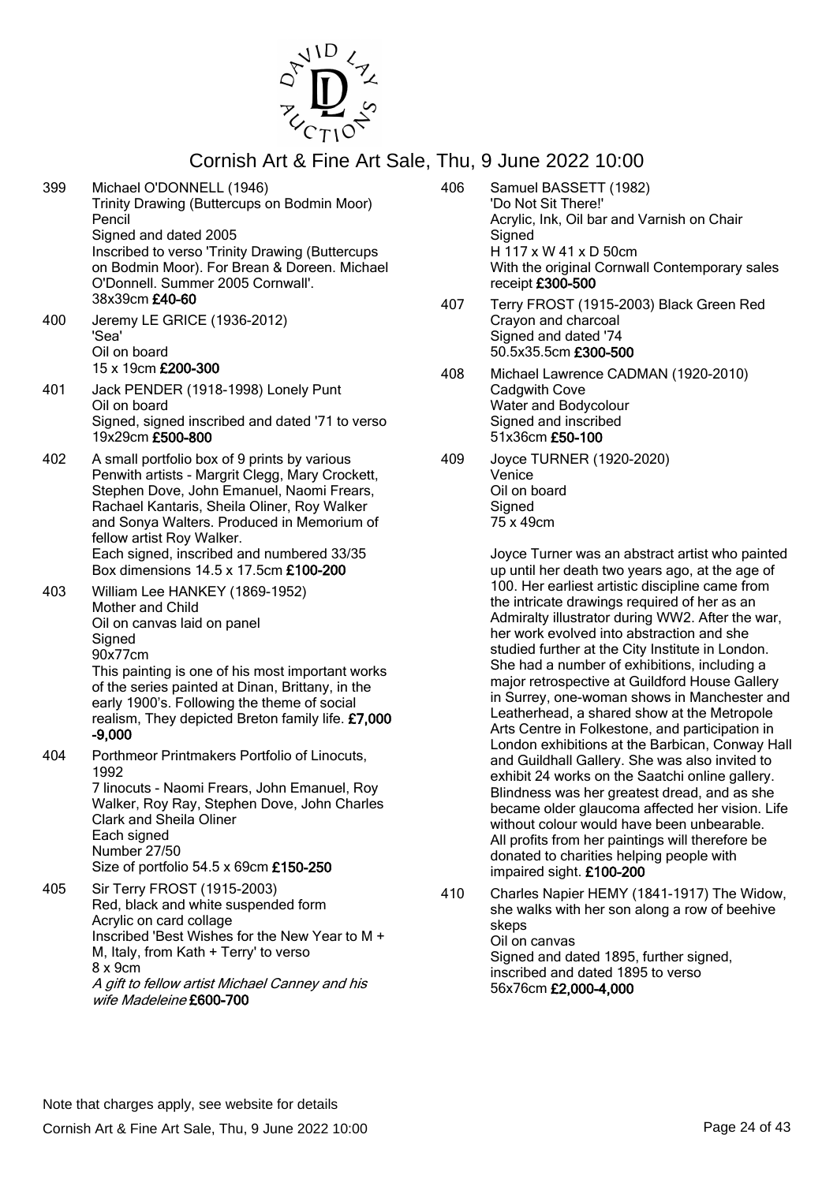

399 Michael O'DONNELL (1946) Trinity Drawing (Buttercups on Bodmin Moor) Pencil Signed and dated 2005

Inscribed to verso 'Trinity Drawing (Buttercups on Bodmin Moor). For Brean & Doreen. Michael O'Donnell. Summer 2005 Cornwall'. 38x39cm £40-60

- 400 Jeremy LE GRICE (1936-2012) 'Sea' Oil on board 15 x 19cm £200-300
- 401 Jack PENDER (1918-1998) Lonely Punt Oil on board Signed, signed inscribed and dated '71 to verso 19x29cm £500-800
- 402 A small portfolio box of 9 prints by various Penwith artists - Margrit Clegg, Mary Crockett, Stephen Dove, John Emanuel, Naomi Frears, Rachael Kantaris, Sheila Oliner, Roy Walker and Sonya Walters. Produced in Memorium of fellow artist Roy Walker. Each signed, inscribed and numbered 33/35 Box dimensions 14.5 x 17.5cm £100-200
- 403 William Lee HANKEY (1869-1952) Mother and Child Oil on canvas laid on panel **Signed** 90x77cm

This painting is one of his most important works of the series painted at Dinan, Brittany, in the early 1900's. Following the theme of social realism, They depicted Breton family life. £7,000 -9,000

404 Porthmeor Printmakers Portfolio of Linocuts, 1992

7 linocuts - Naomi Frears, John Emanuel, Roy Walker, Roy Ray, Stephen Dove, John Charles Clark and Sheila Oliner Each signed Number 27/50 Size of portfolio 54.5 x 69cm £150-250

405 Sir Terry FROST (1915-2003) Red, black and white suspended form Acrylic on card collage Inscribed 'Best Wishes for the New Year to M + M, Italy, from Kath + Terry' to verso 8 x 9cm A gift to fellow artist Michael Canney and his wife Madeleine £600-700

- 406 Samuel BASSETT (1982) 'Do Not Sit There!' Acrylic, Ink, Oil bar and Varnish on Chair **Signed** H 117 x W 41 x D 50cm With the original Cornwall Contemporary sales receipt £300-500
- 407 Terry FROST (1915-2003) Black Green Red Crayon and charcoal Signed and dated '74 50.5x35.5cm £300-500
- 408 Michael Lawrence CADMAN (1920-2010) Cadgwith Cove Water and Bodycolour Signed and inscribed 51x36cm £50-100
- 409 Joyce TURNER (1920-2020) Venice Oil on board **Signed** 75 x 49cm

Joyce Turner was an abstract artist who painted up until her death two years ago, at the age of 100. Her earliest artistic discipline came from the intricate drawings required of her as an Admiralty illustrator during WW2. After the war, her work evolved into abstraction and she studied further at the City Institute in London. She had a number of exhibitions, including a major retrospective at Guildford House Gallery in Surrey, one-woman shows in Manchester and Leatherhead, a shared show at the Metropole Arts Centre in Folkestone, and participation in London exhibitions at the Barbican, Conway Hall and Guildhall Gallery. She was also invited to exhibit 24 works on the Saatchi online gallery. Blindness was her greatest dread, and as she became older glaucoma affected her vision. Life without colour would have been unbearable. All profits from her paintings will therefore be donated to charities helping people with impaired sight. £100-200

410 Charles Napier HEMY (1841-1917) The Widow, she walks with her son along a row of beehive skeps Oil on canvas Signed and dated 1895, further signed, inscribed and dated 1895 to verso 56x76cm £2,000-4,000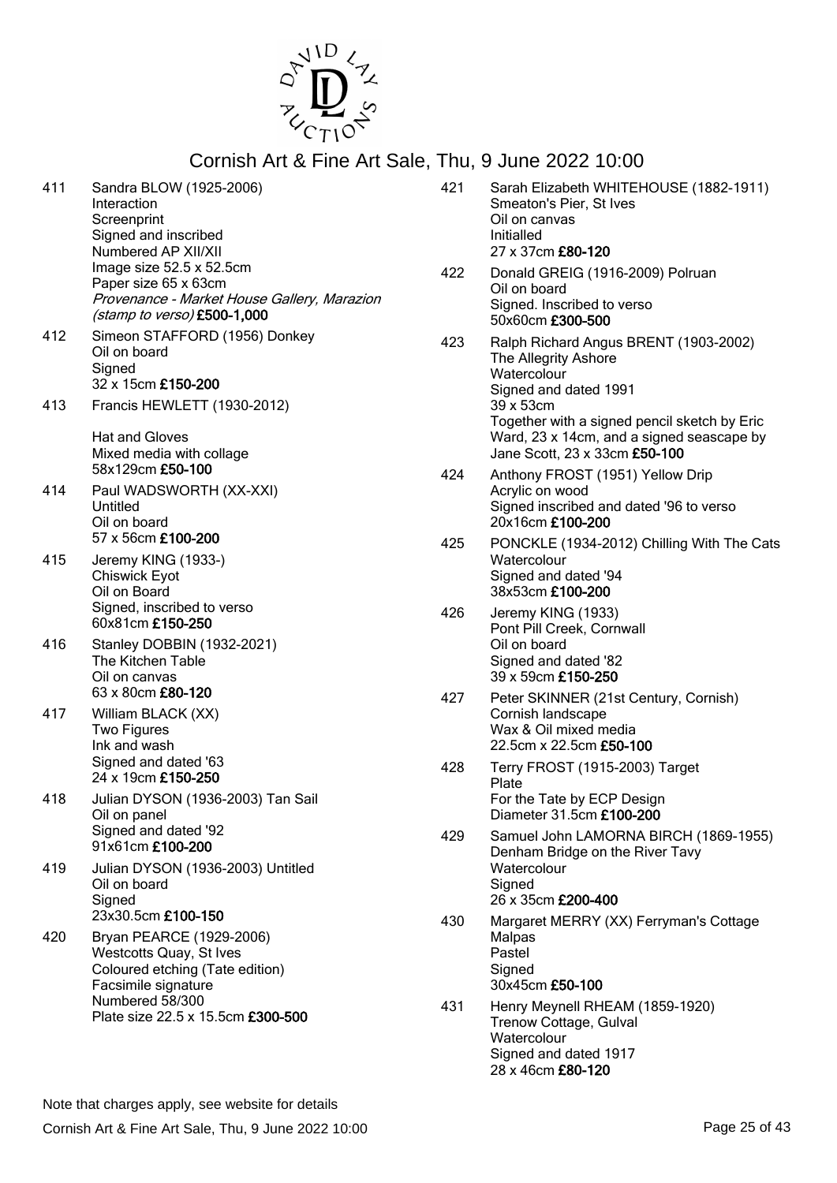

| 411 | Sandra BLOW (1925-2006)<br>Interaction<br>Screenprint<br>Signed and inscribed<br>Numbered AP XII/XII                                | 421 | Sarah Elizabeth WHITEHOUSE (1882-1911)<br>Smeaton's Pier, St Ives<br>Oil on canvas<br>Initialled<br>27 x 37cm £80-120                   |
|-----|-------------------------------------------------------------------------------------------------------------------------------------|-----|-----------------------------------------------------------------------------------------------------------------------------------------|
|     | Image size 52.5 x 52.5cm<br>Paper size 65 x 63cm<br>Provenance - Market House Gallery, Marazion<br>(stamp to verso) £500-1,000      | 422 | Donald GREIG (1916-2009) Polruan<br>Oil on board<br>Signed. Inscribed to verso<br>50x60cm £300-500                                      |
| 412 | Simeon STAFFORD (1956) Donkey<br>Oil on board<br>Signed<br>32 x 15cm £150-200                                                       | 423 | Ralph Richard Angus BRENT (1903-2002)<br>The Allegrity Ashore<br>Watercolour<br>Signed and dated 1991                                   |
| 413 | Francis HEWLETT (1930-2012)<br>Hat and Gloves<br>Mixed media with collage                                                           |     | 39 x 53cm<br>Together with a signed pencil sketch by Eric<br>Ward, 23 x 14cm, and a signed seascape by<br>Jane Scott, 23 x 33cm £50-100 |
| 414 | 58x129cm £50-100<br>Paul WADSWORTH (XX-XXI)<br>Untitled<br>Oil on board                                                             | 424 | Anthony FROST (1951) Yellow Drip<br>Acrylic on wood<br>Signed inscribed and dated '96 to verso<br>20x16cm £100-200                      |
| 415 | 57 x 56cm £100-200<br>Jeremy KING (1933-)<br><b>Chiswick Eyot</b><br>Oil on Board                                                   | 425 | PONCKLE (1934-2012) Chilling With The Cats<br>Watercolour<br>Signed and dated '94<br>38x53cm £100-200                                   |
| 416 | Signed, inscribed to verso<br>60x81cm £150-250<br>Stanley DOBBIN (1932-2021)<br>The Kitchen Table<br>Oil on canvas                  | 426 | Jeremy KING (1933)<br>Pont Pill Creek, Cornwall<br>Oil on board<br>Signed and dated '82<br>39 x 59cm £150-250                           |
| 417 | 63 x 80cm £80-120<br>William BLACK (XX)<br>Two Figures<br>Ink and wash                                                              | 427 | Peter SKINNER (21st Century, Cornish)<br>Cornish landscape<br>Wax & Oil mixed media<br>22.5cm x 22.5cm £50-100                          |
| 418 | Signed and dated '63<br>24 x 19cm £150-250<br>Julian DYSON (1936-2003) Tan Sail<br>Oil on panel                                     | 428 | Terry FROST (1915-2003) Target<br>Plate<br>For the Tate by ECP Design<br>Diameter 31.5cm £100-200                                       |
|     | Signed and dated '92<br>91x61cm £100-200                                                                                            | 429 | Samuel John LAMORNA BIRCH (1869-1955)<br>Denham Bridge on the River Tavy                                                                |
| 419 | Julian DYSON (1936-2003) Untitled<br>Oil on board<br>Signed                                                                         |     | Watercolour<br>Signed<br>26 x 35cm £200-400                                                                                             |
| 420 | 23x30.5cm £100-150<br>Bryan PEARCE (1929-2006)<br>Westcotts Quay, St Ives<br>Coloured etching (Tate edition)<br>Facsimile signature | 430 | Margaret MERRY (XX) Ferryman's Cottage<br>Malpas<br>Pastel<br>Signed<br>30x45cm £50-100                                                 |
|     | Numbered 58/300<br>Plate size 22.5 x 15.5cm £300-500                                                                                | 431 | Henry Meynell RHEAM (1859-1920)<br>Trenow Cottage, Gulval<br>Watercolour<br>Signed and dated 1917<br>28 x 46cm £80-120                  |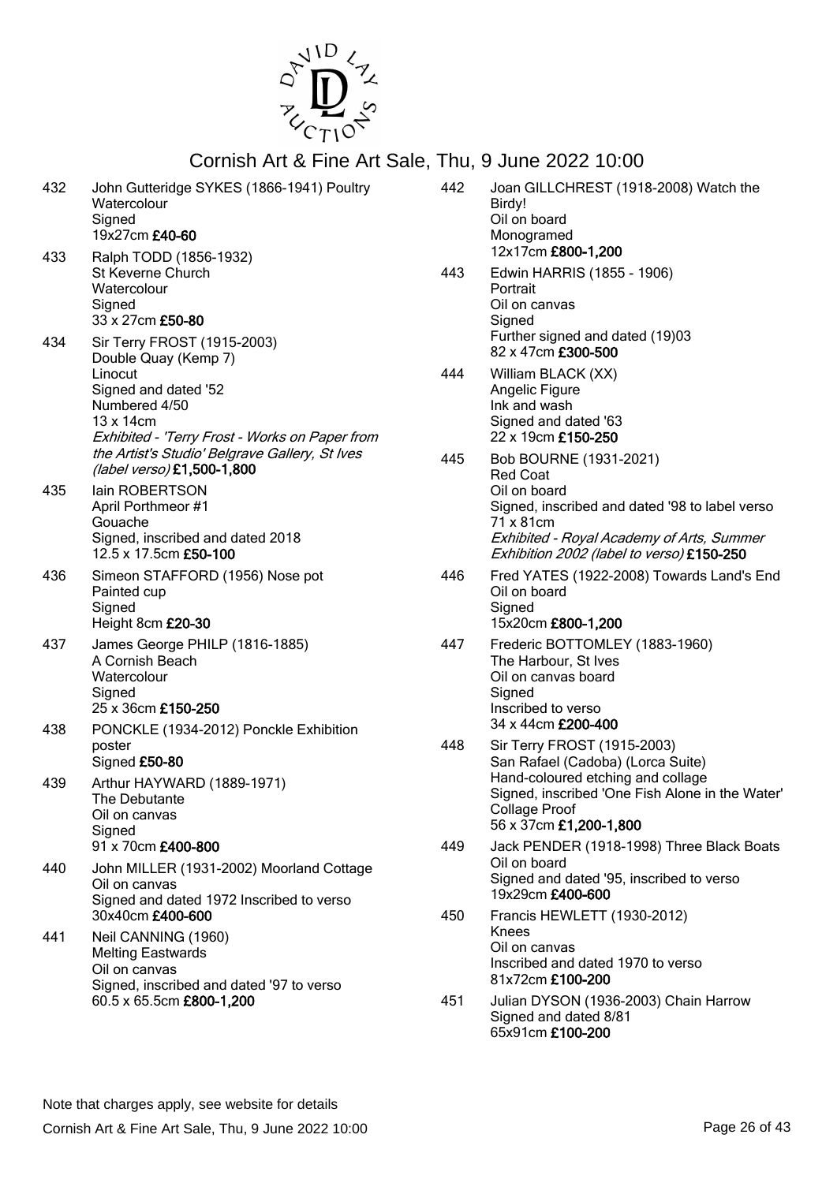

| 432 | John Gutteridge SYKES (1866-1941) Poultry<br>Watercolour<br>Signed                                                                                                                                                                                     |
|-----|--------------------------------------------------------------------------------------------------------------------------------------------------------------------------------------------------------------------------------------------------------|
| 433 | 19x27cm £40-60<br>Ralph TODD (1856-1932)<br><b>St Keverne Church</b><br>Watercolour<br>Signed<br>33 x 27cm £50-80                                                                                                                                      |
| 434 | Sir Terry FROST (1915-2003)<br>Double Quay (Kemp 7)<br>Linocut<br>Signed and dated '52<br>Numbered 4/50<br>13 x 14cm<br>Exhibited - 'Terry Frost - Works on Paper from<br>the Artist's Studio' Belgrave Gallery, St Ives<br>(label verso) £1,500-1,800 |
| 435 | lain ROBERTSON<br>April Porthmeor #1<br>Gouache<br>Signed, inscribed and dated 2018<br>12.5 x 17.5cm £50-100                                                                                                                                           |
| 436 | Simeon STAFFORD (1956) Nose pot<br>Painted cup<br>Signed<br>Height 8cm £20-30                                                                                                                                                                          |
| 437 | James George PHILP (1816-1885)<br>A Cornish Beach<br>Watercolour<br>Signed<br>25 x 36cm £150-250                                                                                                                                                       |
| 438 | PONCKLE (1934-2012) Ponckle Exhibition<br>poster<br>Signed £50-80                                                                                                                                                                                      |
| 439 | Arthur HAYWARD (1889-1971)<br>The Debutante<br>Oil on canvas<br>Signed<br>91 x 70cm £400-800                                                                                                                                                           |
| 440 | John MILLER (1931-2002) Moorland Cottage<br>Oil on canvas<br>Signed and dated 1972 Inscribed to verso<br>30x40cm £400-600                                                                                                                              |
| 441 | Neil CANNING (1960)<br><b>Melting Eastwards</b><br>Oil on canvas<br>Signed, inscribed and dated '97 to verso<br>60.5 x 65.5cm £800-1,200                                                                                                               |

| 442 | Joan GILLCHREST (1918-2008) Watch the<br>Birdy!<br>Oil on board<br>Monogramed                                                          |
|-----|----------------------------------------------------------------------------------------------------------------------------------------|
|     | 12x17cm £800-1,200                                                                                                                     |
| 443 | Edwin HARRIS (1855 - 1906)<br>Portrait<br>Oil on canvas                                                                                |
|     | Signed<br>Further signed and dated (19)03<br>82 x 47cm £300-500                                                                        |
| 444 | William BLACK (XX)<br>Angelic Figure<br>Ink and wash<br>Signed and dated '63<br>22 x 19cm £150-250                                     |
| 445 | Bob BOURNE (1931-2021)<br><b>Red Coat</b><br>Oil on board                                                                              |
|     | Signed, inscribed and dated '98 to label verso<br>71 x 81cm<br>Exhibited - Royal Academy of Arts, Summer                               |
|     | Exhibition 2002 (label to verso) £150-250                                                                                              |
| 446 | Fred YATES (1922-2008) Towards Land's End<br>Oil on board<br>Signed                                                                    |
|     | 15x20cm £800-1,200                                                                                                                     |
| 447 | Frederic BOTTOMLEY (1883-1960)<br>The Harbour, St Ives<br>Oil on canvas board<br>Signed                                                |
|     | Inscribed to verso<br>34 x 44cm £200-400                                                                                               |
| 448 | Sir Terry FROST (1915-2003)<br>San Rafael (Cadoba) (Lorca Suite)                                                                       |
|     | Hand-coloured etching and collage<br>Signed, inscribed 'One Fish Alone in the Water'<br><b>Collage Proof</b><br>56 x 37cm £1,200-1,800 |
| 449 | Jack PENDER (1918-1998) Three Black Boats<br>Oil on board                                                                              |
|     | Signed and dated '95, inscribed to verso<br>19x29cm £400-600                                                                           |
| 450 | Francis HEWLETT (1930-2012)<br>Knees                                                                                                   |
|     | Oil on canvas<br>Inscribed and dated 1970 to verso<br>81x72cm £100-200                                                                 |
| 451 | Julian DYSON (1936-2003) Chain Harrow                                                                                                  |

Signed and dated 8/81 65x91cm £100-200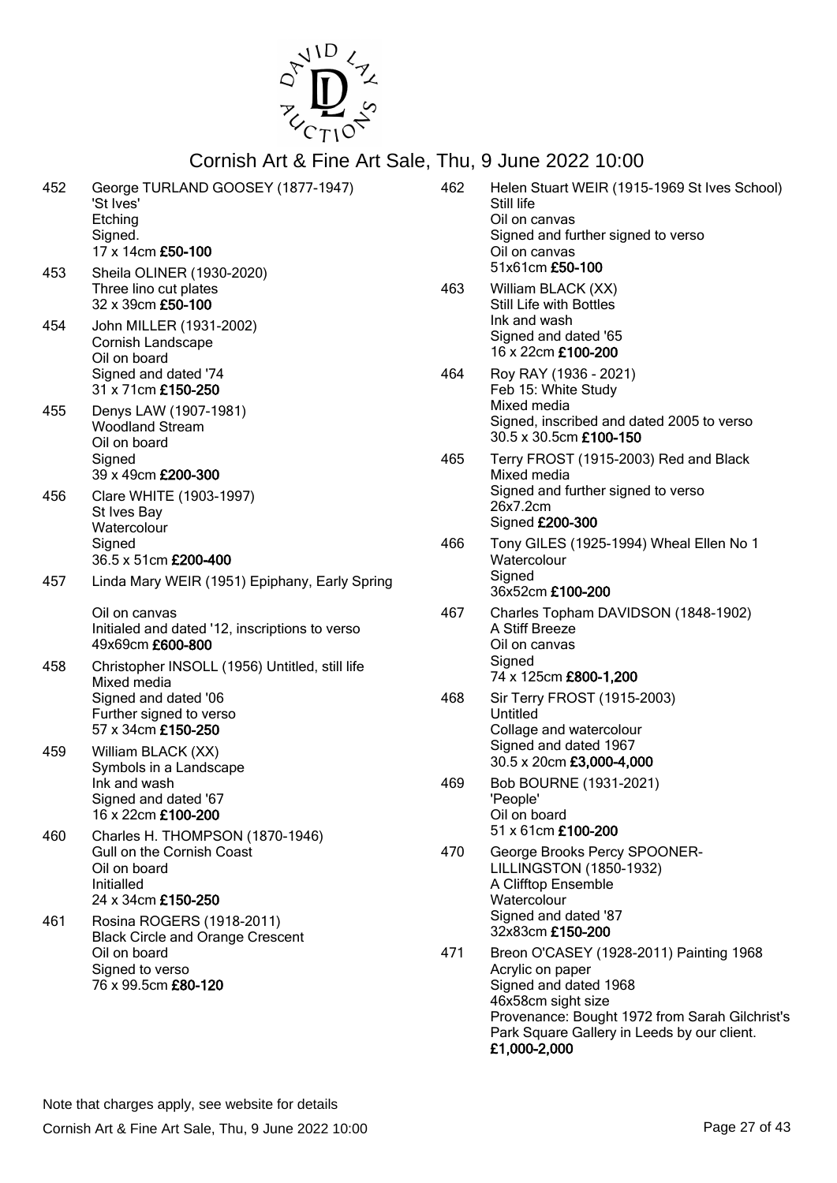

| 452 | George TURLAND GOOSEY (1877-1947)<br>'St Ives'<br>Etching<br>Signed.<br>17 x 14cm £50-100         | 462 | Helen Stuart WEIR (1915-1969 St Ives School)<br>Still life<br>Oil on canvas<br>Signed and further signed to verso<br>Oil on canvas                           |
|-----|---------------------------------------------------------------------------------------------------|-----|--------------------------------------------------------------------------------------------------------------------------------------------------------------|
| 453 | Sheila OLINER (1930-2020)<br>Three lino cut plates<br>32 x 39cm £50-100                           | 463 | 51x61cm £50-100<br>William BLACK (XX)<br>Still Life with Bottles                                                                                             |
| 454 | John MILLER (1931-2002)<br>Cornish Landscape<br>Oil on board                                      |     | Ink and wash<br>Signed and dated '65<br>16 x 22cm £100-200                                                                                                   |
|     | Signed and dated '74<br>31 x 71cm £150-250                                                        | 464 | Roy RAY (1936 - 2021)<br>Feb 15: White Study                                                                                                                 |
| 455 | Denys LAW (1907-1981)<br><b>Woodland Stream</b><br>Oil on board                                   |     | Mixed media<br>Signed, inscribed and dated 2005 to verso<br>30.5 x 30.5cm £100-150                                                                           |
|     | Signed<br>39 x 49cm £200-300                                                                      | 465 | Terry FROST (1915-2003) Red and Black<br>Mixed media                                                                                                         |
| 456 | Clare WHITE (1903-1997)<br>St Ives Bay<br>Watercolour                                             |     | Signed and further signed to verso<br>26x7.2cm<br>Signed £200-300                                                                                            |
|     | Signed<br>36.5 x 51cm £200-400                                                                    | 466 | Tony GILES (1925-1994) Wheal Ellen No 1<br>Watercolour                                                                                                       |
| 457 | Linda Mary WEIR (1951) Epiphany, Early Spring                                                     |     | Signed<br>36x52cm £100-200                                                                                                                                   |
|     | Oil on canvas<br>Initialed and dated '12, inscriptions to verso<br>49x69cm £600-800               | 467 | Charles Topham DAVIDSON (1848-1902)<br>A Stiff Breeze<br>Oil on canvas                                                                                       |
| 458 | Christopher INSOLL (1956) Untitled, still life<br>Mixed media                                     |     | Signed<br>74 x 125cm £800-1,200                                                                                                                              |
|     | Signed and dated '06<br>Further signed to verso<br>57 x 34cm £150-250                             | 468 | Sir Terry FROST (1915-2003)<br>Untitled<br>Collage and watercolour                                                                                           |
| 459 | William BLACK (XX)<br>Symbols in a Landscape                                                      |     | Signed and dated 1967<br>30.5 x 20cm £3,000-4,000                                                                                                            |
|     | Ink and wash<br>Signed and dated '67<br>16 x 22cm £100-200                                        | 469 | Bob BOURNE (1931-2021)<br>'People'<br>Oil on board                                                                                                           |
| 460 | Charles H. THOMPSON (1870-1946)<br><b>Gull on the Cornish Coast</b>                               | 470 | 51 x 61cm £100-200<br>George Brooks Percy SPOONER-                                                                                                           |
|     | Oil on board<br>Initialled<br>24 x 34cm £150-250                                                  |     | <b>LILLINGSTON (1850-1932)</b><br>A Clifftop Ensemble<br>Watercolour                                                                                         |
| 461 | Rosina ROGERS (1918-2011)                                                                         |     | Signed and dated '87<br>32x83cm £150-200                                                                                                                     |
|     | <b>Black Circle and Orange Crescent</b><br>Oil on board<br>Signed to verso<br>76 x 99.5cm £80-120 | 471 | Breon O'CASEY (1928-2011) Painting 1968<br>Acrylic on paper<br>Signed and dated 1968<br>46x58cm sight size<br>Provenance: Bought 1972 from Sarah Gilchrist's |

Park Square Gallery in Leeds by our client.

£1,000-2,000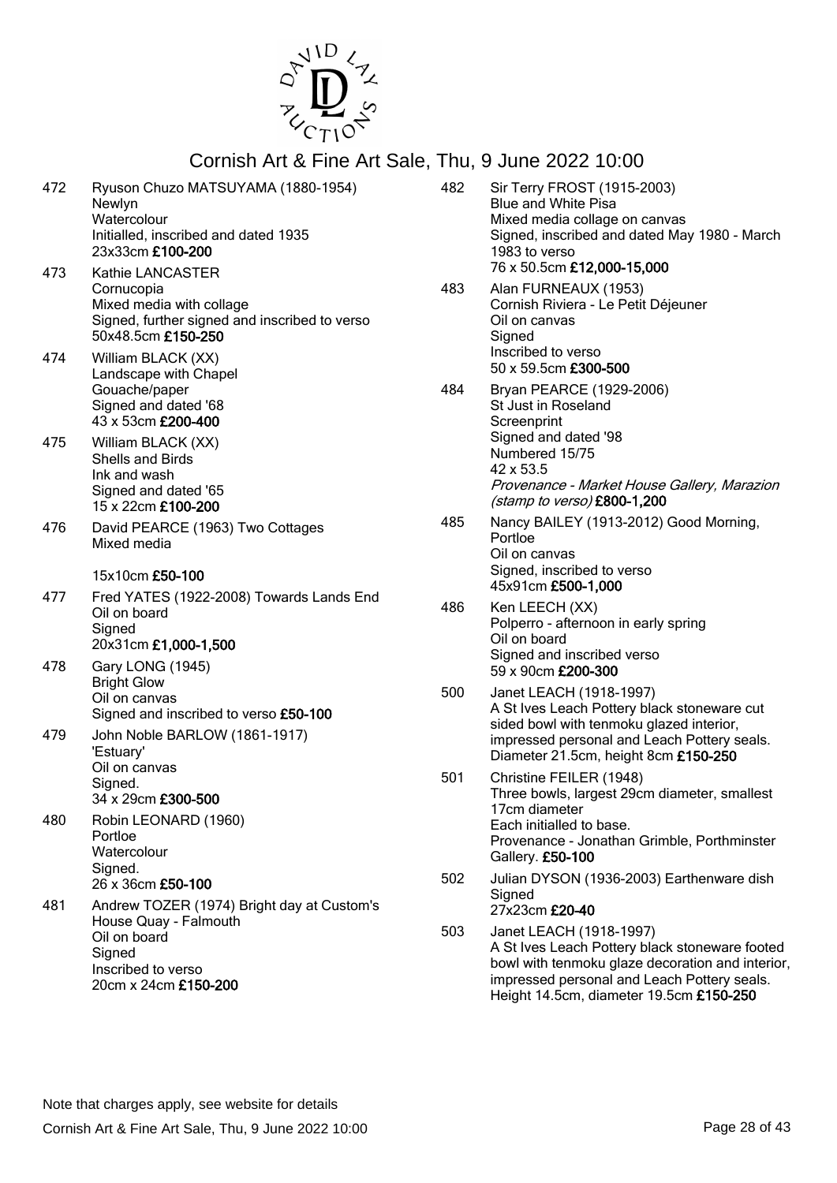

| 472        | Ryuson Chuzo MATSUYAMA (1880-1954)<br>Newlyn<br>Watercolour<br>Initialled, inscribed and dated 1935<br>23x33cm £100-200           | 482 | Sir Terry FROST (1915-2003)<br><b>Blue and White Pisa</b><br>Mixed media collage on canvas<br>Signed, inscribed and dated May 1980 - March<br>1983 to verso<br>76 x 50.5cm £12,000-15,000                               |
|------------|-----------------------------------------------------------------------------------------------------------------------------------|-----|-------------------------------------------------------------------------------------------------------------------------------------------------------------------------------------------------------------------------|
| 473        | Kathie LANCASTER<br>Cornucopia<br>Mixed media with collage<br>Signed, further signed and inscribed to verso<br>50x48.5cm £150-250 | 483 | Alan FURNEAUX (1953)<br>Cornish Riviera - Le Petit Déjeuner<br>Oil on canvas<br>Signed                                                                                                                                  |
| 474        | William BLACK (XX)<br>Landscape with Chapel<br>Gouache/paper<br>Signed and dated '68<br>43 x 53cm £200-400                        | 484 | Inscribed to verso<br>50 x 59.5cm £300-500<br>Bryan PEARCE (1929-2006)<br>St Just in Roseland<br>Screenprint                                                                                                            |
| 475        | William BLACK (XX)<br>Shells and Birds<br>Ink and wash<br>Signed and dated '65<br>15 x 22cm £100-200                              |     | Signed and dated '98<br>Numbered 15/75<br>42 x 53.5<br>Provenance - Market House Gallery, Marazion<br>(stamp to verso) £800-1,200                                                                                       |
| 476        | David PEARCE (1963) Two Cottages<br>Mixed media<br>15x10cm £50-100                                                                | 485 | Nancy BAILEY (1913-2012) Good Morning,<br>Portloe<br>Oil on canvas<br>Signed, inscribed to verso<br>45x91cm £500-1,000                                                                                                  |
| 477<br>478 | Fred YATES (1922-2008) Towards Lands End<br>Oil on board<br>Signed<br>20x31cm £1,000-1,500<br><b>Gary LONG (1945)</b>             | 486 | Ken LEECH (XX)<br>Polperro - afternoon in early spring<br>Oil on board<br>Signed and inscribed verso                                                                                                                    |
| 479        | <b>Bright Glow</b><br>Oil on canvas<br>Signed and inscribed to verso £50-100<br>John Noble BARLOW (1861-1917)                     | 500 | 59 x 90cm £200-300<br>Janet LEACH (1918-1997)<br>A St Ives Leach Pottery black stoneware cut<br>sided bowl with tenmoku glazed interior,<br>impressed personal and Leach Pottery seals.                                 |
|            | 'Estuary'<br>Oil on canvas<br>Signed.<br>34 x 29cm £300-500                                                                       | 501 | Diameter 21.5cm, height 8cm £150-250<br>Christine FEILER (1948)<br>Three bowls, largest 29cm diameter, smallest<br>17cm diameter                                                                                        |
| 480        | Robin LEONARD (1960)<br>Portloe<br>Watercolour<br>Signed.                                                                         |     | Each initialled to base.<br>Provenance - Jonathan Grimble, Porthminster<br>Gallery. £50-100                                                                                                                             |
| 481        | 26 x 36cm £50-100<br>Andrew TOZER (1974) Bright day at Custom's                                                                   | 502 | Julian DYSON (1936-2003) Earthenware dish<br>Signed<br>27x23cm £20-40                                                                                                                                                   |
|            | House Quay - Falmouth<br>Oil on board<br>Signed<br>Inscribed to verso<br>20cm x 24cm £150-200                                     | 503 | Janet LEACH (1918-1997)<br>A St Ives Leach Pottery black stoneware footed<br>bowl with tenmoku glaze decoration and interior,<br>impressed personal and Leach Pottery seals.<br>Height 14.5cm, diameter 19.5cm £150-250 |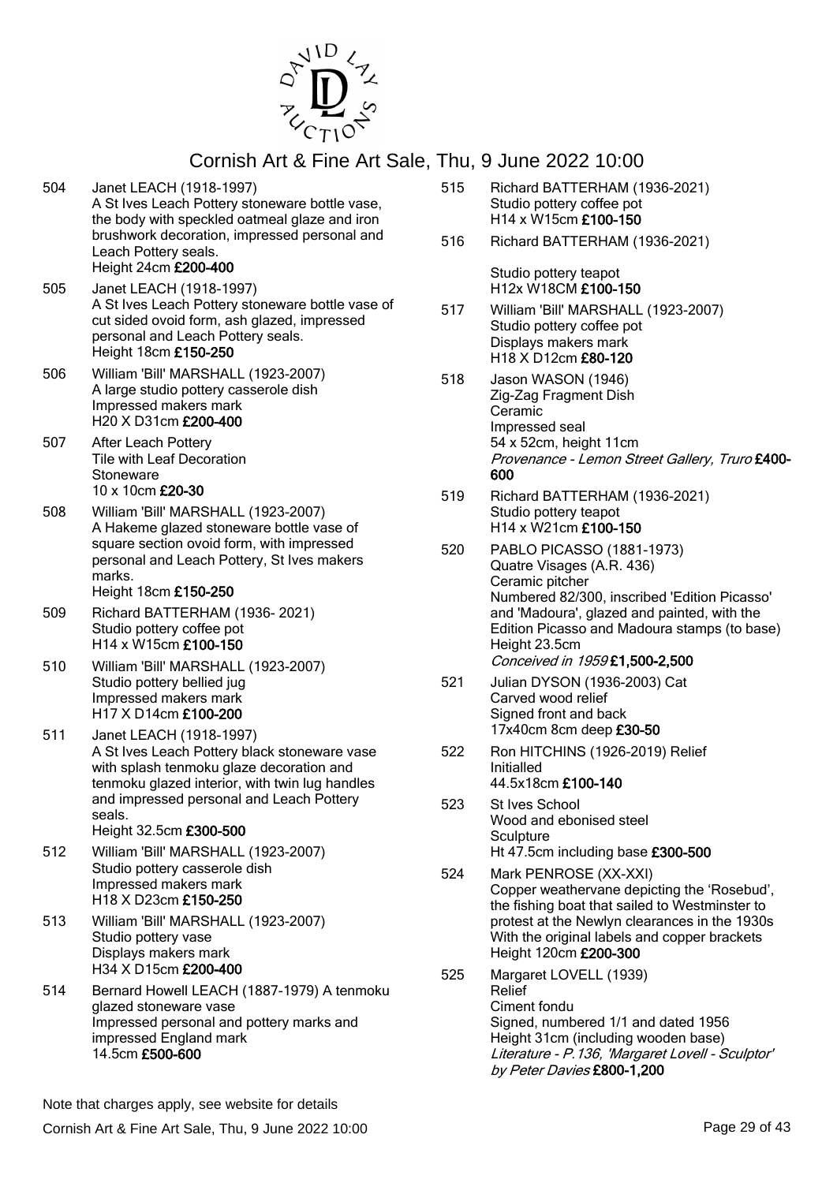

504 Janet LEACH (1918-1997)

# Cornish Art & Fine Art Sale, Thu, 9 June 2022 10:00

A St Ives Leach Pottery stoneware bottle vase, the body with speckled oatmeal glaze and iron brushwork decoration, impressed personal and Leach Pottery seals. Height 24cm £200-400 505 Janet LEACH (1918-1997) A St Ives Leach Pottery stoneware bottle vase of cut sided ovoid form, ash glazed, impressed personal and Leach Pottery seals. Height 18cm £150-250 506 William 'Bill' MARSHALL (1923-2007) A large studio pottery casserole dish Impressed makers mark H20 X D31cm £200-400 507 After Leach Pottery Tile with Leaf Decoration **Stoneware** 10 x 10cm £20-30 508 William 'Bill' MARSHALL (1923-2007) A Hakeme glazed stoneware bottle vase of square section ovoid form, with impressed personal and Leach Pottery, St Ives makers marks. Height 18cm £150-250 509 Richard BATTERHAM (1936- 2021) Studio pottery coffee pot H14 x W15cm £100-150 510 William 'Bill' MARSHALL (1923-2007) Studio pottery bellied jug Impressed makers mark H17 X D14cm £100-200 511 Janet LEACH (1918-1997) A St Ives Leach Pottery black stoneware vase with splash tenmoku glaze decoration and tenmoku glazed interior, with twin lug handles and impressed personal and Leach Pottery seals. Height 32.5cm £300-500 512 William 'Bill' MARSHALL (1923-2007) Studio pottery casserole dish Impressed makers mark H18 X D23cm £150-250 513 William 'Bill' MARSHALL (1923-2007) Studio pottery vase Displays makers mark H34 X D15cm £200-400 514 Bernard Howell LEACH (1887-1979) A tenmoku glazed stoneware vase Impressed personal and pottery marks and impressed England mark 14.5cm £500-600

515 Richard BATTERHAM (1936-2021) Studio pottery coffee pot H14 x W15cm £100-150 516 Richard BATTERHAM (1936-2021)

> Studio pottery teapot H12x W18CM £100-150

- 517 William 'Bill' MARSHALL (1923-2007) Studio pottery coffee pot Displays makers mark H18 X D12cm £80-120
- 518 Jason WASON (1946) Zig-Zag Fragment Dish Ceramic Impressed seal 54 x 52cm, height 11cm Provenance - Lemon Street Gallery, Truro £400- 600
- 519 Richard BATTERHAM (1936-2021) Studio pottery teapot H14 x W21cm £100-150
- 520 PABLO PICASSO (1881-1973) Quatre Visages (A.R. 436) Ceramic pitcher Numbered 82/300, inscribed 'Edition Picasso' and 'Madoura', glazed and painted, with the Edition Picasso and Madoura stamps (to base) Height 23.5cm Conceived in 1959 £1,500-2,500
- 521 Julian DYSON (1936-2003) Cat Carved wood relief Signed front and back 17x40cm 8cm deep £30-50
- 522 Ron HITCHINS (1926-2019) Relief Initialled 44.5x18cm £100-140
- 523 St Ives School Wood and ebonised steel **Sculpture** Ht 47.5cm including base £300-500
- 524 Mark PENROSE (XX-XXI) Copper weathervane depicting the 'Rosebud', the fishing boat that sailed to Westminster to protest at the Newlyn clearances in the 1930s With the original labels and copper brackets Height 120cm £200-300
- 525 Margaret LOVELL (1939) Relief Ciment fondu Signed, numbered 1/1 and dated 1956 Height 31cm (including wooden base) Literature - P.136, 'Margaret Lovell - Sculptor' by Peter Davies £800-1,200

Note that charges apply, see website for details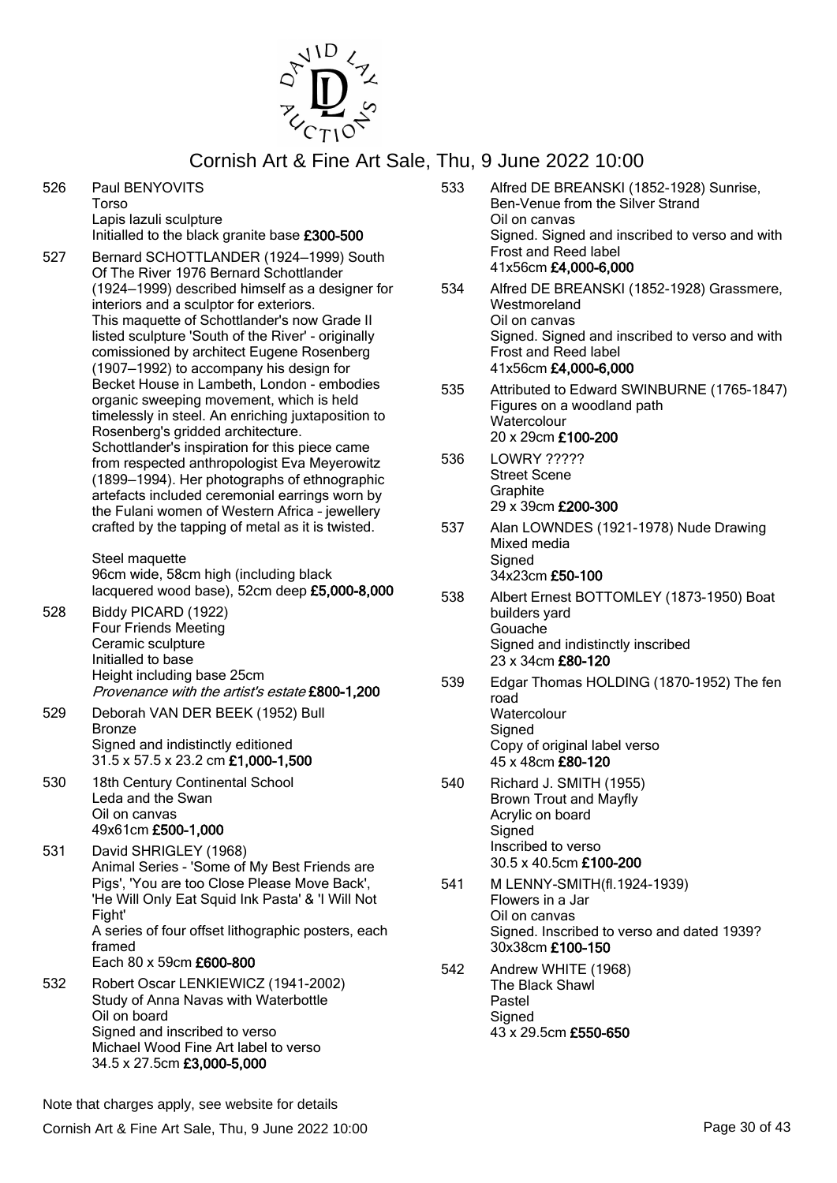

- 526 Paul BENYOVITS Torso Lapis lazuli sculpture Initialled to the black granite base £300-500
- 527 Bernard SCHOTTLANDER (1924—1999) South Of The River 1976 Bernard Schottlander (1924—1999) described himself as a designer for interiors and a sculptor for exteriors. This maquette of Schottlander's now Grade II listed sculpture 'South of the River' - originally comissioned by architect Eugene Rosenberg (1907—1992) to accompany his design for Becket House in Lambeth, London - embodies organic sweeping movement, which is held timelessly in steel. An enriching juxtaposition to Rosenberg's gridded architecture. Schottlander's inspiration for this piece came from respected anthropologist Eva Meyerowitz (1899—1994). Her photographs of ethnographic artefacts included ceremonial earrings worn by the Fulani women of Western Africa – jewellery crafted by the tapping of metal as it is twisted.

Steel maquette 96cm wide, 58cm high (including black lacquered wood base), 52cm deep £5,000-8,000

- 528 Biddy PICARD (1922) Four Friends Meeting Ceramic sculpture Initialled to base Height including base 25cm Provenance with the artist's estate £800-1,200
- 529 Deborah VAN DER BEEK (1952) Bull Bronze Signed and indistinctly editioned 31.5 x 57.5 x 23.2 cm £1,000-1,500
- 530 18th Century Continental School Leda and the Swan Oil on canvas 49x61cm £500-1,000
- 531 David SHRIGLEY (1968) Animal Series - 'Some of My Best Friends are Pigs', 'You are too Close Please Move Back', 'He Will Only Eat Squid Ink Pasta' & 'I Will Not Fight' A series of four offset lithographic posters, each framed Each 80 x 59cm £600-800 532 Robert Oscar LENKIEWICZ (1941-2002) Study of Anna Navas with Waterbottle
	- Oil on board Signed and inscribed to verso Michael Wood Fine Art label to verso 34.5 x 27.5cm £3,000-5,000
- 533 Alfred DE BREANSKI (1852-1928) Sunrise, Ben-Venue from the Silver Strand Oil on canvas Signed. Signed and inscribed to verso and with Frost and Reed label 41x56cm £4,000-6,000
- 534 Alfred DE BREANSKI (1852-1928) Grassmere, Westmoreland Oil on canvas Signed. Signed and inscribed to verso and with Frost and Reed label 41x56cm £4,000-6,000
- 535 Attributed to Edward SWINBURNE (1765-1847) Figures on a woodland path **Watercolour** 20 x 29cm £100-200
- 536 LOWRY ????? Street Scene **Graphite** 29 x 39cm £200-300
- 537 Alan LOWNDES (1921-1978) Nude Drawing Mixed media **Signed** 34x23cm £50-100
- 538 Albert Ernest BOTTOMLEY (1873-1950) Boat builders yard Gouache Signed and indistinctly inscribed 23 x 34cm £80-120
- 539 Edgar Thomas HOLDING (1870-1952) The fen road **Watercolour Signed** Copy of original label verso 45 x 48cm £80-120
- 540 Richard J. SMITH (1955) Brown Trout and Mayfly Acrylic on board **Signed** Inscribed to verso 30.5 x 40.5cm £100-200
- 541 M LENNY-SMITH(fl.1924-1939) Flowers in a Jar Oil on canvas Signed. Inscribed to verso and dated 1939? 30x38cm £100-150
- 542 Andrew WHITE (1968) The Black Shawl Pastel **Signed** 43 x 29.5cm £550-650

Note that charges apply, see website for details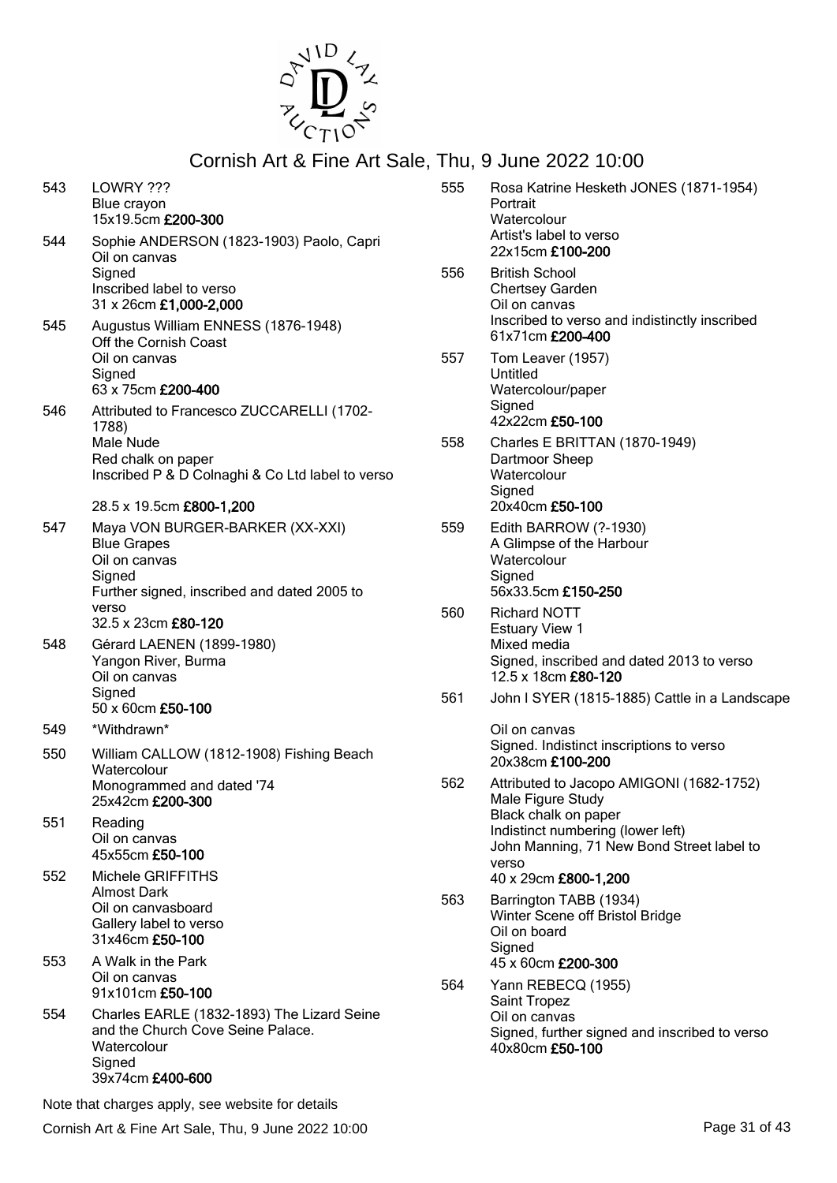

| 543 | LOWRY ???<br>Blue crayon<br>15x19.5cm £200-300                                                                                            |
|-----|-------------------------------------------------------------------------------------------------------------------------------------------|
| 544 | Sophie ANDERSON (1823-1903) Paolo, Capri<br>Oil on canvas<br>Signed<br>Inscribed label to verso<br>31 x 26cm £1,000-2,000                 |
| 545 | Augustus William ENNESS (1876-1948)<br>Off the Cornish Coast<br>Oil on canvas<br>Signed<br>63 x 75cm £200-400                             |
| 546 | Attributed to Francesco ZUCCARELLI (1702-<br>1788)<br>Male Nude<br>Red chalk on paper<br>Inscribed P & D Colnaghi & Co Ltd label to verso |
|     | 28.5 x 19.5cm £800-1,200                                                                                                                  |
| 547 | Maya VON BURGER-BARKER (XX-XXI)<br><b>Blue Grapes</b><br>Oil on canvas                                                                    |
|     | Signed<br>Further signed, inscribed and dated 2005 to<br>verso<br>32.5 x 23cm £80-120                                                     |
| 548 | Gérard LAENEN (1899-1980)<br>Yangon River, Burma<br>Oil on canvas<br>Signed<br>50 x 60cm £50-100                                          |
| 549 | *Withdrawn*                                                                                                                               |
| 550 | William CALLOW (1812-1908) Fishing Beach<br>Watercolour<br>Monogrammed and dated '74<br>25x42cm £200-300                                  |
| 551 | Reading<br>Oil on canvas<br>45x55cm £50-100                                                                                               |
| 552 | Michele GRIFFITHS<br>Almost Dark<br>Oil on canvasboard<br>Gallery label to verso<br>31x46cm £50-100                                       |
| 553 | A Walk in the Park<br>Oil on canvas<br>91x101cm £50-100                                                                                   |
| 554 | Charles EARLE (1832-1893) The Lizard Seine<br>and the Church Cove Seine Palace.<br>Watercolour<br>Signed<br>39x74cm £400-600              |

Note that charges apply, see website for details

- 555 Rosa Katrine Hesketh JONES (1871-1954) Portrait **Watercolour** Artist's label to verso 22x15cm £100-200 556 British School Chertsey Garden Oil on canvas Inscribed to verso and indistinctly inscribed 61x71cm £200-400
- 557 Tom Leaver (1957) Untitled Watercolour/paper **Signed** 42x22cm £50-100
- 558 Charles E BRITTAN (1870-1949) Dartmoor Sheep **Watercolour Signed** 20x40cm £50-100
- 559 Edith BARROW (?-1930) A Glimpse of the Harbour **Watercolour Signed** 56x33.5cm £150-250
- 560 Richard NOTT Estuary View 1 Mixed media Signed, inscribed and dated 2013 to verso 12.5 x 18cm £80-120
- 561 John I SYER (1815-1885) Cattle in a Landscape

Oil on canvas Signed. Indistinct inscriptions to verso 20x38cm £100-200

- 562 Attributed to Jacopo AMIGONI (1682-1752) Male Figure Study Black chalk on paper Indistinct numbering (lower left) John Manning, 71 New Bond Street label to verso 40 x 29cm £800-1,200
- 563 Barrington TABB (1934) Winter Scene off Bristol Bridge Oil on board **Signed** 45 x 60cm £200-300
- 564 Yann REBECQ (1955) Saint Tropez Oil on canvas Signed, further signed and inscribed to verso 40x80cm £50-100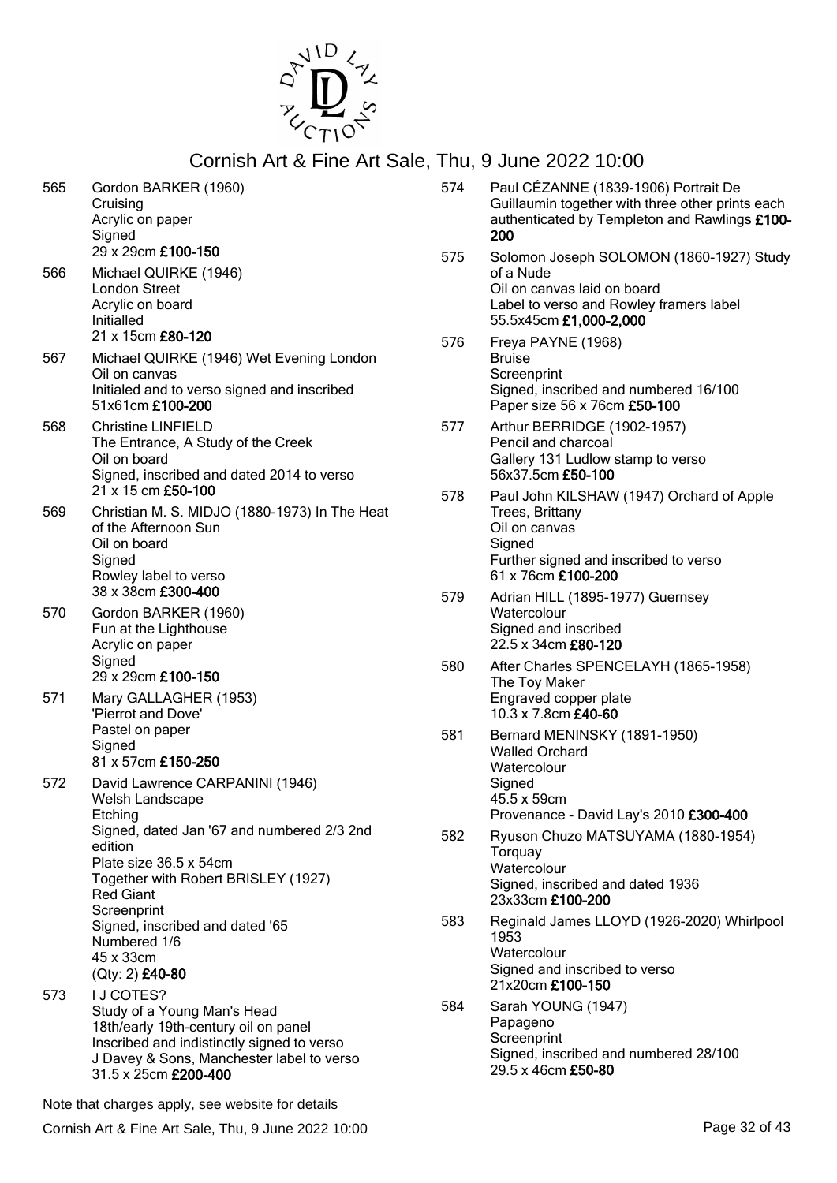

| 565 | Gordon BARKER (1960)<br>Cruising<br>Acrylic on paper<br>Signed<br>29 x 29cm £100-150                                                                                                                                                                                                                          |
|-----|---------------------------------------------------------------------------------------------------------------------------------------------------------------------------------------------------------------------------------------------------------------------------------------------------------------|
| 566 | Michael QUIRKE (1946)<br><b>London Street</b><br>Acrylic on board<br>Initialled<br>21 x 15cm £80-120                                                                                                                                                                                                          |
| 567 | Michael QUIRKE (1946) Wet Evening London<br>Oil on canvas<br>Initialed and to verso signed and inscribed<br>51x61cm £100-200                                                                                                                                                                                  |
| 568 | <b>Christine LINFIELD</b><br>The Entrance, A Study of the Creek<br>Oil on board<br>Signed, inscribed and dated 2014 to verso<br>21 x 15 cm £50-100                                                                                                                                                            |
| 569 | Christian M. S. MIDJO (1880-1973) In The Heat<br>of the Afternoon Sun<br>Oil on board<br>Signed<br>Rowley label to verso<br>38 x 38cm £300-400                                                                                                                                                                |
| 570 | Gordon BARKER (1960)<br>Fun at the Lighthouse<br>Acrylic on paper<br>Signed<br>29 x 29cm £100-150                                                                                                                                                                                                             |
| 571 | Mary GALLAGHER (1953)<br>'Pierrot and Dove'<br>Pastel on paper<br>Signed<br>81 x 57cm £150-250                                                                                                                                                                                                                |
| 572 | David Lawrence CARPANINI (1946)<br>Welsh Landscape<br>Etching<br>Signed, dated Jan '67 and numbered 2/3 2nd<br>edition<br>Plate size 36.5 x 54cm<br>Together with Robert BRISLEY (1927)<br><b>Red Giant</b><br>Screenprint<br>Signed, inscribed and dated '65<br>Numbered 1/6<br>45 x 33cm<br>(Qty: 2) £40-80 |
| 573 | I J COTES?<br>Study of a Young Man's Head<br>18th/early 19th-century oil on panel<br>Inscribed and indistinctly signed to verso<br>J Davey & Sons, Manchester label to verso<br>31.5 x 25cm £200-400                                                                                                          |

|     | Guillaumin together with three other prints each<br>authenticated by Templeton and Rawlings £100-<br>200                                                  |
|-----|-----------------------------------------------------------------------------------------------------------------------------------------------------------|
| 575 | Solomon Joseph SOLOMON (1860-1927) Study<br>of a Nude<br>Oil on canvas laid on board<br>Label to verso and Rowley framers label<br>55.5x45cm £1,000-2,000 |
| 576 | Freya PAYNE (1968)<br><b>Bruise</b><br>Screenprint<br>Signed, inscribed and numbered 16/100<br>Paper size 56 x 76cm £50-100                               |
| 577 | Arthur BERRIDGE (1902-1957)<br>Pencil and charcoal<br>Gallery 131 Ludlow stamp to verso<br>56x37.5cm £50-100                                              |
| 578 | Paul John KILSHAW (1947) Orchard of Apple<br>Trees, Brittany<br>Oil on canvas<br>Signed<br>Further signed and inscribed to verso<br>61 x 76cm £100-200    |
| 579 | Adrian HILL (1895-1977) Guernsey<br>Watercolour<br>Signed and inscribed<br>22.5 x 34cm £80-120                                                            |
| 580 | After Charles SPENCELAYH (1865-1958)<br>The Toy Maker<br>Engraved copper plate<br>10.3 x 7.8cm £40-60                                                     |
| 581 | Bernard MENINSKY (1891-1950)<br><b>Walled Orchard</b><br>Watercolour<br>Signed<br>45.5 x 59cm<br>Provenance - David Lay's 2010 £300-400                   |
| 582 | Ryuson Chuzo MATSUYAMA (1880-1954)<br>Torquay<br>Watercolour<br>Signed, inscribed and dated 1936<br>23x33cm £100-200                                      |
| 583 | Reginald James LLOYD (1926-2020) Whirlpool<br>1953<br>Watercolour<br>Signed and inscribed to verso<br>21x20cm £100-150                                    |
| 584 | Sarah YOUNG (1947)<br>Papageno<br>Screenprint<br>Signed, inscribed and numbered 28/100                                                                    |

29.5 x 46cm £50-80

574 Paul CÉZANNE (1839-1906) Portrait De

Note that charges apply, see website for details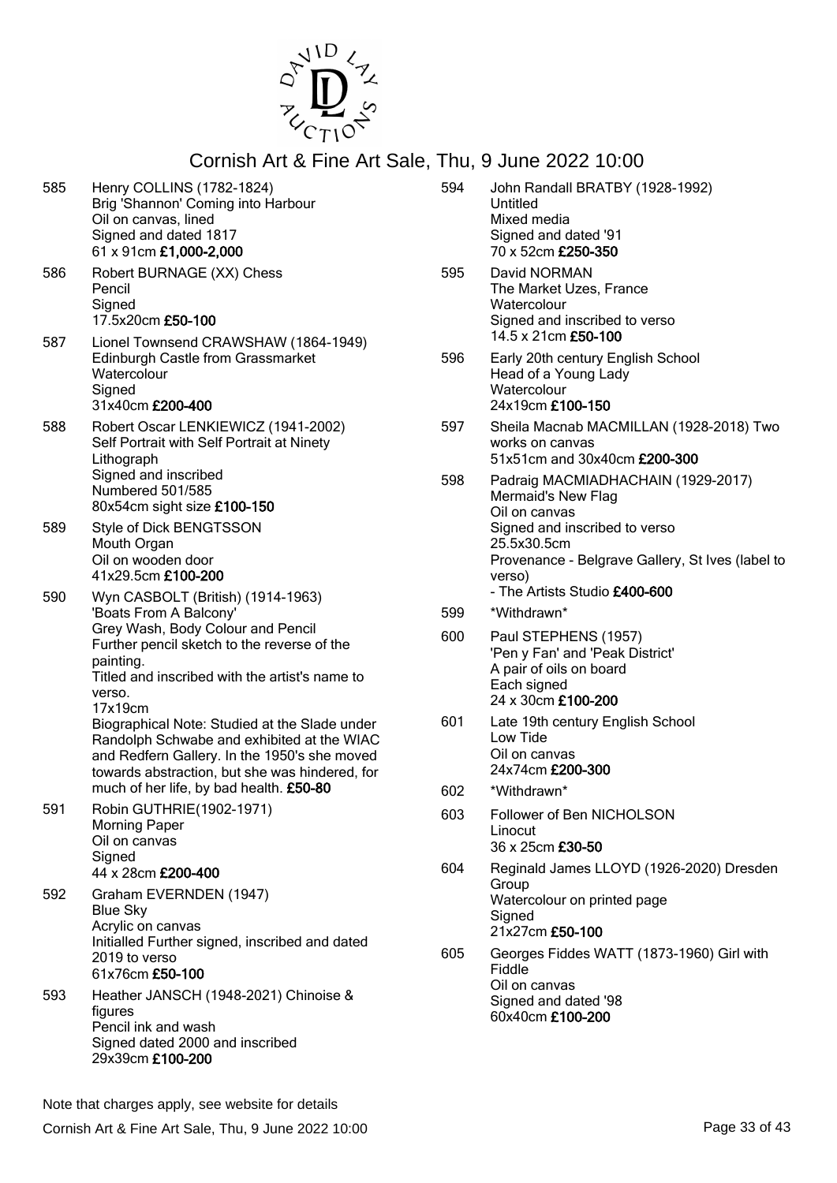

585 Henry COLLINS (1782-1824) Brig 'Shannon' Coming into Harbour Oil on canvas, lined Signed and dated 1817 61 x 91cm £1,000-2,000 586 Robert BURNAGE (XX) Chess Pencil **Signed** 17.5x20cm £50-100 587 Lionel Townsend CRAWSHAW (1864-1949) Edinburgh Castle from Grassmarket **Watercolour** Signed 31x40cm £200-400 588 Robert Oscar LENKIEWICZ (1941-2002) Self Portrait with Self Portrait at Ninety **Lithograph** Signed and inscribed Numbered 501/585 80x54cm sight size £100-150 589 Style of Dick BENGTSSON Mouth Organ Oil on wooden door 41x29.5cm £100-200 590 Wyn CASBOLT (British) (1914-1963) 'Boats From A Balcony' Grey Wash, Body Colour and Pencil Further pencil sketch to the reverse of the painting. Titled and inscribed with the artist's name to verso. 17x19cm Biographical Note: Studied at the Slade under Randolph Schwabe and exhibited at the WIAC and Redfern Gallery. In the 1950's she moved towards abstraction, but she was hindered, for much of her life, by bad health. £50-80 591 Robin GUTHRIE(1902-1971) Morning Paper Oil on canvas **Signed** 44 x 28cm £200-400 592 Graham EVERNDEN (1947) Blue Sky Acrylic on canvas Initialled Further signed, inscribed and dated 2019 to verso 61x76cm £50-100 593 Heather JANSCH (1948-2021) Chinoise & figures Pencil ink and wash Signed dated 2000 and inscribed 29x39cm £100-200 Untitled Mixed media Signed and dated '91 70 x 52cm £250-350 595 David NORMAN **Watercolour** 14.5 x 21cm £50-100 **Watercolour** 24x19cm £100-150 works on canvas Mermaid's New Flag Oil on canvas 25.5x30.5cm verso) - The Artists Studio £400-600 599 \*Withdrawn\* A pair of oils on board Each signed 24 x 30cm £100-200 Low Tide Oil on canvas 24x74cm £200-300 602 \*Withdrawn\* Linocut 36 x 25cm £30-50 **Group Signed** 21x27cm £50-100 Fiddle Oil on canvas Signed and dated '98 60x40cm £100-200

Note that charges apply, see website for details

- 594 John Randall BRATBY (1928-1992)
- The Market Uzes, France Signed and inscribed to verso
- 596 Early 20th century English School Head of a Young Lady
- 597 Sheila Macnab MACMILLAN (1928-2018) Two 51x51cm and 30x40cm £200-300
- 598 Padraig MACMIADHACHAIN (1929-2017) Signed and inscribed to verso Provenance - Belgrave Gallery, St Ives (label to
- 600 Paul STEPHENS (1957) 'Pen y Fan' and 'Peak District'
- 601 Late 19th century English School
- 603 Follower of Ben NICHOLSON
- 604 Reginald James LLOYD (1926-2020) Dresden Watercolour on printed page
- 605 Georges Fiddes WATT (1873-1960) Girl with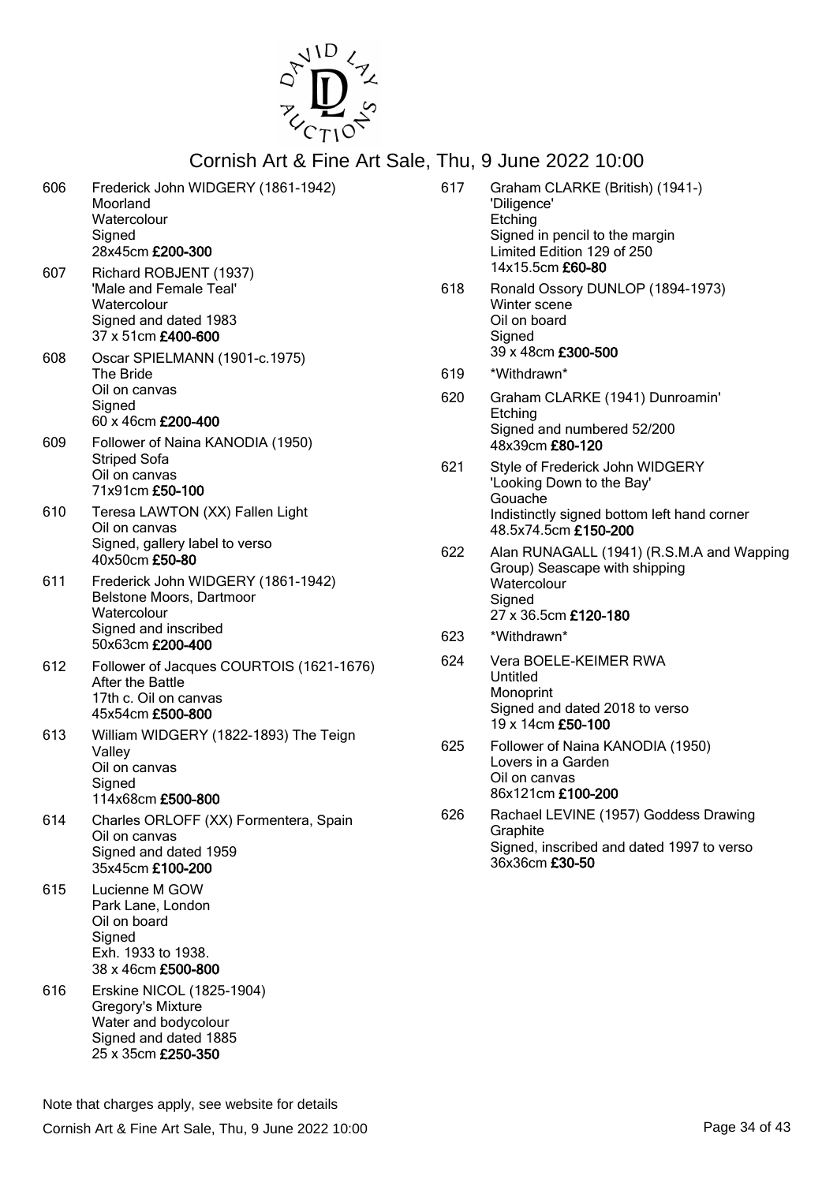

| 606 | Frederick John WIDGERY (1861-1942)<br>Moorland<br>Watercolour<br>Signed<br>28x45cm £200-300                               |
|-----|---------------------------------------------------------------------------------------------------------------------------|
| 607 | Richard ROBJENT (1937)<br>'Male and Female Teal'<br>Watercolour<br>Signed and dated 1983<br>37 x 51cm £400-600            |
| 608 | Oscar SPIELMANN (1901-c.1975)<br><b>The Bride</b><br>Oil on canvas<br>Signed<br>60 x 46cm £200-400                        |
| 609 | Follower of Naina KANODIA (1950)<br><b>Striped Sofa</b><br>Oil on canvas<br>71x91cm £50-100                               |
| 610 | Teresa LAWTON (XX) Fallen Light<br>Oil on canvas<br>Signed, gallery label to verso<br>40x50cm £50-80                      |
| 611 | Frederick John WIDGERY (1861-1942)<br>Belstone Moors, Dartmoor<br>Watercolour<br>Signed and inscribed<br>50x63cm £200-400 |
| 612 | Follower of Jacques COURTOIS (1621-1676)<br>After the Battle<br>17th c. Oil on canvas<br>45x54cm £500-800                 |
| 613 | William WIDGERY (1822-1893) The Teign<br>Valley<br>Oil on canvas<br>Signed<br>114x68cm £500-800                           |
| 614 | Charles ORLOFF (XX) Formentera, Spain<br>Oil on canvas<br>Signed and dated 1959<br>35x45cm £100-200                       |
| 615 | Lucienne M GOW<br>Park Lane, London<br>Oil on board<br>Signed<br>Exh. 1933 to 1938.<br>38 x 46cm £500-800                 |
| 616 | Erskine NICOL (1825-1904)<br>Gregory's Mixture<br>Water and bodycolour<br>Signed and dated 1885<br>25 x 35cm £250-350     |

| 617<br>Graham CLARKE (British) (1941-)<br>'Diligence'<br>Etching<br>Signed in pencil to the margin<br>Limited Edition 129 of 250<br>14x15.5cm £60-80<br>618<br>Ronald Ossory DUNLOP (1894-1973)<br>Winter scene<br>Oil on board<br>Signed<br>39 x 48cm <b>£300-500</b><br>*Withdrawn*<br>619<br>620<br>Graham CLARKE (1941) Dunroamin'<br>Etching<br>Signed and numbered 52/200<br>48x39cm £80-120<br>621<br>Style of Frederick John WIDGERY<br>'Looking Down to the Bay'<br>Gouache<br>Indistinctly signed bottom left hand corner<br>48.5x74.5cm £150-200<br>622<br>Group) Seascape with shipping<br>Watercolour<br>Signed<br>27 x 36.5cm £120-180<br>*Withdrawn*<br>623<br>624<br>Vera BOELE-KEIMER RWA<br>Untitled<br>Monoprint<br>Signed and dated 2018 to verso<br>19 x 14cm £50-100<br>625<br>Follower of Naina KANODIA (1950)<br>Lovers in a Garden<br>Oil on canvas<br>86x121cm £100-200<br>626<br>Rachael LEVINE (1957) Goddess Drawing<br>Graphite<br>Signed, inscribed and dated 1997 to verso<br>36x36cm £30-50 |                                           |
|------------------------------------------------------------------------------------------------------------------------------------------------------------------------------------------------------------------------------------------------------------------------------------------------------------------------------------------------------------------------------------------------------------------------------------------------------------------------------------------------------------------------------------------------------------------------------------------------------------------------------------------------------------------------------------------------------------------------------------------------------------------------------------------------------------------------------------------------------------------------------------------------------------------------------------------------------------------------------------------------------------------------------|-------------------------------------------|
|                                                                                                                                                                                                                                                                                                                                                                                                                                                                                                                                                                                                                                                                                                                                                                                                                                                                                                                                                                                                                              |                                           |
|                                                                                                                                                                                                                                                                                                                                                                                                                                                                                                                                                                                                                                                                                                                                                                                                                                                                                                                                                                                                                              |                                           |
|                                                                                                                                                                                                                                                                                                                                                                                                                                                                                                                                                                                                                                                                                                                                                                                                                                                                                                                                                                                                                              |                                           |
|                                                                                                                                                                                                                                                                                                                                                                                                                                                                                                                                                                                                                                                                                                                                                                                                                                                                                                                                                                                                                              |                                           |
|                                                                                                                                                                                                                                                                                                                                                                                                                                                                                                                                                                                                                                                                                                                                                                                                                                                                                                                                                                                                                              |                                           |
|                                                                                                                                                                                                                                                                                                                                                                                                                                                                                                                                                                                                                                                                                                                                                                                                                                                                                                                                                                                                                              | Alan RUNAGALL (1941) (R.S.M.A and Wapping |
|                                                                                                                                                                                                                                                                                                                                                                                                                                                                                                                                                                                                                                                                                                                                                                                                                                                                                                                                                                                                                              |                                           |
|                                                                                                                                                                                                                                                                                                                                                                                                                                                                                                                                                                                                                                                                                                                                                                                                                                                                                                                                                                                                                              |                                           |
|                                                                                                                                                                                                                                                                                                                                                                                                                                                                                                                                                                                                                                                                                                                                                                                                                                                                                                                                                                                                                              |                                           |
|                                                                                                                                                                                                                                                                                                                                                                                                                                                                                                                                                                                                                                                                                                                                                                                                                                                                                                                                                                                                                              |                                           |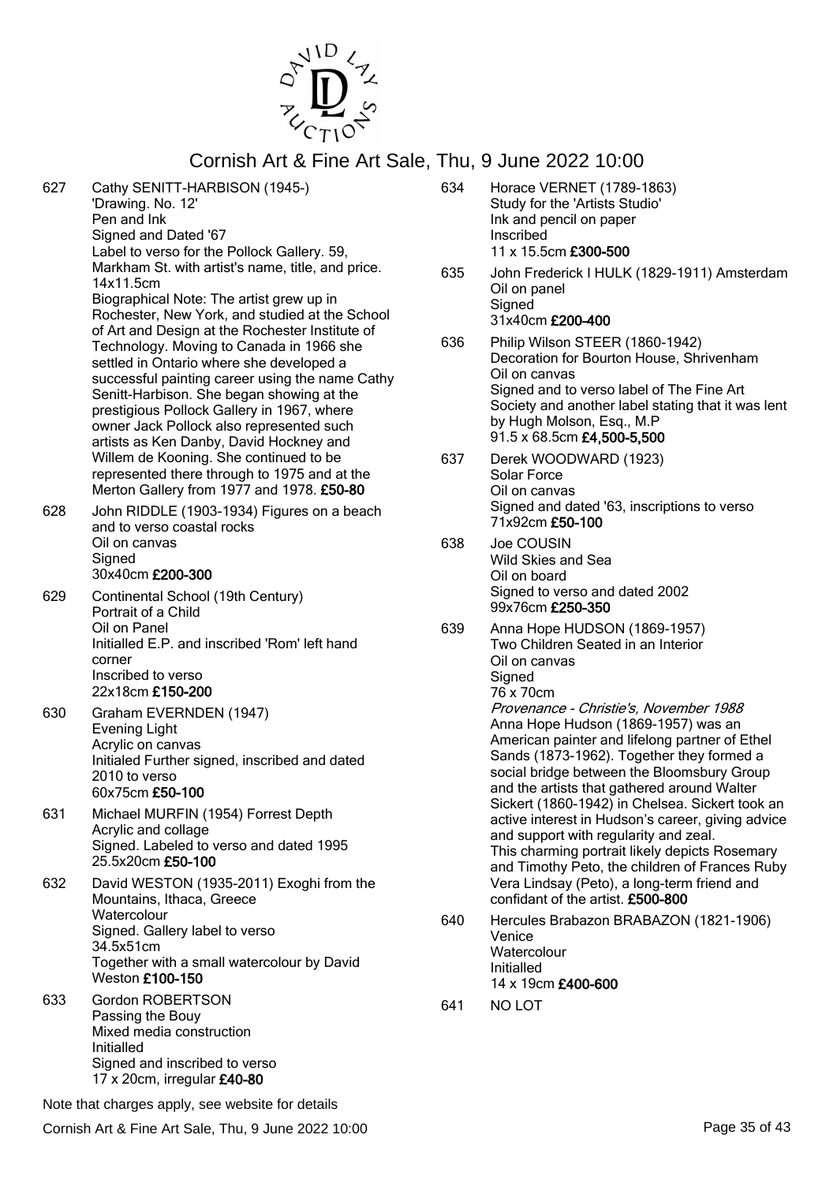

| 627 | Cathy SENITT-HARBISON (1945-)<br>'Drawing. No. 12'<br>Pen and Ink<br>Signed and Dated '67<br>Label to verso for the Pollock Gallery. 59,<br>Markham St. with artist's name, title, and price.                                                                                                                                                                                                                                                                                           | 634<br>635 | Horace VERNET (1789-1863)<br>Study for the 'Artists Studio'<br>Ink and pencil on paper<br>Inscribed<br>11 x 15.5cm £300-500<br>John Frederick I HULK (1829-1911) Amsterdam                                                                                                                                                   |  |  |
|-----|-----------------------------------------------------------------------------------------------------------------------------------------------------------------------------------------------------------------------------------------------------------------------------------------------------------------------------------------------------------------------------------------------------------------------------------------------------------------------------------------|------------|------------------------------------------------------------------------------------------------------------------------------------------------------------------------------------------------------------------------------------------------------------------------------------------------------------------------------|--|--|
|     | 14x11.5cm<br>Biographical Note: The artist grew up in<br>Rochester, New York, and studied at the School<br>of Art and Design at the Rochester Institute of<br>Technology. Moving to Canada in 1966 she<br>settled in Ontario where she developed a<br>successful painting career using the name Cathy<br>Senitt-Harbison. She began showing at the<br>prestigious Pollock Gallery in 1967, where<br>owner Jack Pollock also represented such<br>artists as Ken Danby, David Hockney and |            | Oil on panel<br>Signed<br>31x40cm £200-400                                                                                                                                                                                                                                                                                   |  |  |
|     |                                                                                                                                                                                                                                                                                                                                                                                                                                                                                         | 636        | Philip Wilson STEER (1860-1942)<br>Decoration for Bourton House, Shrivenham<br>Oil on canvas<br>Signed and to verso label of The Fine Art<br>Society and another label stating that it was lent<br>by Hugh Molson, Esq., M.P<br>91.5 x 68.5cm £4,500-5,500                                                                   |  |  |
| 628 | Willem de Kooning. She continued to be<br>represented there through to 1975 and at the<br>Merton Gallery from 1977 and 1978. £50-80<br>John RIDDLE (1903-1934) Figures on a beach                                                                                                                                                                                                                                                                                                       | 637        | Derek WOODWARD (1923)<br>Solar Force<br>Oil on canvas<br>Signed and dated '63, inscriptions to verso                                                                                                                                                                                                                         |  |  |
|     | and to verso coastal rocks<br>Oil on canvas<br>Signed<br>30x40cm £200-300                                                                                                                                                                                                                                                                                                                                                                                                               | 638        | 71x92cm £50-100<br>Joe COUSIN<br>Wild Skies and Sea<br>Oil on board                                                                                                                                                                                                                                                          |  |  |
| 629 | Continental School (19th Century)<br>Portrait of a Child<br>Oil on Panel<br>Initialled E.P. and inscribed 'Rom' left hand<br>corner<br>Inscribed to verso<br>22x18cm £150-200                                                                                                                                                                                                                                                                                                           | 639        | Signed to verso and dated 2002<br>99x76cm £250-350<br>Anna Hope HUDSON (1869-1957)<br>Two Children Seated in an Interior<br>Oil on canvas<br>Signed<br>76 x 70cm                                                                                                                                                             |  |  |
| 630 | Graham EVERNDEN (1947)<br><b>Evening Light</b><br>Acrylic on canvas<br>Initialed Further signed, inscribed and dated<br>2010 to verso<br>60x75cm £50-100                                                                                                                                                                                                                                                                                                                                |            | Provenance - Christie's, November 1988<br>Anna Hope Hudson (1869-1957) was an<br>American painter and lifelong partner of Ethel<br>Sands (1873-1962). Together they formed a<br>social bridge between the Bloomsbury Group<br>and the artists that gathered around Walter<br>Sickert (1860-1942) in Chelsea. Sickert took an |  |  |
| 631 | Michael MURFIN (1954) Forrest Depth<br>Acrylic and collage<br>Signed. Labeled to verso and dated 1995<br>25.5x20cm £50-100                                                                                                                                                                                                                                                                                                                                                              |            | active interest in Hudson's career, giving advice<br>and support with regularity and zeal.<br>This charming portrait likely depicts Rosemary<br>and Timothy Peto, the children of Frances Ruby                                                                                                                               |  |  |
| 632 | David WESTON (1935-2011) Exoghi from the<br>Mountains, Ithaca, Greece<br>Watercolour<br>Signed. Gallery label to verso<br>34.5x51cm<br>Together with a small watercolour by David<br>Weston £100-150                                                                                                                                                                                                                                                                                    | 640        | Vera Lindsay (Peto), a long-term friend and<br>confidant of the artist. £500-800<br>Hercules Brabazon BRABAZON (1821-1906)<br>Venice<br>Watercolour<br>Initialled<br>14 x 19cm £400-600                                                                                                                                      |  |  |
| 633 | <b>Gordon ROBERTSON</b><br>Passing the Bouy<br>Mixed media construction<br>Initialled<br>Signed and inscribed to verso<br>17 x 20cm, irregular £40-80                                                                                                                                                                                                                                                                                                                                   | 641        | NO LOT                                                                                                                                                                                                                                                                                                                       |  |  |
|     | Note that charges apply, see website for details                                                                                                                                                                                                                                                                                                                                                                                                                                        |            |                                                                                                                                                                                                                                                                                                                              |  |  |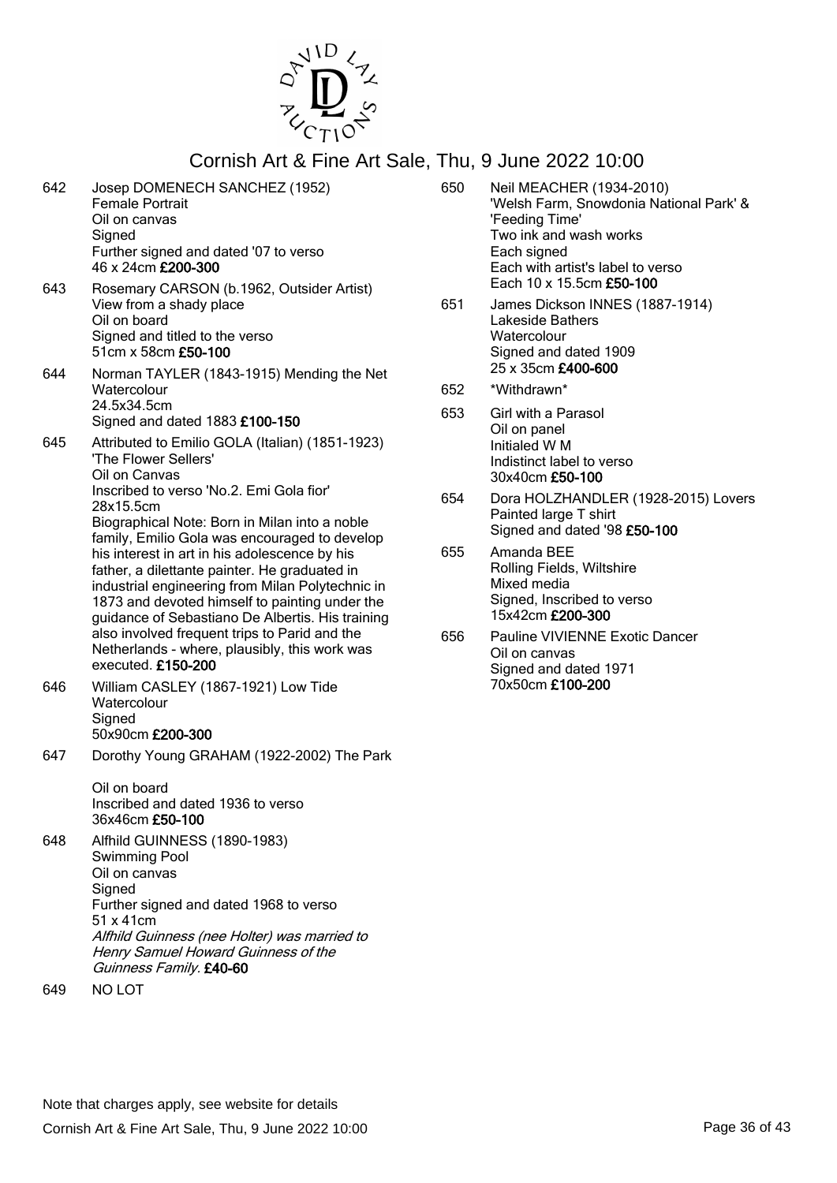

- 642 Josep DOMENECH SANCHEZ (1952) Female Portrait Oil on canvas **Signed** Further signed and dated '07 to verso 46 x 24cm £200-300
- 643 Rosemary CARSON (b.1962, Outsider Artist) View from a shady place Oil on board Signed and titled to the verso 51cm x 58cm £50-100
- 644 Norman TAYLER (1843-1915) Mending the Net **Watercolour** 24.5x34.5cm Signed and dated 1883 £100-150
- 645 Attributed to Emilio GOLA (Italian) (1851-1923) 'The Flower Sellers' Oil on Canvas Inscribed to verso 'No.2. Emi Gola fior' 28x15.5cm Biographical Note: Born in Milan into a noble

family, Emilio Gola was encouraged to develop his interest in art in his adolescence by his father, a dilettante painter. He graduated in industrial engineering from Milan Polytechnic in 1873 and devoted himself to painting under the guidance of Sebastiano De Albertis. His training also involved frequent trips to Parid and the Netherlands - where, plausibly, this work was executed. £150-200

- 646 William CASLEY (1867-1921) Low Tide **Watercolour Signed** 50x90cm £200-300
- 647 Dorothy Young GRAHAM (1922-2002) The Park

Oil on board Inscribed and dated 1936 to verso 36x46cm £50-100

- 648 Alfhild GUINNESS (1890-1983) Swimming Pool Oil on canvas **Signed** Further signed and dated 1968 to verso 51 x 41cm Alfhild Guinness (nee Holter) was married to Henry Samuel Howard Guinness of the Guinness Family. £40-60
- 649 NO LOT
- 650 Neil MEACHER (1934-2010) 'Welsh Farm, Snowdonia National Park' & 'Feeding Time' Two ink and wash works Each signed Each with artist's label to verso Each 10 x 15.5cm £50-100
- 651 James Dickson INNES (1887-1914) Lakeside Bathers **Watercolour** Signed and dated 1909 25 x 35cm £400-600
- 652 \*Withdrawn\*
- 653 Girl with a Parasol Oil on panel Initialed W M Indistinct label to verso 30x40cm £50-100
- 654 Dora HOLZHANDLER (1928-2015) Lovers Painted large T shirt Signed and dated '98 £50-100
- 655 Amanda BEE Rolling Fields, Wiltshire Mixed media Signed, Inscribed to verso 15x42cm £200-300
- 656 Pauline VIVIENNE Exotic Dancer Oil on canvas Signed and dated 1971 70x50cm £100-200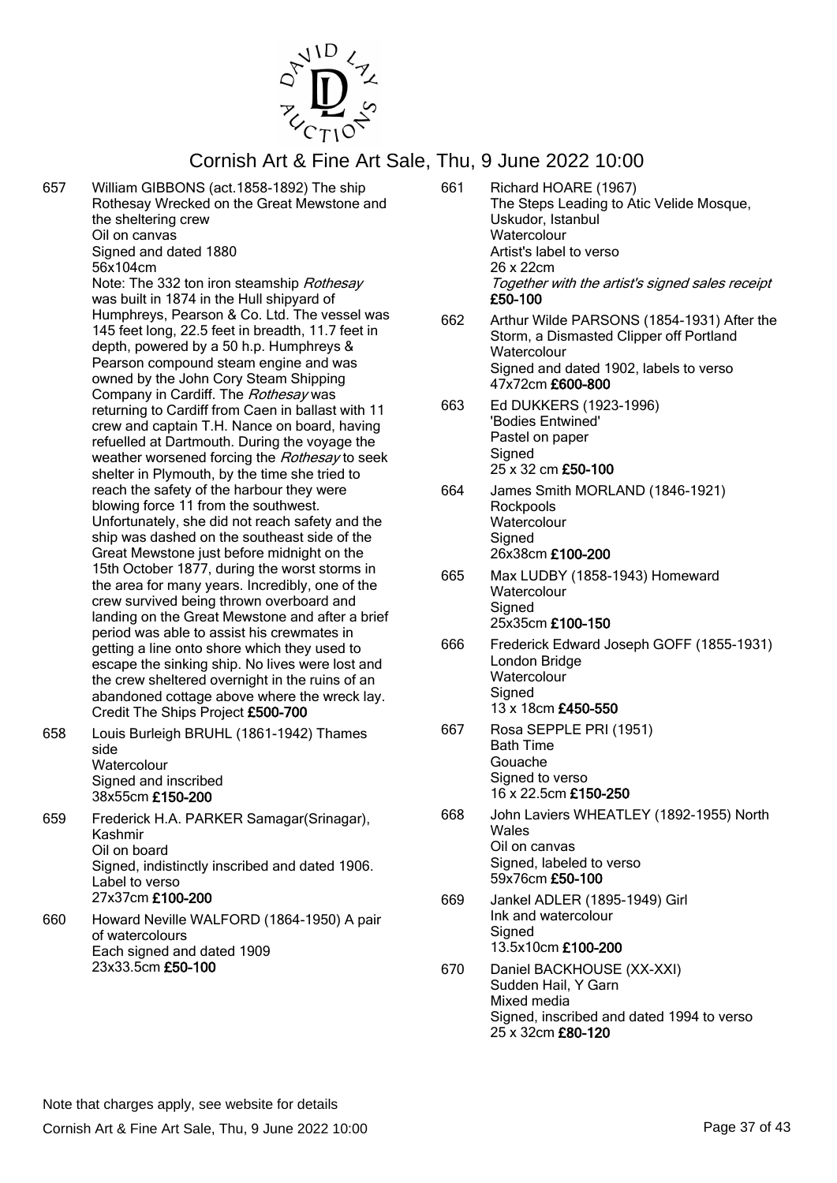

657 William GIBBONS (act.1858-1892) The ship Rothesay Wrecked on the Great Mewstone and the sheltering crew Oil on canvas Signed and dated 1880

56x104cm

Note: The 332 ton iron steamship Rothesay was built in 1874 in the Hull shipyard of Humphreys, Pearson & Co. Ltd. The vessel was 145 feet long, 22.5 feet in breadth, 11.7 feet in depth, powered by a 50 h.p. Humphreys & Pearson compound steam engine and was owned by the John Cory Steam Shipping Company in Cardiff. The Rothesay was returning to Cardiff from Caen in ballast with 11 crew and captain T.H. Nance on board, having refuelled at Dartmouth. During the voyage the weather worsened forcing the Rothesay to seek shelter in Plymouth, by the time she tried to reach the safety of the harbour they were blowing force 11 from the southwest. Unfortunately, she did not reach safety and the ship was dashed on the southeast side of the Great Mewstone just before midnight on the 15th October 1877, during the worst storms in the area for many years. Incredibly, one of the crew survived being thrown overboard and landing on the Great Mewstone and after a brief period was able to assist his crewmates in getting a line onto shore which they used to escape the sinking ship. No lives were lost and the crew sheltered overnight in the ruins of an abandoned cottage above where the wreck lay. Credit The Ships Project £500-700

- 658 Louis Burleigh BRUHL (1861-1942) Thames side **Watercolour** Signed and inscribed 38x55cm £150-200
- 659 Frederick H.A. PARKER Samagar(Srinagar), Kashmir Oil on board Signed, indistinctly inscribed and dated 1906. Label to verso 27x37cm £100-200
- 660 Howard Neville WALFORD (1864-1950) A pair of watercolours Each signed and dated 1909 23x33.5cm £50-100
- 661 Richard HOARE (1967) The Steps Leading to Atic Velide Mosque, Uskudor, Istanbul **Watercolour** Artist's label to verso 26 x 22cm Together with the artist's signed sales receipt £50-100
- 662 Arthur Wilde PARSONS (1854-1931) After the Storm, a Dismasted Clipper off Portland **Watercolour** Signed and dated 1902, labels to verso 47x72cm £600-800
- 663 Ed DUKKERS (1923-1996) 'Bodies Entwined' Pastel on paper **Signed** 25 x 32 cm £50-100
- 664 James Smith MORLAND (1846-1921) **Rockpools Watercolour Signed** 26x38cm £100-200
- 665 Max LUDBY (1858-1943) Homeward **Watercolour Signed** 25x35cm £100-150
- 666 Frederick Edward Joseph GOFF (1855-1931) London Bridge **Watercolour Signed** 13 x 18cm £450-550
- 667 Rosa SEPPLE PRI (1951) Bath Time Gouache Signed to verso 16 x 22.5cm £150-250
- 668 John Laviers WHEATLEY (1892-1955) North Wales Oil on canvas Signed, labeled to verso 59x76cm £50-100
- 669 Jankel ADLER (1895-1949) Girl Ink and watercolour **Signed** 13.5x10cm £100-200
- 670 Daniel BACKHOUSE (XX-XXI) Sudden Hail, Y Garn Mixed media Signed, inscribed and dated 1994 to verso 25 x 32cm £80-120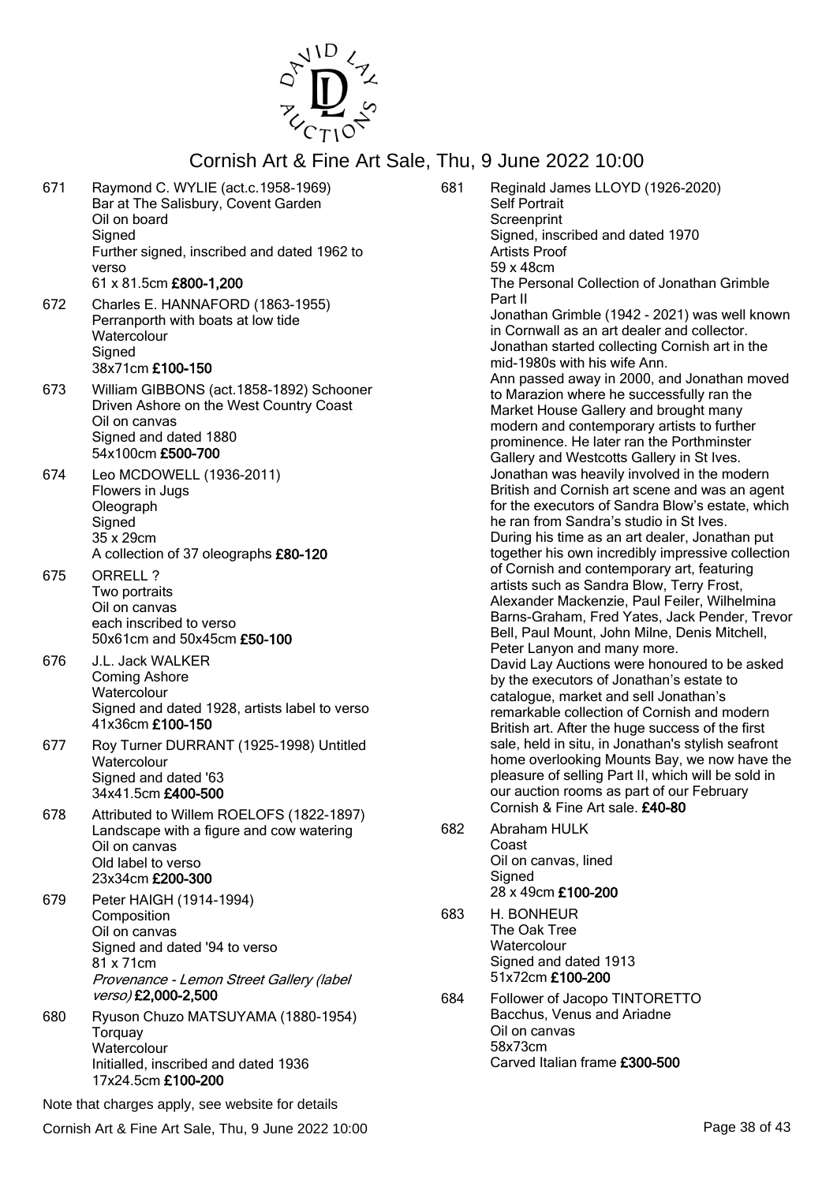

- 671 Raymond C. WYLIE (act.c.1958-1969) Bar at The Salisbury, Covent Garden Oil on board **Signed** Further signed, inscribed and dated 1962 to verso 61 x 81.5cm £800-1,200
- 672 Charles E. HANNAFORD (1863-1955) Perranporth with boats at low tide **Watercolour Signed** 38x71cm £100-150
- 673 William GIBBONS (act.1858-1892) Schooner Driven Ashore on the West Country Coast Oil on canvas Signed and dated 1880 54x100cm £500-700
- 674 Leo MCDOWELL (1936-2011) Flowers in Jugs Oleograph **Signed** 35 x 29cm A collection of 37 oleographs £80-120
- 675 ORRELL ? Two portraits Oil on canvas each inscribed to verso 50x61cm and 50x45cm £50-100
- 676 J.L. Jack WALKER Coming Ashore **Watercolour** Signed and dated 1928, artists label to verso 41x36cm £100-150
- 677 Roy Turner DURRANT (1925-1998) Untitled **Watercolour** Signed and dated '63 34x41.5cm £400-500
- 678 Attributed to Willem ROELOFS (1822-1897) Landscape with a figure and cow watering Oil on canvas Old label to verso 23x34cm £200-300
- 679 Peter HAIGH (1914-1994) **Composition** Oil on canvas Signed and dated '94 to verso 81 x 71cm Provenance - Lemon Street Gallery (label verso) £2,000-2,500
- 680 Ryuson Chuzo MATSUYAMA (1880-1954) **Torquay Watercolour** Initialled, inscribed and dated 1936 17x24.5cm £100-200

Note that charges apply, see website for details

Cornish Art & Fine Art Sale, Thu, 9 June 2022 10:00 Page 38 of 43

- 681 Reginald James LLOYD (1926-2020) Self Portrait **Screenprint** Signed, inscribed and dated 1970 Artists Proof 59 x 48cm The Personal Collection of Jonathan Grimble Part II Jonathan Grimble (1942 - 2021) was well known in Cornwall as an art dealer and collector. Jonathan started collecting Cornish art in the mid-1980s with his wife Ann. Ann passed away in 2000, and Jonathan moved to Marazion where he successfully ran the Market House Gallery and brought many modern and contemporary artists to further prominence. He later ran the Porthminster Gallery and Westcotts Gallery in St Ives. Jonathan was heavily involved in the modern British and Cornish art scene and was an agent for the executors of Sandra Blow's estate, which he ran from Sandra's studio in St Ives. During his time as an art dealer, Jonathan put together his own incredibly impressive collection of Cornish and contemporary art, featuring artists such as Sandra Blow, Terry Frost, Alexander Mackenzie, Paul Feiler, Wilhelmina Barns-Graham, Fred Yates, Jack Pender, Trevor Bell, Paul Mount, John Milne, Denis Mitchell, Peter Lanyon and many more. David Lay Auctions were honoured to be asked by the executors of Jonathan's estate to catalogue, market and sell Jonathan's remarkable collection of Cornish and modern British art. After the huge success of the first sale, held in situ, in Jonathan's stylish seafront home overlooking Mounts Bay, we now have the pleasure of selling Part II, which will be sold in our auction rooms as part of our February Cornish & Fine Art sale. £40-80
- 682 Abraham HULK Coast Oil on canvas, lined **Signed** 28 x 49cm £100-200
- 683 H. BONHEUR The Oak Tree **Watercolour** Signed and dated 1913 51x72cm £100-200
- 684 Follower of Jacopo TINTORETTO Bacchus, Venus and Ariadne Oil on canvas 58x73cm Carved Italian frame £300-500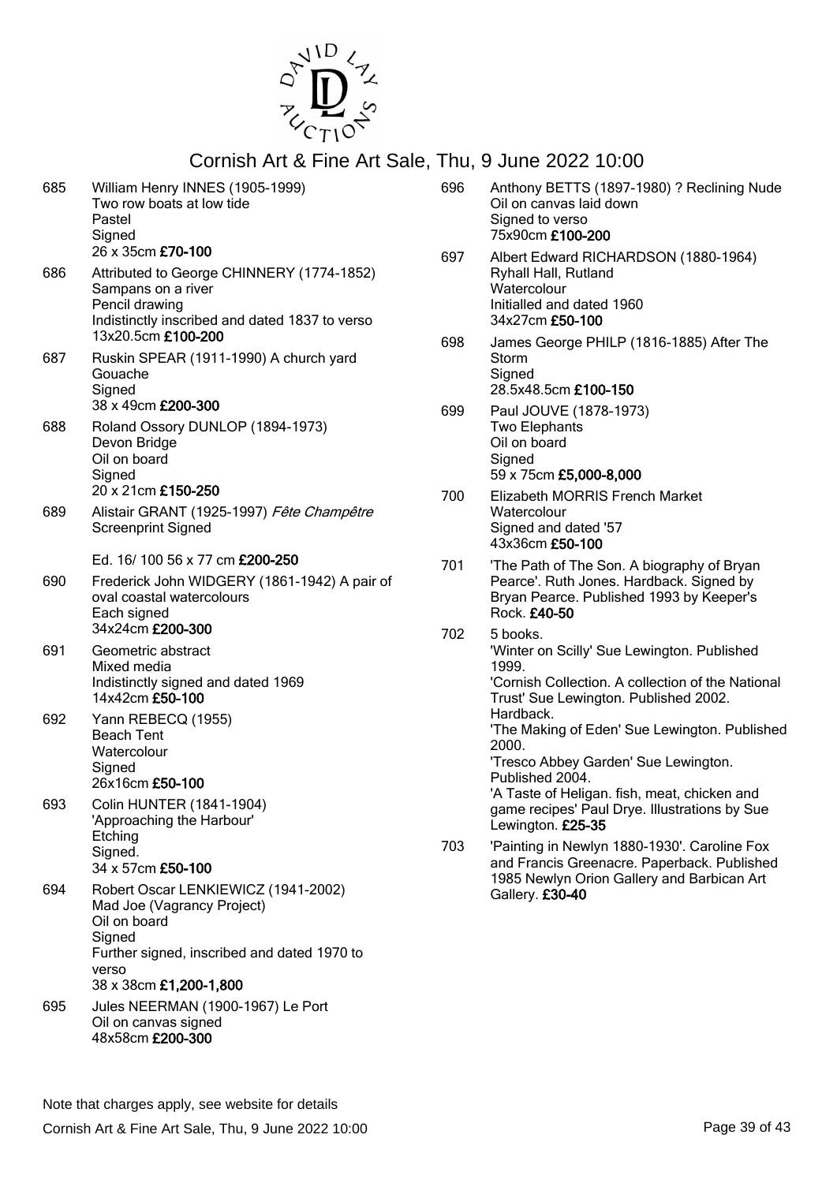

| 685 | William Henry INNES (1905-1999)<br>Two row boats at low tide<br>Pastel<br>Signed<br>26 x 35cm £70-100                                                                         |
|-----|-------------------------------------------------------------------------------------------------------------------------------------------------------------------------------|
| 686 | Attributed to George CHINNERY (1774-1852)<br>Sampans on a river<br>Pencil drawing<br>Indistinctly inscribed and dated 1837 to verso<br>13x20.5cm £100-200                     |
| 687 | Ruskin SPEAR (1911-1990) A church yard<br>Gouache<br>Signed<br>38 x 49cm £200-300                                                                                             |
| 688 | Roland Ossory DUNLOP (1894-1973)<br>Devon Bridge<br>Oil on board<br>Signed<br>20 x 21cm £150-250                                                                              |
| 689 | Alistair GRANT (1925-1997) Fête Champêtre<br><b>Screenprint Signed</b>                                                                                                        |
|     | Ed. 16/100 56 x 77 cm £200-250                                                                                                                                                |
| 690 | Frederick John WIDGERY (1861-1942) A pair of<br>oval coastal watercolours<br>Each signed<br>34x24cm £200-300                                                                  |
| 691 | Geometric abstract<br>Mixed media<br>Indistinctly signed and dated 1969<br>14x42cm £50-100                                                                                    |
| 692 | Yann REBECQ (1955)<br><b>Beach Tent</b><br>Watercolour<br>Signed<br>26x16cm £50-100                                                                                           |
| 693 | <b>Colin HUNTER (1841-1904)</b><br>'Approaching the Harbour'<br>Etching<br>Signed.<br>34 x 57cm £50-100                                                                       |
| 694 | Robert Oscar LENKIEWICZ (1941-2002)<br>Mad Joe (Vagrancy Project)<br>Oil on board<br>Signed<br>Further signed, inscribed and dated 1970 to<br>verso<br>38 x 38cm £1,200-1,800 |
| 695 | Jules NEERMAN (1900-1967) Le Port<br>Oil on canvas signed<br>48x58cm £200-300                                                                                                 |

| 696 | Anthony BETTS (1897-1980) ? Reclining Nude<br>Oil on canvas laid down<br>Signed to verso<br>75x90cm £100-200                                                                                                                                                                                                                                                                                                           |
|-----|------------------------------------------------------------------------------------------------------------------------------------------------------------------------------------------------------------------------------------------------------------------------------------------------------------------------------------------------------------------------------------------------------------------------|
| 697 | Albert Edward RICHARDSON (1880-1964)<br>Ryhall Hall, Rutland<br>Watercolour<br>Initialled and dated 1960<br>34x27cm £50-100                                                                                                                                                                                                                                                                                            |
| 698 | James George PHILP (1816-1885) After The<br>Storm<br>Signed<br>28.5x48.5cm £100-150                                                                                                                                                                                                                                                                                                                                    |
| 699 | Paul JOUVE (1878-1973)<br><b>Two Elephants</b><br>Oil on board<br>Signed<br>59 x 75cm £5,000-8,000                                                                                                                                                                                                                                                                                                                     |
| 700 | Elizabeth MORRIS French Market<br>Watercolour<br>Signed and dated '57<br>43x36cm £50-100                                                                                                                                                                                                                                                                                                                               |
| 701 | 'The Path of The Son. A biography of Bryan<br>Pearce'. Ruth Jones. Hardback. Signed by<br>Bryan Pearce. Published 1993 by Keeper's<br>Rock. £40-50                                                                                                                                                                                                                                                                     |
| 702 | 5 books.<br>'Winter on Scilly' Sue Lewington. Published<br>1999.<br>'Cornish Collection. A collection of the National<br>Trust' Sue Lewington. Published 2002.<br>Hardback.<br>'The Making of Eden' Sue Lewington. Published<br>2000.<br>'Tresco Abbey Garden' Sue Lewington.<br>Published 2004.<br>'A Taste of Heligan. fish, meat, chicken and<br>game recipes' Paul Drye. Illustrations by Sue<br>Lewington. £25-35 |
| 703 | 'Painting in Newlyn 1880-1930'. Caroline Fox<br>and Francis Greenacre. Paperback. Published<br>1985 Newlyn Orion Gallery and Barbican Art                                                                                                                                                                                                                                                                              |

Gallery. £30-40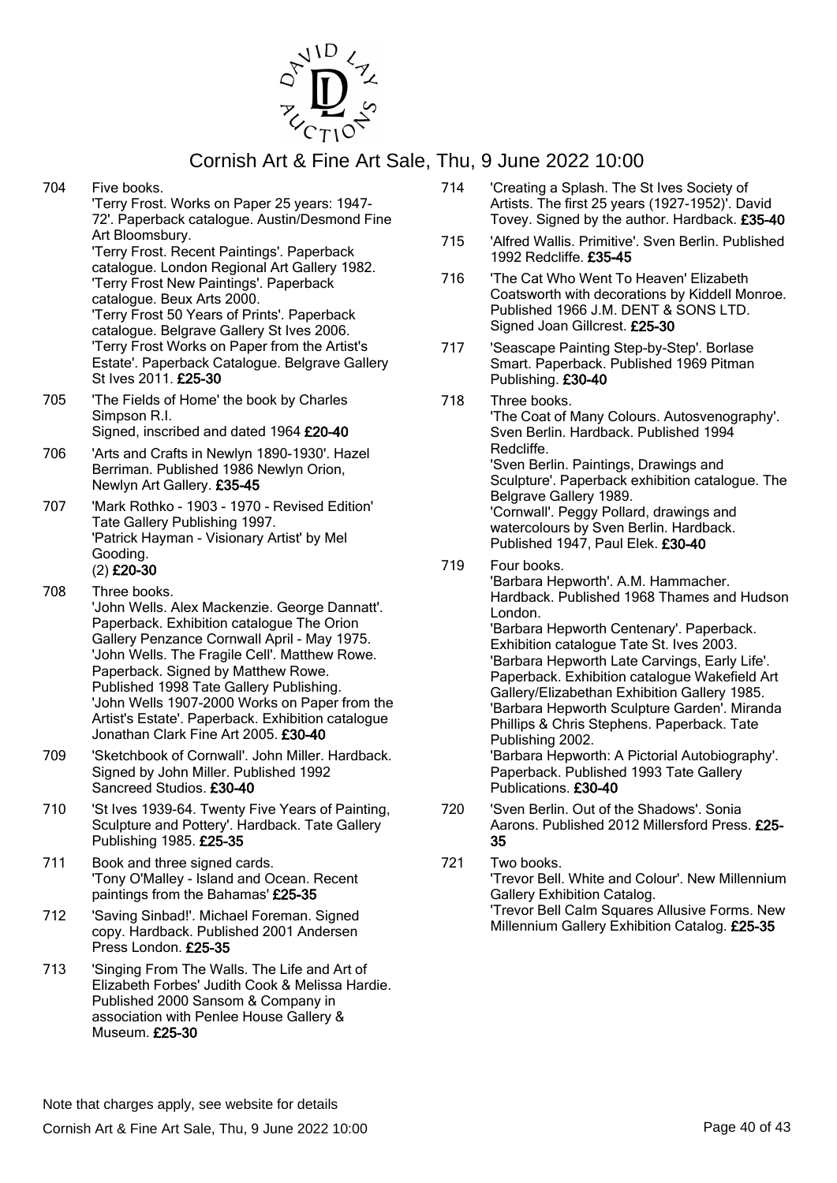

704 Five books.

'Terry Frost. Works on Paper 25 years: 1947- 72'. Paperback catalogue. Austin/Desmond Fine Art Bloomsbury. 'Terry Frost. Recent Paintings'. Paperback catalogue. London Regional Art Gallery 1982. 'Terry Frost New Paintings'. Paperback catalogue. Beux Arts 2000. 'Terry Frost 50 Years of Prints'. Paperback catalogue. Belgrave Gallery St Ives 2006. 'Terry Frost Works on Paper from the Artist's Estate'. Paperback Catalogue. Belgrave Gallery St Ives 2011. £25-30

- 705 'The Fields of Home' the book by Charles Simpson R.I. Signed, inscribed and dated 1964 £20-40
- 706 'Arts and Crafts in Newlyn 1890-1930'. Hazel Berriman. Published 1986 Newlyn Orion, Newlyn Art Gallery. £35-45

707 'Mark Rothko - 1903 - 1970 - Revised Edition' Tate Gallery Publishing 1997. 'Patrick Hayman - Visionary Artist' by Mel Gooding. (2) £20-30

- 708 Three books. 'John Wells. Alex Mackenzie. George Dannatt'. Paperback. Exhibition catalogue The Orion Gallery Penzance Cornwall April - May 1975. 'John Wells. The Fragile Cell'. Matthew Rowe. Paperback. Signed by Matthew Rowe. Published 1998 Tate Gallery Publishing. 'John Wells 1907-2000 Works on Paper from the Artist's Estate'. Paperback. Exhibition catalogue Jonathan Clark Fine Art 2005. £30-40
- 709 'Sketchbook of Cornwall'. John Miller. Hardback. Signed by John Miller. Published 1992 Sancreed Studios. £30-40
- 710 'St Ives 1939-64. Twenty Five Years of Painting, Sculpture and Pottery'. Hardback. Tate Gallery Publishing 1985. £25-35
- 711 Book and three signed cards. 'Tony O'Malley - Island and Ocean. Recent paintings from the Bahamas' £25-35
- 712 'Saving Sinbad!'. Michael Foreman. Signed copy. Hardback. Published 2001 Andersen Press London. £25-35
- 713 'Singing From The Walls. The Life and Art of Elizabeth Forbes' Judith Cook & Melissa Hardie. Published 2000 Sansom & Company in association with Penlee House Gallery & Museum. £25-30
- 714 'Creating a Splash. The St Ives Society of Artists. The first 25 years (1927-1952)'. David Tovey. Signed by the author. Hardback. £35-40
- 715 'Alfred Wallis. Primitive'. Sven Berlin. Published 1992 Redcliffe. £35-45
- 716 'The Cat Who Went To Heaven' Elizabeth Coatsworth with decorations by Kiddell Monroe. Published 1966 J.M. DENT & SONS LTD. Signed Joan Gillcrest. £25-30
- 717 'Seascape Painting Step-by-Step'. Borlase Smart. Paperback. Published 1969 Pitman Publishing. £30-40
- 718 Three books.

'The Coat of Many Colours. Autosvenography'. Sven Berlin. Hardback. Published 1994 Redcliffe. 'Sven Berlin. Paintings, Drawings and Sculpture'. Paperback exhibition catalogue. The Belgrave Gallery 1989. 'Cornwall'. Peggy Pollard, drawings and watercolours by Sven Berlin. Hardback. Published 1947, Paul Elek. £30-40

719 Four books.

'Barbara Hepworth'. A.M. Hammacher. Hardback. Published 1968 Thames and Hudson London. 'Barbara Hepworth Centenary'. Paperback. Exhibition catalogue Tate St. Ives 2003. 'Barbara Hepworth Late Carvings, Early Life'. Paperback. Exhibition catalogue Wakefield Art Gallery/Elizabethan Exhibition Gallery 1985. 'Barbara Hepworth Sculpture Garden'. Miranda Phillips & Chris Stephens. Paperback. Tate Publishing 2002. 'Barbara Hepworth: A Pictorial Autobiography'. Paperback. Published 1993 Tate Gallery Publications. £30-40

- 720 'Sven Berlin. Out of the Shadows'. Sonia Aarons. Published 2012 Millersford Press. £25- 35
- 721 Two books. 'Trevor Bell. White and Colour'. New Millennium Gallery Exhibition Catalog. 'Trevor Bell Calm Squares Allusive Forms. New Millennium Gallery Exhibition Catalog. £25-35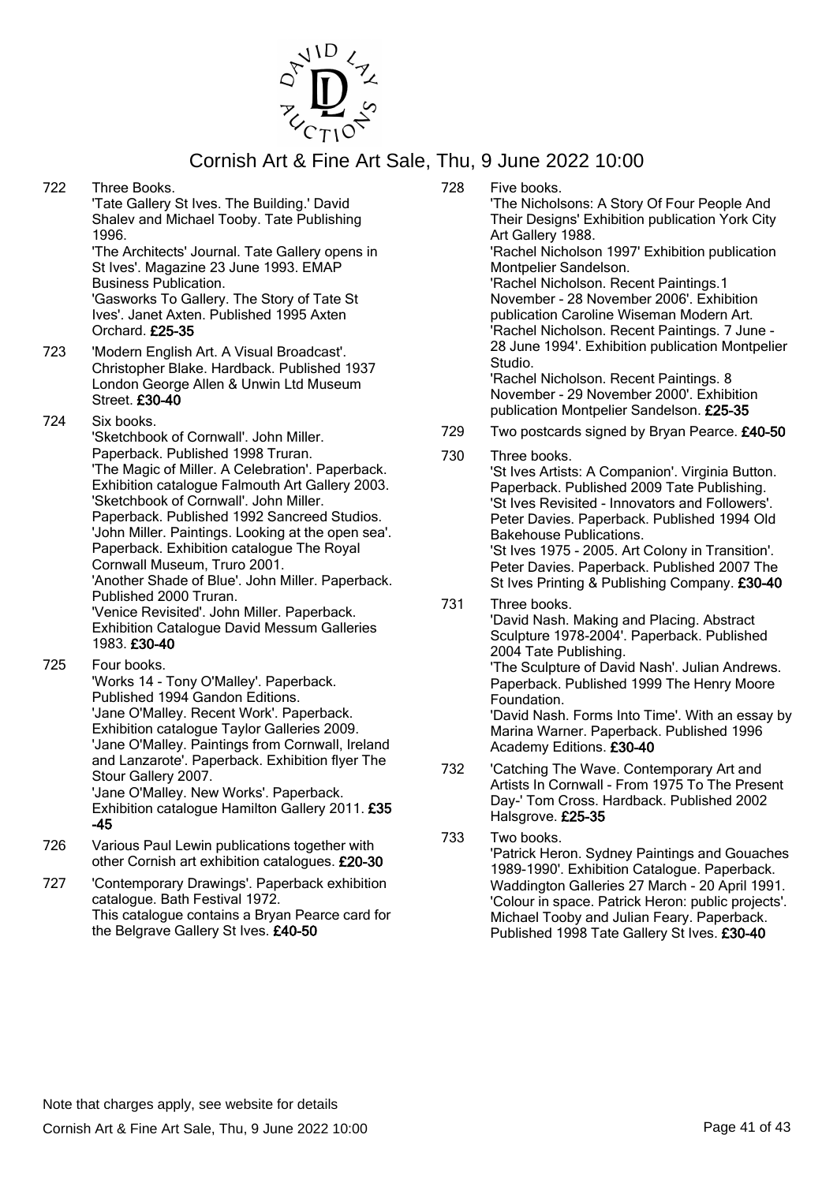

722 Three Books.

'Tate Gallery St Ives. The Building.' David Shalev and Michael Tooby. Tate Publishing 1996.

'The Architects' Journal. Tate Gallery opens in St Ives'. Magazine 23 June 1993. EMAP Business Publication. 'Gasworks To Gallery. The Story of Tate St Ives'. Janet Axten. Published 1995 Axten Orchard. £25-35

- 723 'Modern English Art. A Visual Broadcast'. Christopher Blake. Hardback. Published 1937 London George Allen & Unwin Ltd Museum Street. £30-40
- 724 Six books.

'Sketchbook of Cornwall'. John Miller. Paperback. Published 1998 Truran. 'The Magic of Miller. A Celebration'. Paperback. Exhibition catalogue Falmouth Art Gallery 2003. 'Sketchbook of Cornwall'. John Miller. Paperback. Published 1992 Sancreed Studios. 'John Miller. Paintings. Looking at the open sea'. Paperback. Exhibition catalogue The Royal Cornwall Museum, Truro 2001. 'Another Shade of Blue'. John Miller. Paperback. Published 2000 Truran. 'Venice Revisited'. John Miller. Paperback. Exhibition Catalogue David Messum Galleries 1983. £30-40

725 Four books.

'Works 14 - Tony O'Malley'. Paperback. Published 1994 Gandon Editions. 'Jane O'Malley. Recent Work'. Paperback. Exhibition catalogue Taylor Galleries 2009. 'Jane O'Malley. Paintings from Cornwall, Ireland and Lanzarote'. Paperback. Exhibition flyer The Stour Gallery 2007. 'Jane O'Malley. New Works'. Paperback. Exhibition catalogue Hamilton Gallery 2011. £35 -45

- 726 Various Paul Lewin publications together with other Cornish art exhibition catalogues. £20-30
- 727 'Contemporary Drawings'. Paperback exhibition catalogue. Bath Festival 1972. This catalogue contains a Bryan Pearce card for the Belgrave Gallery St Ives. £40-50

728 Five books.

'The Nicholsons: A Story Of Four People And Their Designs' Exhibition publication York City Art Gallery 1988. 'Rachel Nicholson 1997' Exhibition publication Montpelier Sandelson. 'Rachel Nicholson. Recent Paintings.1 November - 28 November 2006'. Exhibition publication Caroline Wiseman Modern Art. 'Rachel Nicholson. Recent Paintings. 7 June - 28 June 1994'. Exhibition publication Montpelier Studio. 'Rachel Nicholson. Recent Paintings. 8 November - 29 November 2000'. Exhibition publication Montpelier Sandelson. £25-35

- 729 Two postcards signed by Bryan Pearce. £40-50
- 730 Three books. 'St Ives Artists: A Companion'. Virginia Button. Paperback. Published 2009 Tate Publishing. 'St Ives Revisited - Innovators and Followers'. Peter Davies. Paperback. Published 1994 Old Bakehouse Publications. 'St Ives 1975 - 2005. Art Colony in Transition'. Peter Davies. Paperback. Published 2007 The St Ives Printing & Publishing Company. £30-40
- 731 Three books. 'David Nash. Making and Placing. Abstract Sculpture 1978-2004'. Paperback. Published 2004 Tate Publishing. 'The Sculpture of David Nash'. Julian Andrews. Paperback. Published 1999 The Henry Moore Foundation. 'David Nash. Forms Into Time'. With an essay by Marina Warner. Paperback. Published 1996 Academy Editions. £30-40
- 732 'Catching The Wave. Contemporary Art and Artists In Cornwall - From 1975 To The Present Day-' Tom Cross. Hardback. Published 2002 Halsgrove. £25-35
- 733 Two books. 'Patrick Heron. Sydney Paintings and Gouaches 1989-1990'. Exhibition Catalogue. Paperback. Waddington Galleries 27 March - 20 April 1991. 'Colour in space. Patrick Heron: public projects'. Michael Tooby and Julian Feary. Paperback. Published 1998 Tate Gallery St Ives. £30-40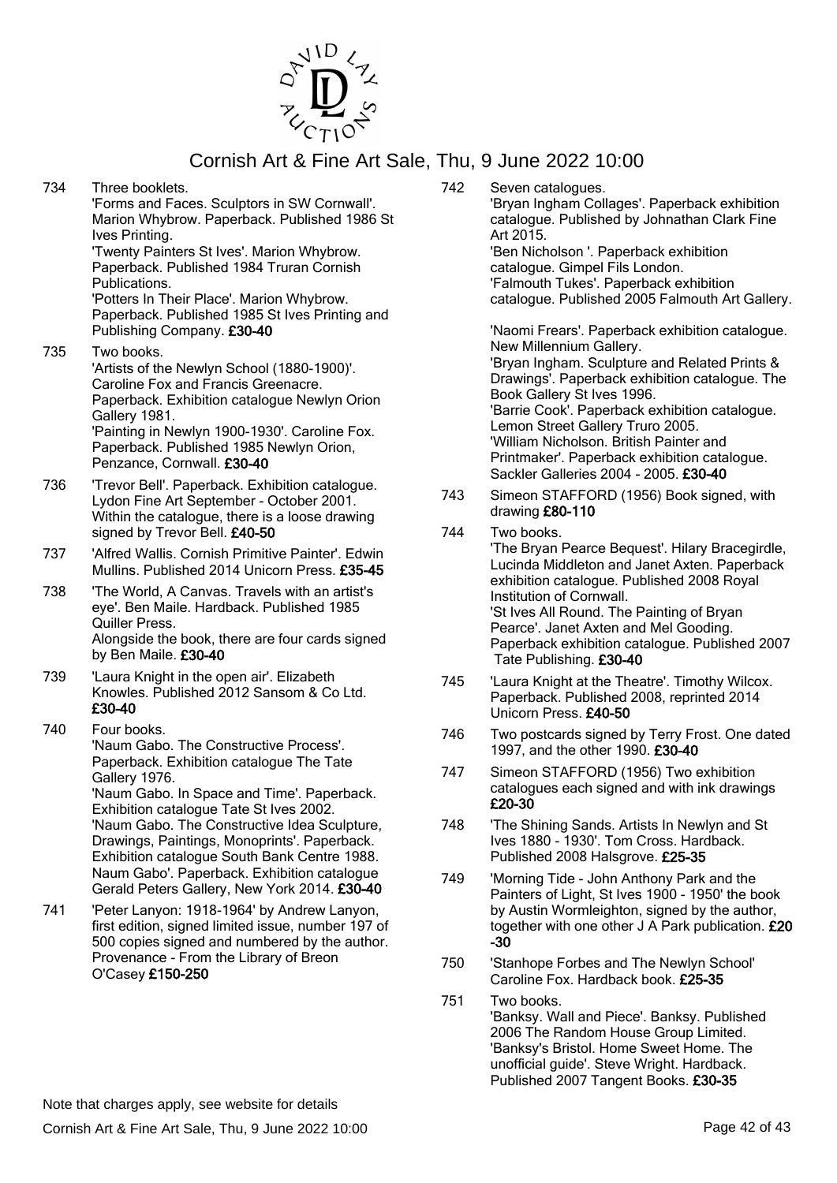

- 734 Three booklets. 'Forms and Faces. Sculptors in SW Cornwall'. Marion Whybrow. Paperback. Published 1986 St Ives Printing. 'Twenty Painters St Ives'. Marion Whybrow. Paperback. Published 1984 Truran Cornish Publications. 'Potters In Their Place'. Marion Whybrow. Paperback. Published 1985 St Ives Printing and Publishing Company. £30-40 735 Two books.
- 'Artists of the Newlyn School (1880-1900)'. Caroline Fox and Francis Greenacre. Paperback. Exhibition catalogue Newlyn Orion Gallery 1981. 'Painting in Newlyn 1900-1930'. Caroline Fox. Paperback. Published 1985 Newlyn Orion, Penzance, Cornwall. £30-40
- 736 'Trevor Bell'. Paperback. Exhibition catalogue. Lydon Fine Art September - October 2001. Within the catalogue, there is a loose drawing signed by Trevor Bell. £40-50
- 737 'Alfred Wallis. Cornish Primitive Painter'. Edwin Mullins. Published 2014 Unicorn Press. £35-45
- 738 'The World, A Canvas. Travels with an artist's eye'. Ben Maile. Hardback. Published 1985 Quiller Press. Alongside the book, there are four cards signed by Ben Maile. £30-40
- 739 'Laura Knight in the open air'. Elizabeth Knowles. Published 2012 Sansom & Co Ltd. £30-40
- 740 Four books. 'Naum Gabo. The Constructive Process'. Paperback. Exhibition catalogue The Tate Gallery 1976. 'Naum Gabo. In Space and Time'. Paperback. Exhibition catalogue Tate St Ives 2002. 'Naum Gabo. The Constructive Idea Sculpture, Drawings, Paintings, Monoprints'. Paperback. Exhibition catalogue South Bank Centre 1988. Naum Gabo'. Paperback. Exhibition catalogue Gerald Peters Gallery, New York 2014. £30-40
- 741 'Peter Lanyon: 1918-1964' by Andrew Lanyon, first edition, signed limited issue, number 197 of 500 copies signed and numbered by the author. Provenance - From the Library of Breon O'Casey £150-250

742 Seven catalogues. 'Bryan Ingham Collages'. Paperback exhibition catalogue. Published by Johnathan Clark Fine Art 2015. 'Ben Nicholson '. Paperback exhibition catalogue. Gimpel Fils London. 'Falmouth Tukes'. Paperback exhibition catalogue. Published 2005 Falmouth Art Gallery. 'Naomi Frears'. Paperback exhibition catalogue.

New Millennium Gallery. 'Bryan Ingham. Sculpture and Related Prints & Drawings'. Paperback exhibition catalogue. The Book Gallery St Ives 1996.

'Barrie Cook'. Paperback exhibition catalogue. Lemon Street Gallery Truro 2005. 'William Nicholson. British Painter and Printmaker'. Paperback exhibition catalogue. Sackler Galleries 2004 - 2005. £30-40

- 743 Simeon STAFFORD (1956) Book signed, with drawing £80-110
- 744 Two books.

'The Bryan Pearce Bequest'. Hilary Bracegirdle, Lucinda Middleton and Janet Axten. Paperback exhibition catalogue. Published 2008 Royal Institution of Cornwall. 'St Ives All Round. The Painting of Bryan Pearce'. Janet Axten and Mel Gooding. Paperback exhibition catalogue. Published 2007 Tate Publishing. £30-40

- 745 'Laura Knight at the Theatre'. Timothy Wilcox. Paperback. Published 2008, reprinted 2014 Unicorn Press. £40-50
- 746 Two postcards signed by Terry Frost. One dated 1997, and the other 1990. £30-40
- 747 Simeon STAFFORD (1956) Two exhibition catalogues each signed and with ink drawings £20-30
- 748 'The Shining Sands. Artists In Newlyn and St Ives 1880 - 1930'. Tom Cross. Hardback. Published 2008 Halsgrove. £25-35
- 749 'Morning Tide John Anthony Park and the Painters of Light, St Ives 1900 - 1950' the book by Austin Wormleighton, signed by the author, together with one other J A Park publication. £20 -30
- 750 'Stanhope Forbes and The Newlyn School' Caroline Fox. Hardback book. £25-35
- 751 Two books. 'Banksy. Wall and Piece'. Banksy. Published 2006 The Random House Group Limited. 'Banksy's Bristol. Home Sweet Home. The unofficial guide'. Steve Wright. Hardback. Published 2007 Tangent Books. £30-35